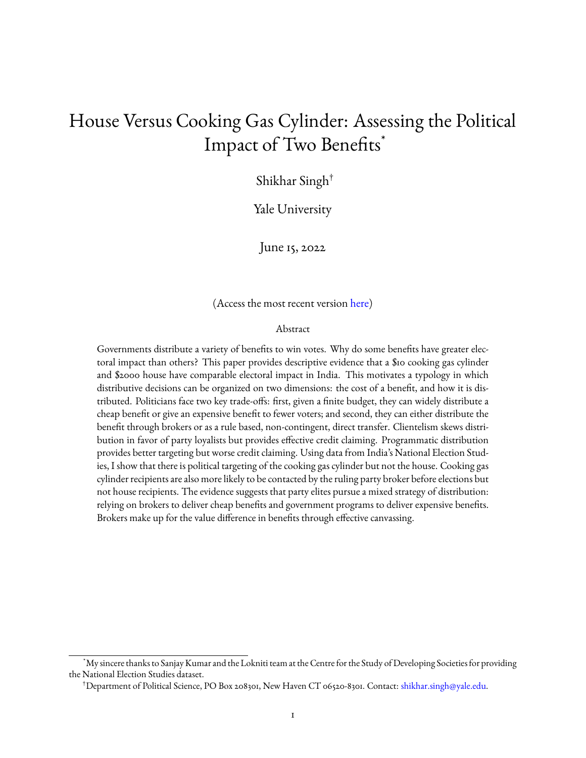# House Versus Cooking Gas Cylinder: Assessing the Political Impact of Two Benefits\*

Shikhar Singh†

Yale University

June 15, 2022

(Access the most recent version [here\)](https://github.com/shikhar46/papers/blob/main/House_v_Cylinder.pdf)

#### Abstract

Governments distribute a variety of benefits to win votes. Why do some benefits have greater electoral impact than others? This paper provides descriptive evidence that a \$10 cooking gas cylinder and \$2000 house have comparable electoral impact in India. This motivates a typology in which distributive decisions can be organized on two dimensions: the cost of a benefit, and how it is distributed. Politicians face two key trade-offs: first, given a finite budget, they can widely distribute a cheap benefit or give an expensive benefit to fewer voters; and second, they can either distribute the benefit through brokers or as a rule based, non-contingent, direct transfer. Clientelism skews distribution in favor of party loyalists but provides effective credit claiming. Programmatic distribution provides better targeting but worse credit claiming. Using data from India's National Election Studies, I show that there is political targeting of the cooking gas cylinder but not the house. Cooking gas cylinder recipients are also more likely to be contacted by the ruling party broker before elections but not house recipients. The evidence suggests that party elites pursue a mixed strategy of distribution: relying on brokers to deliver cheap benefits and government programs to deliver expensive benefits. Brokers make up for the value difference in benefits through effective canvassing.

<sup>\*</sup>My sincere thanks to Sanjay Kumar and the Lokniti team at the Centre for the Study of Developing Societies for providing the National Election Studies dataset.

<sup>†</sup>Department of Political Science, PO Box 208301, New Haven CT 06520-8301. Contact: [shikhar.singh@yale.edu.](mailto:shikhar.singh@yale.edu)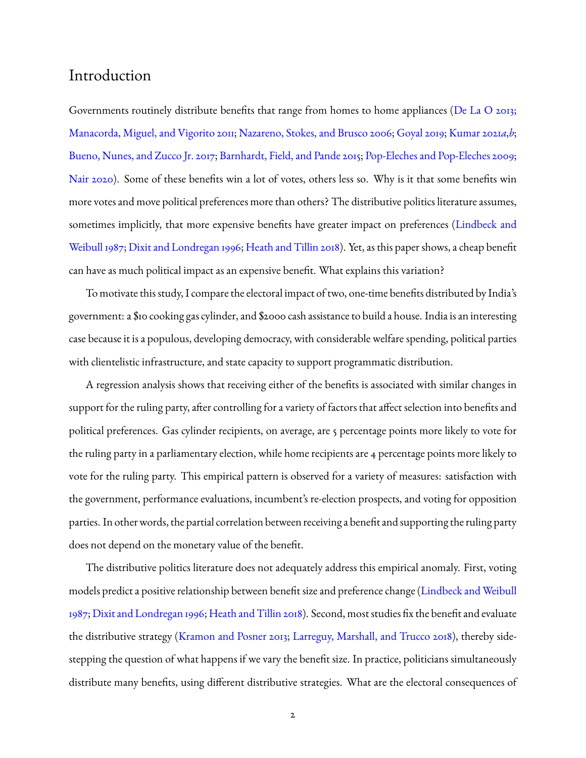## Introduction

Governments routinely distribute benefits that range from homes to home appliances [\(De La O](#page-29-0) [2013;](#page-29-0) [Manacorda, Miguel, and Vigorito](#page-31-0) [2011;](#page-31-0) [Nazareno, Stokes, and Brusco](#page-31-1) [2006;](#page-31-1) [Goyal](#page-30-0) [2019;](#page-30-0) [Kumar](#page-30-1) [2021](#page-30-1)*a*,*[b](#page-30-2)*; [Bueno, Nunes, and Zucco Jr.](#page-29-1) [2017;](#page-29-1) [Barnhardt, Field, and Pande](#page-29-2) [2015;](#page-29-2) [Pop-Eleches and Pop-Eleches](#page-31-2) [2009;](#page-31-2) [Nair](#page-31-3) [2020\)](#page-31-3). Some of these benefits win a lot of votes, others less so. Why is it that some benefits win more votes and move political preferences more than others? The distributive politics literature assumes, sometimes implicitly, that more expensive benefits have greater impact on preferences [\(Lindbeck and](#page-31-4) [Weibull](#page-31-4) [1987;](#page-31-4) [Dixit and Londregan](#page-30-3) [1996;](#page-30-3) [Heath and Tillin](#page-30-4) [2018\)](#page-30-4). Yet, as this paper shows, a cheap benefit can have as much political impact as an expensive benefit. What explains this variation?

To motivate this study, I compare the electoral impact of two, one-time benefits distributed by India's government: a \$10 cooking gas cylinder, and \$2000 cash assistance to build a house. India is an interesting case because it is a populous, developing democracy, with considerable welfare spending, political parties with clientelistic infrastructure, and state capacity to support programmatic distribution.

A regression analysis shows that receiving either of the benefits is associated with similar changes in support for the ruling party, after controlling for a variety of factors that affect selection into benefits and political preferences. Gas cylinder recipients, on average, are 5 percentage points more likely to vote for the ruling party in a parliamentary election, while home recipients are 4 percentage points more likely to vote for the ruling party. This empirical pattern is observed for a variety of measures: satisfaction with the government, performance evaluations, incumbent's re-election prospects, and voting for opposition parties. In other words, the partial correlation between receiving a benefit and supporting the ruling party does not depend on the monetary value of the benefit.

The distributive politics literature does not adequately address this empirical anomaly. First, voting models predict a positive relationship between benefit size and preference change [\(Lindbeck and Weibull](#page-31-4) [1987;](#page-31-4) [Dixit and Londregan](#page-30-3) [1996;](#page-30-3) [Heath and Tillin](#page-30-4) [2018\)](#page-30-4). Second, most studies fix the benefit and evaluate the distributive strategy [\(Kramon and Posner](#page-30-5) [2013;](#page-30-5) [Larreguy, Marshall, and Trucco](#page-30-6) [2018\)](#page-30-6), thereby sidestepping the question of what happens if we vary the benefit size. In practice, politicians simultaneously distribute many benefits, using different distributive strategies. What are the electoral consequences of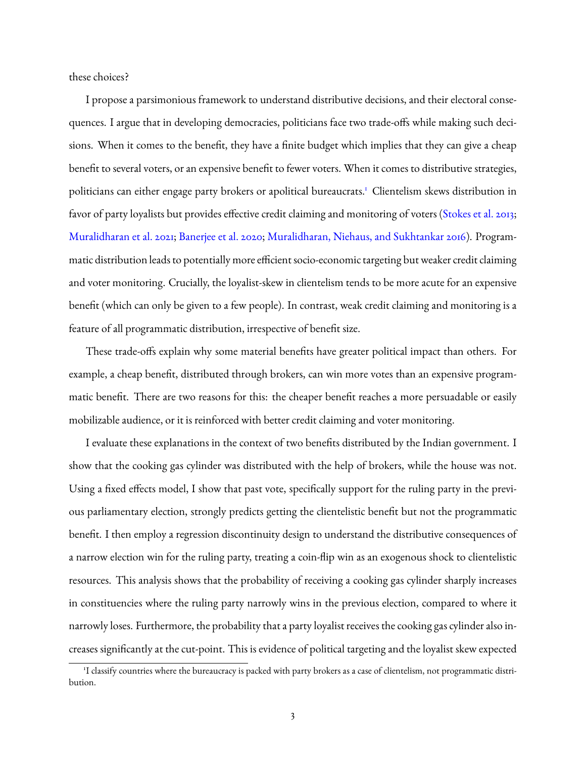these choices?

I propose a parsimonious framework to understand distributive decisions, and their electoral consequences. I argue that in developing democracies, politicians face two trade-offs while making such decisions. When it comes to the benefit, they have a finite budget which implies that they can give a cheap benefit to several voters, or an expensive benefit to fewer voters. When it comes to distributive strategies, politicians can either engage party brokers or apolitical bureaucrats.<sup>[1](#page-2-0)</sup> Clientelism skews distribution in favor of party loyalists but provides effective credit claiming and monitoring of voters [\(Stokes et al.](#page-32-0) [2013;](#page-32-0) [Muralidharan et al.](#page-31-5) [2021;](#page-31-5) [Banerjee et al.](#page-29-3) [2020;](#page-29-3) [Muralidharan, Niehaus, and Sukhtankar](#page-31-6) [2016\)](#page-31-6). Programmatic distribution leads to potentially more efficient socio-economic targeting but weaker credit claiming and voter monitoring. Crucially, the loyalist-skew in clientelism tends to be more acute for an expensive benefit (which can only be given to a few people). In contrast, weak credit claiming and monitoring is a feature of all programmatic distribution, irrespective of benefit size.

These trade-offs explain why some material benefits have greater political impact than others. For example, a cheap benefit, distributed through brokers, can win more votes than an expensive programmatic benefit. There are two reasons for this: the cheaper benefit reaches a more persuadable or easily mobilizable audience, or it is reinforced with better credit claiming and voter monitoring.

I evaluate these explanations in the context of two benefits distributed by the Indian government. I show that the cooking gas cylinder was distributed with the help of brokers, while the house was not. Using a fixed effects model, I show that past vote, specifically support for the ruling party in the previous parliamentary election, strongly predicts getting the clientelistic benefit but not the programmatic benefit. I then employ a regression discontinuity design to understand the distributive consequences of a narrow election win for the ruling party, treating a coin-flip win as an exogenous shock to clientelistic resources. This analysis shows that the probability of receiving a cooking gas cylinder sharply increases in constituencies where the ruling party narrowly wins in the previous election, compared to where it narrowly loses. Furthermore, the probability that a party loyalist receives the cooking gas cylinder also increases significantly at the cut-point. This is evidence of political targeting and the loyalist skew expected

<span id="page-2-0"></span><sup>&</sup>lt;sup>1</sup>I classify countries where the bureaucracy is packed with party brokers as a case of clientelism, not programmatic distribution.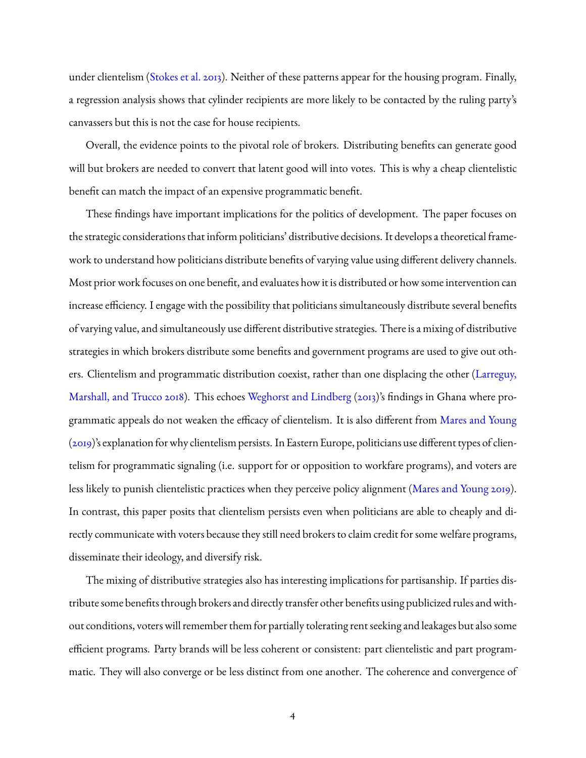under clientelism [\(Stokes et al.](#page-32-0) [2013\)](#page-32-0). Neither of these patterns appear for the housing program. Finally, a regression analysis shows that cylinder recipients are more likely to be contacted by the ruling party's canvassers but this is not the case for house recipients.

Overall, the evidence points to the pivotal role of brokers. Distributing benefits can generate good will but brokers are needed to convert that latent good will into votes. This is why a cheap clientelistic benefit can match the impact of an expensive programmatic benefit.

These findings have important implications for the politics of development. The paper focuses on the strategic considerations that inform politicians' distributive decisions. It develops a theoretical framework to understand how politicians distribute benefits of varying value using different delivery channels. Most prior work focuses on one benefit, and evaluates how it is distributed or how some intervention can increase efficiency. I engage with the possibility that politicians simultaneously distribute several benefits of varying value, and simultaneously use different distributive strategies. There is a mixing of distributive strategies in which brokers distribute some benefits and government programs are used to give out others. Clientelism and programmatic distribution coexist, rather than one displacing the other [\(Larreguy,](#page-30-6) [Marshall, and Trucco](#page-30-6) [2018\)](#page-30-6). This echoes [Weghorst and Lindberg](#page-32-1) [\(2013\)](#page-32-1)'s findings in Ghana where programmatic appeals do not weaken the efficacy of clientelism. It is also different from [Mares and Young](#page-31-7) [\(2019\)](#page-31-7)'s explanation for why clientelism persists. In Eastern Europe, politicians use different types of clientelism for programmatic signaling (i.e. support for or opposition to workfare programs), and voters are less likely to punish clientelistic practices when they perceive policy alignment [\(Mares and Young](#page-31-7) [2019\)](#page-31-7). In contrast, this paper posits that clientelism persists even when politicians are able to cheaply and directly communicate with voters because they still need brokers to claim credit for some welfare programs, disseminate their ideology, and diversify risk.

The mixing of distributive strategies also has interesting implications for partisanship. If parties distribute some benefits through brokers and directly transfer other benefits using publicized rules and without conditions, voters will remember them for partially tolerating rent seeking and leakages but also some efficient programs. Party brands will be less coherent or consistent: part clientelistic and part programmatic. They will also converge or be less distinct from one another. The coherence and convergence of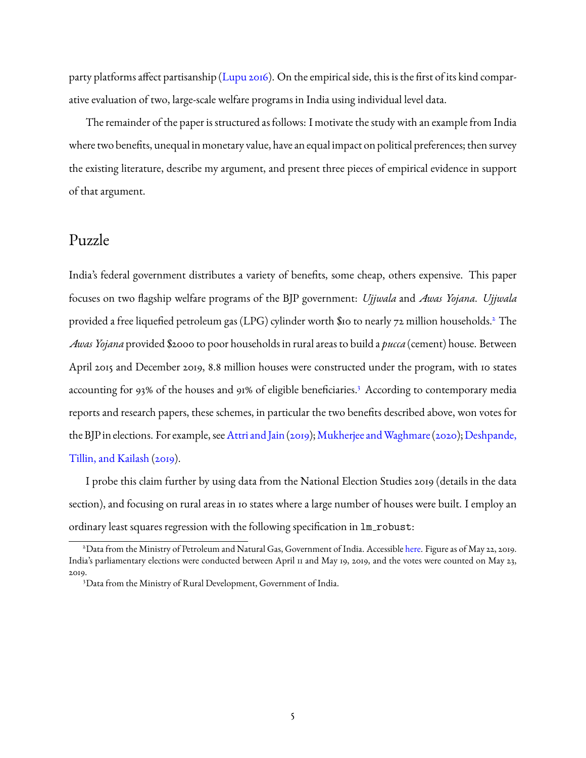party platforms affect partisanship [\(Lupu](#page-31-8) [2016\)](#page-31-8). On the empirical side, this is the first of its kind comparative evaluation of two, large-scale welfare programs in India using individual level data.

The remainder of the paper is structured as follows: I motivate the study with an example from India where two benefits, unequal in monetary value, have an equal impact on political preferences; then survey the existing literature, describe my argument, and present three pieces of empirical evidence in support of that argument.

### Puzzle

India's federal government distributes a variety of benefits, some cheap, others expensive. This paper focuses on two flagship welfare programs of the BJP government: *Ujjwala* and *Awas Yojana*. *Ujjwala* provided a free liquefied petroleum gas (LPG) cylinder worth \$10 to nearly 72 million households.[2](#page-4-0) The *Awas Yojana* provided \$2000 to poor households in rural areas to build a *pucca* (cement) house. Between April 2015 and December 2019, 8.8 million houses were constructed under the program, with 10 states accounting for 9[3](#page-4-1)% of the houses and 91% of eligible beneficiaries.<sup>3</sup> According to contemporary media reports and research papers, these schemes, in particular the two benefits described above, won votes for the BJP in elections. For example, see [Attri and Jain](#page-29-4) [\(2019\)](#page-29-4); Mukherjee and Waghmare (2020); [Deshpande,](#page-29-5) [Tillin, and Kailash](#page-29-5) [\(2019\)](#page-29-5).

I probe this claim further by using data from the National Election Studies 2019 (details in the data section), and focusing on rural areas in 10 states where a large number of houses were built. I employ an ordinary least squares regression with the following specification in lm robust:

<span id="page-4-0"></span><sup>2</sup>Data from the Ministry of Petroleum and Natural Gas, Government of India. Accessible [here.](https://www.pmujjwalayojana.com/released-connections.html) Figure as of May 22, 2019. India's parliamentary elections were conducted between April 11 and May 19, 2019, and the votes were counted on May 23, 2019.

<span id="page-4-1"></span><sup>3</sup>Data from the Ministry of Rural Development, Government of India.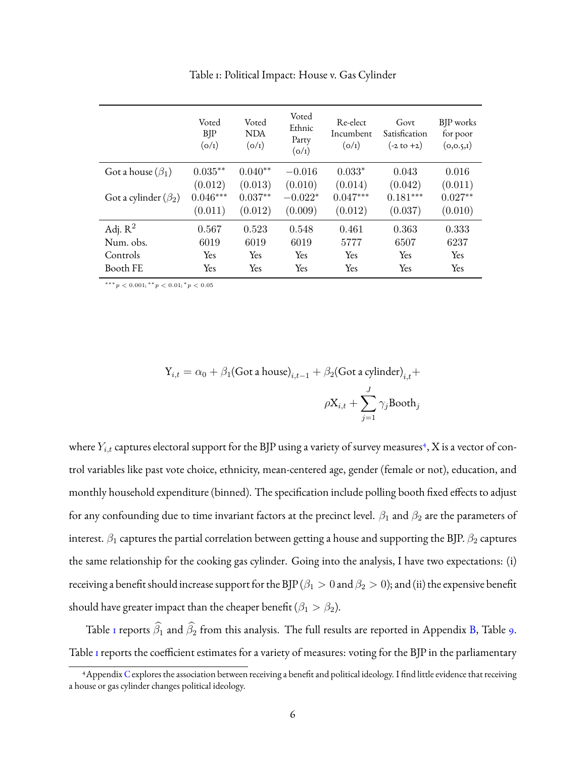<span id="page-5-1"></span>

|                            | Voted<br><b>BJP</b><br>(o/r)     | Voted<br><b>NDA</b><br>(o/r)    | Voted<br>Ethnic<br>Party<br>(o/r) | Re-elect<br>Incumbent<br>(o/r)   | Govt<br>Satisfication<br>$(-2 \text{ to } +2)$ | BJP works<br>for poor<br>(0, 0.5, I) |
|----------------------------|----------------------------------|---------------------------------|-----------------------------------|----------------------------------|------------------------------------------------|--------------------------------------|
| Got a house $(\beta_1)$    | $0.035***$                       | $0.040**$                       | $-0.016$                          | $0.033*$                         | 0.043                                          | 0.016                                |
| Got a cylinder $(\beta_2)$ | (0.012)<br>$0.046***$<br>(0.011) | (0.013)<br>$0.037**$<br>(0.012) | (0.010)<br>$-0.022*$<br>(0.009)   | (0.014)<br>$0.047***$<br>(0.012) | (0.042)<br>$0.181***$<br>(0.037)               | (0.011)<br>$0.027**$<br>(0.010)      |
| Adj. $R^2$                 | 0.567                            | 0.523                           | 0.548                             | 0.461                            | 0.363                                          | 0.333                                |
| Num. obs.                  | 6019                             | 6019                            | 6019                              | 5777                             | 6507                                           | 6237                                 |
| Controls                   | <b>Yes</b>                       | <b>Yes</b>                      | <b>Yes</b>                        | Yes                              | <b>Yes</b>                                     | <b>Yes</b>                           |
| Booth FE                   | Yes                              | Yes                             | Yes                               | Yes                              | Yes                                            | Yes                                  |

Table 1: Political Impact: House v. Gas Cylinder

 $***p<0.001;***p<0.01;*p<0.05$ 

$$
Y_{i,t} = \alpha_0 + \beta_1 (\text{Got a house})_{i,t-1} + \beta_2 (\text{Got a cylinder})_{i,t} +
$$

$$
\rho X_{i,t} + \sum_{j=1}^{J} \gamma_j \text{Bookh}_j
$$

where  $Y_{i,t}$  captures electoral support for the BJP using a variety of survey measures<sup>[4](#page-5-0)</sup>, X is a vector of control variables like past vote choice, ethnicity, mean-centered age, gender (female or not), education, and monthly household expenditure (binned). The specification include polling booth fixed effects to adjust for any confounding due to time invariant factors at the precinct level.  $\beta_1$  and  $\beta_2$  are the parameters of interest.  $\beta_1$  captures the partial correlation between getting a house and supporting the BJP.  $\beta_2$  captures the same relationship for the cooking gas cylinder. Going into the analysis, I have two expectations: (i) receiving a benefit should increase support for the BJP ( $\beta_1>0$  and  $\beta_2>0$ ); and (ii) the expensive benefit should have greater impact than the cheaper benefit ( $\beta_1 > \beta_2$ ).

Table [1](#page-5-1) reports  $\widehat{\beta_1}$  and  $\widehat{\beta_2}$  from this analysis. The full results are reported in Appendix [B,](#page-38-0) Table [9.](#page-39-0) Table I reports the coefficient estimates for a variety of measures: voting for the BJP in the parliamentary

<span id="page-5-0"></span><sup>4</sup>Appendix [C](#page-46-0) explores the association between receiving a benefit and political ideology. I find little evidence that receiving a house or gas cylinder changes political ideology.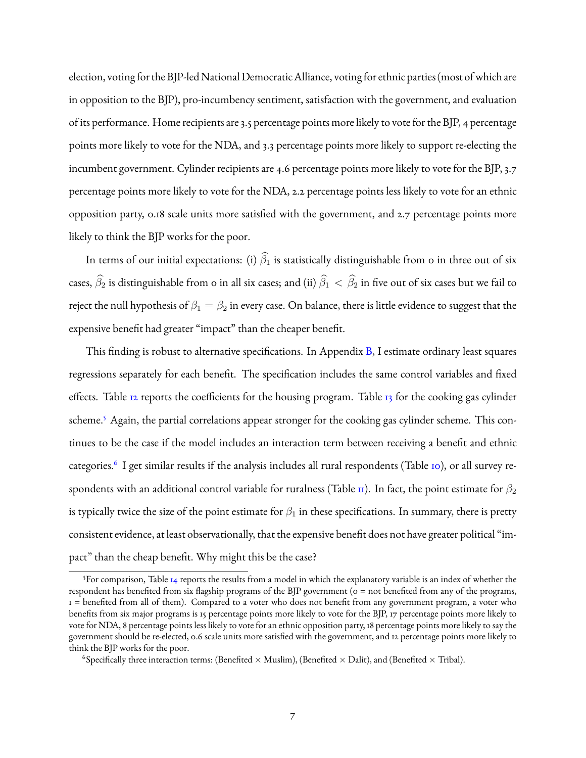election, voting for the BJP-led National Democratic Alliance, voting for ethnic parties (most of which are in opposition to the BJP), pro-incumbency sentiment, satisfaction with the government, and evaluation of its performance. Home recipients are 3.5 percentage points more likely to vote for the BJP, 4 percentage points more likely to vote for the NDA, and 3.3 percentage points more likely to support re-electing the incumbent government. Cylinder recipients are 4.6 percentage points more likely to vote for the BJP, 3.7 percentage points more likely to vote for the NDA, 2.2 percentage points less likely to vote for an ethnic opposition party, 0.18 scale units more satisfied with the government, and 2.7 percentage points more likely to think the BJP works for the poor.

In terms of our initial expectations: (i)  $\hat{\beta}_1$  is statistically distinguishable from 0 in three out of six cases,  $\widehat{\beta}_2$  is distinguishable from 0 in all six cases; and (ii)  $\widehat{\beta}_1 < \widehat{\beta}_2$  in five out of six cases but we fail to reject the null hypothesis of  $\beta_1 = \beta_2$  in every case. On balance, there is little evidence to suggest that the expensive benefit had greater "impact" than the cheaper benefit.

This finding is robust to alternative specifications. In Appendix [B,](#page-38-0) I estimate ordinary least squares regressions separately for each benefit. The specification includes the same control variables and fixed effects. Table  $12$  reports the coefficients for the housing program. Table  $13$  for the cooking gas cylinder scheme.<sup>[5](#page-6-0)</sup> Again, the partial correlations appear stronger for the cooking gas cylinder scheme. This continues to be the case if the model includes an interaction term between receiving a benefit and ethnic categories.<sup>[6](#page-6-1)</sup> I get similar results if the analysis includes all rural respondents (Table [10\)](#page-40-0), or all survey respondents with an additional control variable for ruralness (Table  $\pi$ ). In fact, the point estimate for  $\beta_2$ is typically twice the size of the point estimate for  $\beta_1$  in these specifications. In summary, there is pretty consistent evidence, at least observationally, that the expensive benefit does not have greater political "impact" than the cheap benefit. Why might this be the case?

<span id="page-6-0"></span><sup>&</sup>lt;sup>5</sup>For comparison, Table [14](#page-45-0) reports the results from a model in which the explanatory variable is an index of whether the respondent has benefited from six flagship programs of the BJP government (0 = not benefited from any of the programs, 1 = benefited from all of them). Compared to a voter who does not benefit from any government program, a voter who benefits from six major programs is 15 percentage points more likely to vote for the BJP, 17 percentage points more likely to vote for NDA, 8 percentage points less likely to vote for an ethnic opposition party, 18 percentage points more likely to say the government should be re-elected, 0.6 scale units more satisfied with the government, and 12 percentage points more likely to think the BJP works for the poor.

<span id="page-6-1"></span> $^6$ Specifically three interaction terms: (Benefited  $\times$  Muslim), (Benefited  $\times$  Dalit), and (Benefited  $\times$  Tribal).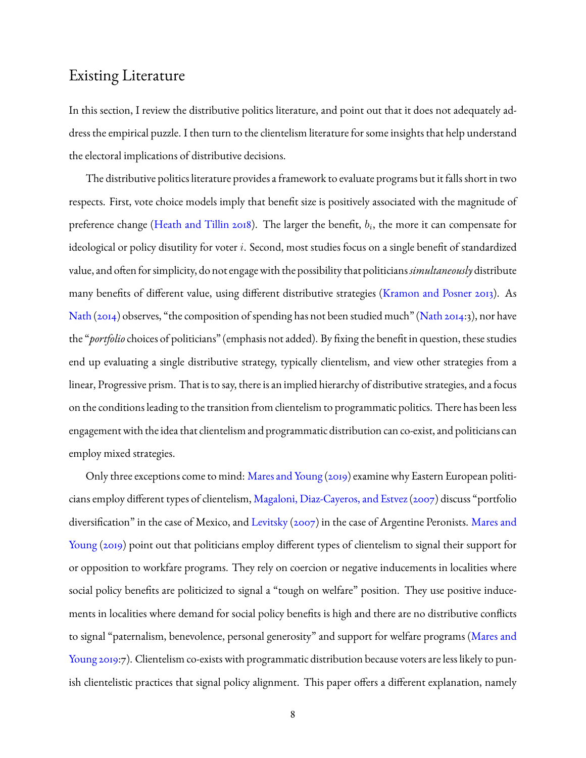# Existing Literature

In this section, I review the distributive politics literature, and point out that it does not adequately address the empirical puzzle. I then turn to the clientelism literature for some insights that help understand the electoral implications of distributive decisions.

The distributive politics literature provides a framework to evaluate programs but it falls short in two respects. First, vote choice models imply that benefit size is positively associated with the magnitude of preference change [\(Heath and Tillin](#page-30-4) [2018\)](#page-30-4). The larger the benefit,  $b_i$ , the more it can compensate for ideological or policy disutility for voter i. Second, most studies focus on a single benefit of standardized value, and often for simplicity, do not engage with the possibility that politicians*simultaneously* distribute many benefits of different value, using different distributive strategies [\(Kramon and Posner](#page-30-5) [2013\)](#page-30-5). As [Nath](#page-31-10) [\(2014\)](#page-31-10) observes, "the composition of spending has not been studied much" [\(Nath](#page-31-10) [2014:](#page-31-10)3), nor have the "*portfolio* choices of politicians" (emphasis not added). By fixing the benefit in question, these studies end up evaluating a single distributive strategy, typically clientelism, and view other strategies from a linear, Progressive prism. That is to say, there is an implied hierarchy of distributive strategies, and a focus on the conditions leading to the transition from clientelism to programmatic politics. There has been less engagement with the idea that clientelism and programmatic distribution can co-exist, and politicians can employ mixed strategies.

Only three exceptions come to mind: [Mares and Young](#page-31-7) [\(2019\)](#page-31-7) examine why Eastern European politicians employ different types of clientelism, [Magaloni, Diaz-Cayeros, and Estvez\(2007\)](#page-31-11) discuss "portfolio diversification" in the case of Mexico, and [Levitsky](#page-30-7) [\(2007\)](#page-30-7) in the case of Argentine Peronists. [Mares and](#page-31-7) [Young](#page-31-7) [\(2019\)](#page-31-7) point out that politicians employ different types of clientelism to signal their support for or opposition to workfare programs. They rely on coercion or negative inducements in localities where social policy benefits are politicized to signal a "tough on welfare" position. They use positive inducements in localities where demand for social policy benefits is high and there are no distributive conflicts to signal "paternalism, benevolence, personal generosity" and support for welfare programs [\(Mares and](#page-31-7) [Young](#page-31-7) [2019:](#page-31-7)7). Clientelism co-exists with programmatic distribution because voters are less likely to punish clientelistic practices that signal policy alignment. This paper offers a different explanation, namely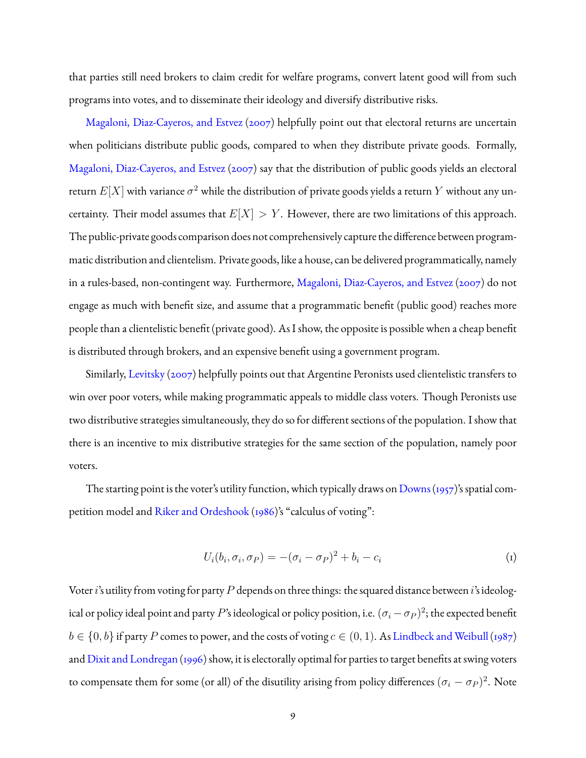that parties still need brokers to claim credit for welfare programs, convert latent good will from such programs into votes, and to disseminate their ideology and diversify distributive risks.

[Magaloni, Diaz-Cayeros, and Estvez](#page-31-11) [\(2007\)](#page-31-11) helpfully point out that electoral returns are uncertain when politicians distribute public goods, compared to when they distribute private goods. Formally, [Magaloni, Diaz-Cayeros, and Estvez](#page-31-11) [\(2007\)](#page-31-11) say that the distribution of public goods yields an electoral return  $E[X]$  with variance  $\sigma^2$  while the distribution of private goods yields a return  $Y$  without any uncertainty. Their model assumes that  $E[X] > Y$ . However, there are two limitations of this approach. The public-private goods comparison does not comprehensively capture the difference between programmatic distribution and clientelism. Private goods, like a house, can be delivered programmatically, namely in a rules-based, non-contingent way. Furthermore, [Magaloni, Diaz-Cayeros, and Estvez](#page-31-11) [\(2007\)](#page-31-11) do not engage as much with benefit size, and assume that a programmatic benefit (public good) reaches more people than a clientelistic benefit (private good). As I show, the opposite is possible when a cheap benefit is distributed through brokers, and an expensive benefit using a government program.

Similarly, [Levitsky](#page-30-7) [\(2007\)](#page-30-7) helpfully points out that Argentine Peronists used clientelistic transfers to win over poor voters, while making programmatic appeals to middle class voters. Though Peronists use two distributive strategies simultaneously, they do so for different sections of the population. I show that there is an incentive to mix distributive strategies for the same section of the population, namely poor voters.

The starting point is the voter's utility function, which typically draws on Downs (1957)'s spatial competition model and [Riker and Ordeshook](#page-31-12) [\(1986\)](#page-31-12)'s "calculus of voting":

$$
U_i(b_i, \sigma_i, \sigma_P) = -(\sigma_i - \sigma_P)^2 + b_i - c_i \tag{1}
$$

Voter i's utility from voting for party  $P$  depends on three things: the squared distance between i's ideological or policy ideal point and party  $P$ 's ideological or policy position, i.e.  $(\sigma_i-\sigma_P)^2$ ; the expected benefit  $b \in \{0, b\}$  if party P comes to power, and the costs of voting  $c \in (0, 1)$ . As [Lindbeck and Weibull](#page-31-4) [\(1987\)](#page-31-4) and [Dixit and Londregan](#page-30-3) [\(1996\)](#page-30-3) show, it is electorally optimal for parties to target benefits at swing voters to compensate them for some (or all) of the disutility arising from policy differences  $(\sigma_i - \sigma_P)^2$ . Note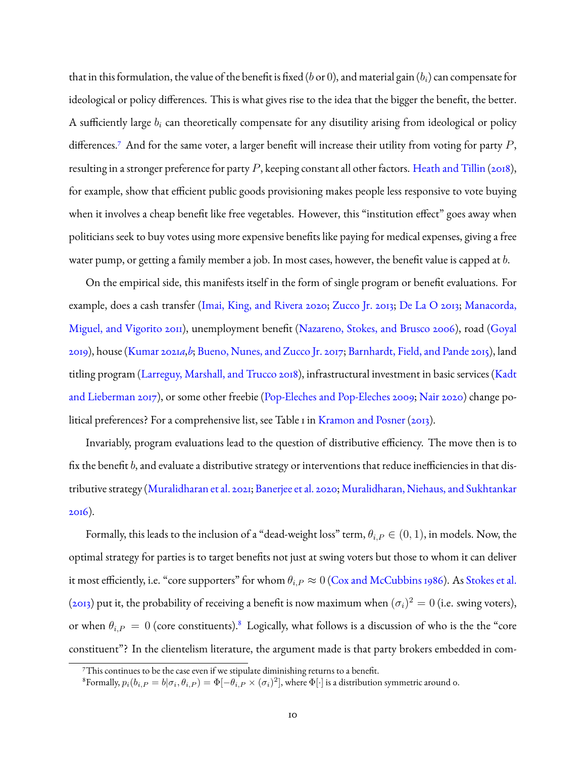that in this formulation, the value of the benefit is fixed (b or 0), and material gain ( $b_i$ ) can compensate for ideological or policy differences. This is what gives rise to the idea that the bigger the benefit, the better. A sufficiently large  $b_i$  can theoretically compensate for any disutility arising from ideological or policy differences.<sup>[7](#page-9-0)</sup> And for the same voter, a larger benefit will increase their utility from voting for party  $P$ , resulting in a stronger preference for party  $P$ , keeping constant all other factors. [Heath and Tillin](#page-30-4) [\(2018\)](#page-30-4), for example, show that efficient public goods provisioning makes people less responsive to vote buying when it involves a cheap benefit like free vegetables. However, this "institution effect" goes away when politicians seek to buy votes using more expensive benefits like paying for medical expenses, giving a free water pump, or getting a family member a job. In most cases, however, the benefit value is capped at b.

On the empirical side, this manifests itself in the form of single program or benefit evaluations. For example, does a cash transfer [\(Imai, King, and Rivera](#page-30-9) [2020;](#page-30-9) [Zucco Jr.](#page-32-2) [2013;](#page-32-2) [De La O](#page-29-0) [2013;](#page-29-0) [Manacorda,](#page-31-0) [Miguel, and Vigorito](#page-31-0) [2011\)](#page-31-0), unemployment benefit [\(Nazareno, Stokes, and Brusco](#page-31-1) [2006\)](#page-31-1), road [\(Goyal](#page-30-0) [2019\)](#page-30-0), house [\(Kumar](#page-30-1) [2021](#page-30-1)*a*,*[b](#page-30-2)*; [Bueno, Nunes, and Zucco Jr.](#page-29-1) [2017;](#page-29-1) [Barnhardt, Field, and Pande](#page-29-2) [2015\)](#page-29-2), land titling program [\(Larreguy, Marshall, and Trucco](#page-30-6) [2018\)](#page-30-6), infrastructural investment in basic services [\(Kadt](#page-30-10) [and Lieberman](#page-30-10) [2017\)](#page-30-10), or some other freebie [\(Pop-Eleches and Pop-Eleches](#page-31-2) [2009;](#page-31-2) [Nair](#page-31-3) [2020\)](#page-31-3) change political preferences? For a comprehensive list, see Table 1 in [Kramon and Posner](#page-30-5) [\(2013\)](#page-30-5).

Invariably, program evaluations lead to the question of distributive efficiency. The move then is to fix the benefit b, and evaluate a distributive strategy or interventions that reduce inefficiencies in that distributive strategy [\(Muralidharan et al.](#page-31-5) [2021;](#page-31-5) [Banerjee et al.](#page-29-3) [2020;](#page-29-3) [Muralidharan, Niehaus, and Sukhtankar](#page-31-6) [2016\)](#page-31-6).

Formally, this leads to the inclusion of a "dead-weight loss" term,  $\theta_{i,P} \in (0,1)$ , in models. Now, the optimal strategy for parties is to target benefits not just at swing voters but those to whom it can deliver it most efficiently, i.e. "core supporters" for whom  $\theta_{i,P} \approx 0$  [\(Cox and McCubbins](#page-29-6) [1986\)](#page-29-6). As [Stokes et al.](#page-32-0) [\(2013\)](#page-32-0) put it, the probability of receiving a benefit is now maximum when  $(\sigma_i)^2=0$  (i.e. swing voters), or when  $\theta_{i,P} = 0$  (core constituents).<sup>[8](#page-9-1)</sup> Logically, what follows is a discussion of who is the the "core constituent"? In the clientelism literature, the argument made is that party brokers embedded in com-

<span id="page-9-0"></span><sup>7</sup>This continues to be the case even if we stipulate diminishing returns to a benefit.

<span id="page-9-1"></span><sup>&</sup>lt;sup>8</sup>Formally,  $p_i(b_{i,P}=b|\sigma_i,\theta_{i,P})=\Phi[-\theta_{i,P}\times (\sigma_i)^2],$  where  $\Phi[\cdot]$  is a distribution symmetric around 0.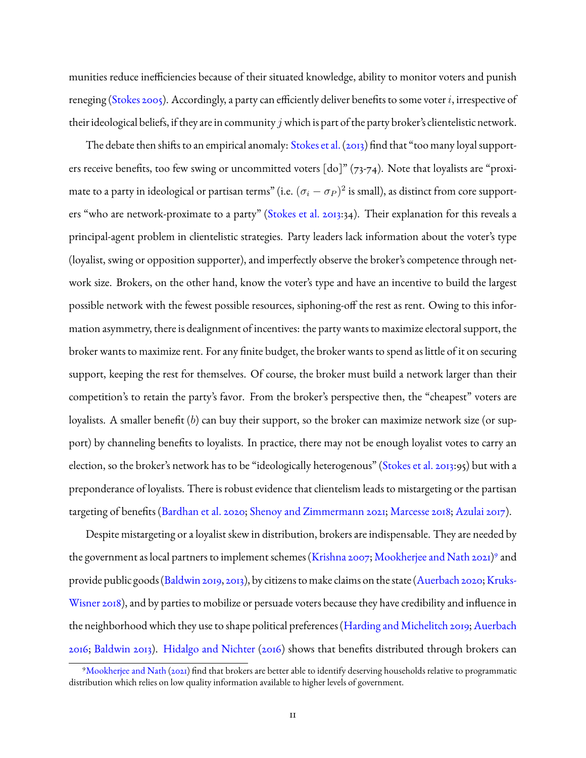munities reduce inefficiencies because of their situated knowledge, ability to monitor voters and punish reneging [\(Stokes](#page-32-3) [2005\)](#page-32-3). Accordingly, a party can efficiently deliver benefits to some voter i, irrespective of their ideological beliefs, if they are in community  $j$  which is part of the party broker's clientelistic network.

The debate then shifts to an empirical anomaly: [Stokes et al.](#page-32-0) [\(2013\)](#page-32-0) find that "too many loyal supporters receive benefits, too few swing or uncommitted voters [do]" (73-74). Note that loyalists are "proximate to a party in ideological or partisan terms" (i.e.  $(\sigma_i-\sigma_P)^2$  is small), as distinct from core supporters "who are network-proximate to a party" [\(Stokes et al.](#page-32-0) [2013:](#page-32-0)34). Their explanation for this reveals a principal-agent problem in clientelistic strategies. Party leaders lack information about the voter's type (loyalist, swing or opposition supporter), and imperfectly observe the broker's competence through network size. Brokers, on the other hand, know the voter's type and have an incentive to build the largest possible network with the fewest possible resources, siphoning-off the rest as rent. Owing to this information asymmetry, there is dealignment of incentives: the party wants to maximize electoral support, the broker wants to maximize rent. For any finite budget, the broker wants to spend as little of it on securing support, keeping the rest for themselves. Of course, the broker must build a network larger than their competition's to retain the party's favor. From the broker's perspective then, the "cheapest" voters are loyalists. A smaller benefit  $(b)$  can buy their support, so the broker can maximize network size (or support) by channeling benefits to loyalists. In practice, there may not be enough loyalist votes to carry an election, so the broker's network has to be "ideologically heterogenous" [\(Stokes et al.](#page-32-0) [2013:](#page-32-0)95) but with a preponderance of loyalists. There is robust evidence that clientelism leads to mistargeting or the partisan targeting of benefits [\(Bardhan et al.](#page-29-7) [2020;](#page-29-7) [Shenoy and Zimmermann](#page-32-4) [2021;](#page-32-4) [Marcesse](#page-31-13) [2018;](#page-31-13) [Azulai](#page-29-8) [2017\)](#page-29-8).

Despite mistargeting or a loyalist skew in distribution, brokers are indispensable. They are needed by the government as local partners to implement schemes [\(Krishna](#page-30-11) [2007;](#page-30-11) [Mookherjee and Nath](#page-31-14) [2021\)](#page-31-14)<sup>[9](#page-10-0)</sup> and provide public goods [\(Baldwin](#page-29-9) [2019,](#page-29-9) [2013\)](#page-29-10), by citizens to make claims on the state [\(Auerbach](#page-29-11) [2020;](#page-29-11) [Kruks-](#page-30-12)[Wisner](#page-30-12) [2018\)](#page-30-12), and by parties to mobilize or persuade voters because they have credibility and influence in the neighborhood which they use to shape political preferences [\(Harding and Michelitch](#page-30-13) [2019;](#page-30-13) [Auerbach](#page-29-12) [2016;](#page-29-12) [Baldwin](#page-29-10) [2013\)](#page-29-10). [Hidalgo and Nichter](#page-30-14) [\(2016\)](#page-30-14) shows that benefits distributed through brokers can

<span id="page-10-0"></span><sup>9</sup>[Mookherjee and Nath](#page-31-14) [\(2021\)](#page-31-14) find that brokers are better able to identify deserving households relative to programmatic distribution which relies on low quality information available to higher levels of government.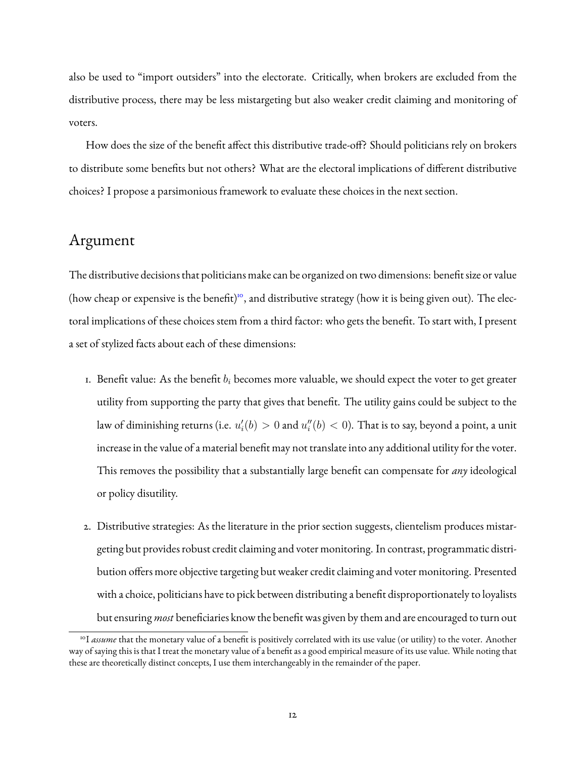also be used to "import outsiders" into the electorate. Critically, when brokers are excluded from the distributive process, there may be less mistargeting but also weaker credit claiming and monitoring of voters.

How does the size of the benefit affect this distributive trade-off? Should politicians rely on brokers to distribute some benefits but not others? What are the electoral implications of different distributive choices? I propose a parsimonious framework to evaluate these choices in the next section.

### Argument

The distributive decisions that politicians make can be organized on two dimensions: benefit size or value (how cheap or expensive is the benefit)<sup>[10](#page-11-0)</sup>, and distributive strategy (how it is being given out). The electoral implications of these choices stem from a third factor: who gets the benefit. To start with, I present a set of stylized facts about each of these dimensions:

- 1. Benefit value: As the benefit  $b_i$  becomes more valuable, we should expect the voter to get greater utility from supporting the party that gives that benefit. The utility gains could be subject to the law of diminishing returns (i.e.  $u_i'(b) > 0$  and  $u_i''(b) < 0$ ). That is to say, beyond a point, a unit increase in the value of a material benefit may not translate into any additional utility for the voter. This removes the possibility that a substantially large benefit can compensate for *any* ideological or policy disutility.
- 2. Distributive strategies: As the literature in the prior section suggests, clientelism produces mistargeting but provides robust credit claiming and voter monitoring. In contrast, programmatic distribution offers more objective targeting but weaker credit claiming and voter monitoring. Presented with a choice, politicians have to pick between distributing a benefit disproportionately to loyalists but ensuring *most* beneficiaries know the benefit was given by them and are encouraged to turn out

<span id="page-11-0"></span><sup>&</sup>lt;sup>10</sup>I *assume* that the monetary value of a benefit is positively correlated with its use value (or utility) to the voter. Another way of saying this is that I treat the monetary value of a benefit as a good empirical measure of its use value. While noting that these are theoretically distinct concepts, I use them interchangeably in the remainder of the paper.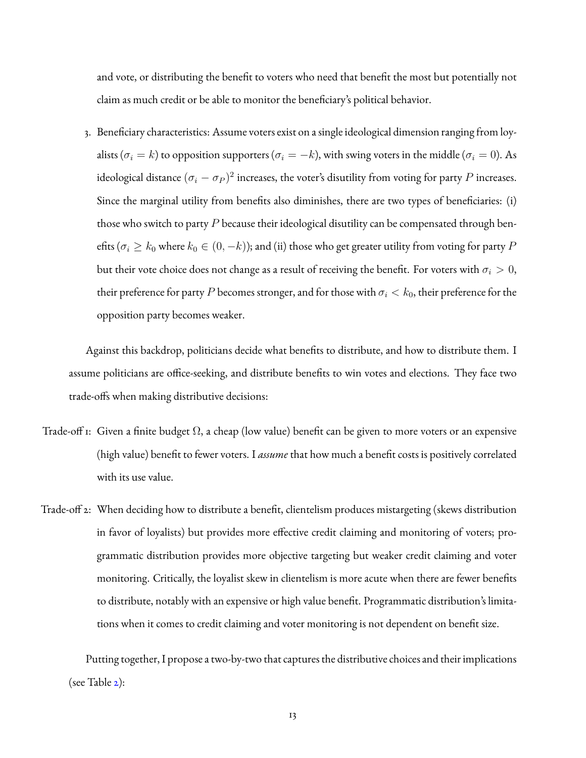and vote, or distributing the benefit to voters who need that benefit the most but potentially not claim as much credit or be able to monitor the beneficiary's political behavior.

3. Beneficiary characteristics: Assume voters exist on a single ideological dimension ranging from loyalists ( $\sigma_i = k$ ) to opposition supporters ( $\sigma_i = -k$ ), with swing voters in the middle ( $\sigma_i = 0$ ). As ideological distance  $(\sigma_i-\sigma_P)^2$  increases, the voter's disutility from voting for party  $P$  increases. Since the marginal utility from benefits also diminishes, there are two types of beneficiaries: (i) those who switch to party  $P$  because their ideological disutility can be compensated through benefits ( $\sigma_i \geq k_0$  where  $k_0 \in (0, -k)$ ); and (ii) those who get greater utility from voting for party P but their vote choice does not change as a result of receiving the benefit. For voters with  $\sigma_i > 0$ , their preference for party P becomes stronger, and for those with  $\sigma_i < k_0$ , their preference for the opposition party becomes weaker.

Against this backdrop, politicians decide what benefits to distribute, and how to distribute them. I assume politicians are office-seeking, and distribute benefits to win votes and elections. They face two trade-offs when making distributive decisions:

- Trade-off 1: Given a finite budget  $\Omega$ , a cheap (low value) benefit can be given to more voters or an expensive (high value) benefit to fewer voters. I *assume* that how much a benefit costs is positively correlated with its use value.
- Trade-off 2: When deciding how to distribute a benefit, clientelism produces mistargeting (skews distribution in favor of loyalists) but provides more effective credit claiming and monitoring of voters; programmatic distribution provides more objective targeting but weaker credit claiming and voter monitoring. Critically, the loyalist skew in clientelism is more acute when there are fewer benefits to distribute, notably with an expensive or high value benefit. Programmatic distribution's limitations when it comes to credit claiming and voter monitoring is not dependent on benefit size.

Putting together, I propose a two-by-two that captures the distributive choices and their implications (see Table [2\)](#page-13-0):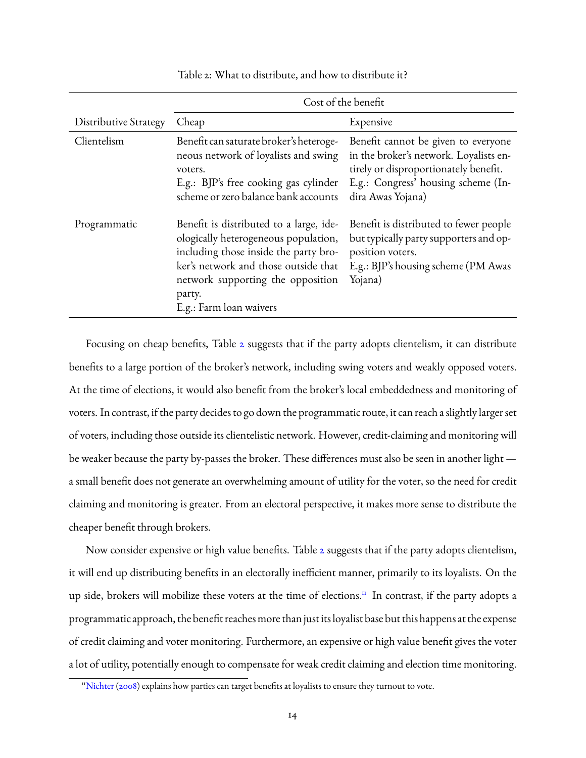<span id="page-13-0"></span>

|                              | Cost of the benefit                                                                                                                                                                                                                        |                                                                                                                                                                                    |  |  |
|------------------------------|--------------------------------------------------------------------------------------------------------------------------------------------------------------------------------------------------------------------------------------------|------------------------------------------------------------------------------------------------------------------------------------------------------------------------------------|--|--|
| <b>Distributive Strategy</b> | Cheap                                                                                                                                                                                                                                      | Expensive                                                                                                                                                                          |  |  |
| Clientelism                  | Benefit can saturate broker's heteroge-<br>neous network of loyalists and swing<br>voters.<br>E.g.: BJP's free cooking gas cylinder<br>scheme or zero balance bank accounts                                                                | Benefit cannot be given to everyone<br>in the broker's network. Loyalists en-<br>tirely or disproportionately benefit.<br>E.g.: Congress' housing scheme (In-<br>dira Awas Yojana) |  |  |
| Programmatic                 | Benefit is distributed to a large, ide-<br>ologically heterogeneous population,<br>including those inside the party bro-<br>ker's network and those outside that<br>network supporting the opposition<br>party.<br>E.g.: Farm loan waivers | Benefit is distributed to fewer people<br>but typically party supporters and op-<br>position voters.<br>E.g.: BJP's housing scheme (PM Awas<br>Yojana)                             |  |  |

Table 2: What to distribute, and how to distribute it?

Focusing on cheap benefits, Table [2](#page-13-0) suggests that if the party adopts clientelism, it can distribute benefits to a large portion of the broker's network, including swing voters and weakly opposed voters. At the time of elections, it would also benefit from the broker's local embeddedness and monitoring of voters. In contrast, if the party decides to go down the programmatic route, it can reach a slightly larger set of voters, including those outside its clientelistic network. However, credit-claiming and monitoring will be weaker because the party by-passes the broker. These differences must also be seen in another light a small benefit does not generate an overwhelming amount of utility for the voter, so the need for credit claiming and monitoring is greater. From an electoral perspective, it makes more sense to distribute the cheaper benefit through brokers.

Now consider expensive or high value benefits. Table [2](#page-13-0) suggests that if the party adopts clientelism, it will end up distributing benefits in an electorally inefficient manner, primarily to its loyalists. On the up side, brokers will mobilize these voters at the time of elections.<sup>[11](#page-13-1)</sup> In contrast, if the party adopts a programmatic approach, the benefit reaches more than just its loyalist base but this happens at the expense of credit claiming and voter monitoring. Furthermore, an expensive or high value benefit gives the voter a lot of utility, potentially enough to compensate for weak credit claiming and election time monitoring.

<span id="page-13-1"></span><sup>&</sup>lt;sup>11</sup>[Nichter](#page-31-15) [\(2008\)](#page-31-15) explains how parties can target benefits at loyalists to ensure they turnout to vote.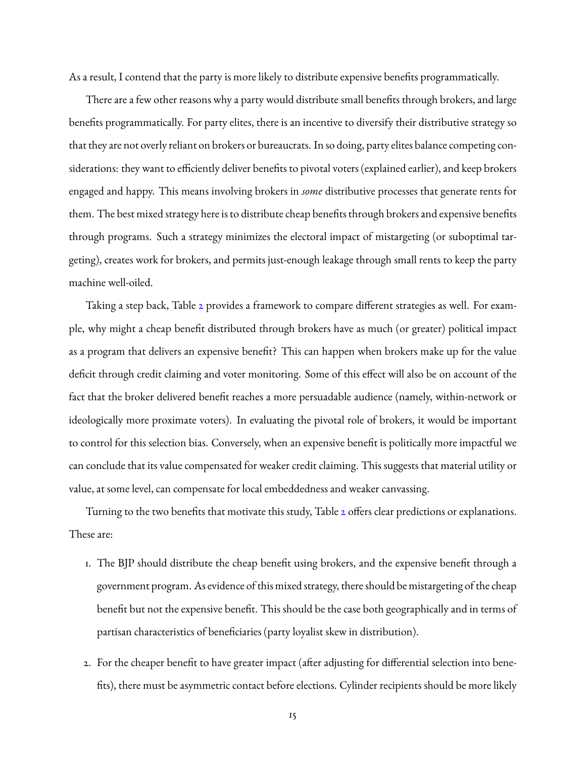As a result, I contend that the party is more likely to distribute expensive benefits programmatically.

There are a few other reasons why a party would distribute small benefits through brokers, and large benefits programmatically. For party elites, there is an incentive to diversify their distributive strategy so that they are not overly reliant on brokers or bureaucrats. In so doing, party elites balance competing considerations: they want to efficiently deliver benefits to pivotal voters (explained earlier), and keep brokers engaged and happy. This means involving brokers in *some* distributive processes that generate rents for them. The best mixed strategy here is to distribute cheap benefits through brokers and expensive benefits through programs. Such a strategy minimizes the electoral impact of mistargeting (or suboptimal targeting), creates work for brokers, and permits just-enough leakage through small rents to keep the party machine well-oiled.

Taking a step back, Table [2](#page-13-0) provides a framework to compare different strategies as well. For example, why might a cheap benefit distributed through brokers have as much (or greater) political impact as a program that delivers an expensive benefit? This can happen when brokers make up for the value deficit through credit claiming and voter monitoring. Some of this effect will also be on account of the fact that the broker delivered benefit reaches a more persuadable audience (namely, within-network or ideologically more proximate voters). In evaluating the pivotal role of brokers, it would be important to control for this selection bias. Conversely, when an expensive benefit is politically more impactful we can conclude that its value compensated for weaker credit claiming. This suggests that material utility or value, at some level, can compensate for local embeddedness and weaker canvassing.

Turning to the two benefits that motivate this study, Table [2](#page-13-0) offers clear predictions or explanations. These are:

- 1. The BJP should distribute the cheap benefit using brokers, and the expensive benefit through a government program. As evidence of this mixed strategy, there should be mistargeting of the cheap benefit but not the expensive benefit. This should be the case both geographically and in terms of partisan characteristics of beneficiaries (party loyalist skew in distribution).
- 2. For the cheaper benefit to have greater impact (after adjusting for differential selection into benefits), there must be asymmetric contact before elections. Cylinder recipients should be more likely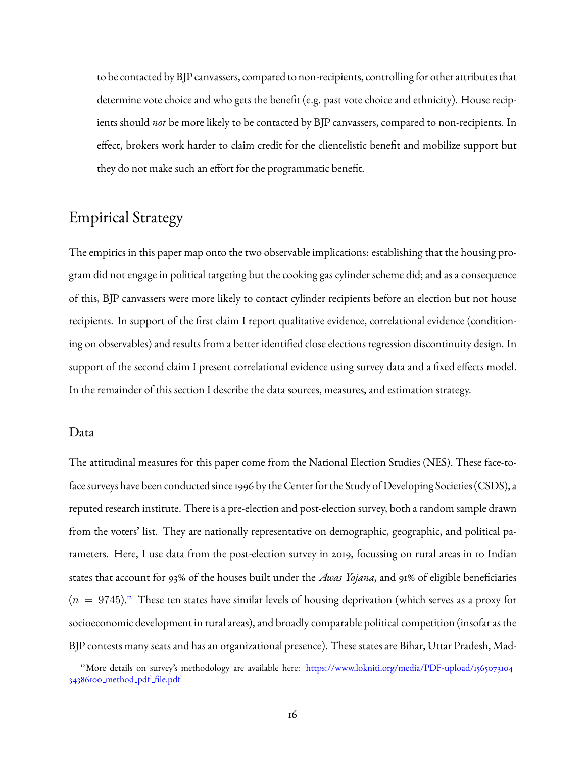to be contacted by BJP canvassers, compared to non-recipients, controlling for other attributes that determine vote choice and who gets the benefit (e.g. past vote choice and ethnicity). House recipients should *not* be more likely to be contacted by BJP canvassers, compared to non-recipients. In effect, brokers work harder to claim credit for the clientelistic benefit and mobilize support but they do not make such an effort for the programmatic benefit.

# Empirical Strategy

The empirics in this paper map onto the two observable implications: establishing that the housing program did not engage in political targeting but the cooking gas cylinder scheme did; and as a consequence of this, BJP canvassers were more likely to contact cylinder recipients before an election but not house recipients. In support of the first claim I report qualitative evidence, correlational evidence (conditioning on observables) and results from a better identified close elections regression discontinuity design. In support of the second claim I present correlational evidence using survey data and a fixed effects model. In the remainder of this section I describe the data sources, measures, and estimation strategy.

### Data

The attitudinal measures for this paper come from the National Election Studies (NES). These face-toface surveys have been conducted since 1996 by the Center for the Study of Developing Societies (CSDS), a reputed research institute. There is a pre-election and post-election survey, both a random sample drawn from the voters' list. They are nationally representative on demographic, geographic, and political parameters. Here, I use data from the post-election survey in 2019, focussing on rural areas in 10 Indian states that account for 93% of the houses built under the *Awas Yojana*, and 91% of eligible beneficiaries  $(n = 9745)^{12}$  $(n = 9745)^{12}$  $(n = 9745)^{12}$  These ten states have similar levels of housing deprivation (which serves as a proxy for socioeconomic development in rural areas), and broadly comparable political competition (insofar as the BJP contests many seats and has an organizational presence). These states are Bihar, Uttar Pradesh, Mad-

<span id="page-15-0"></span><sup>&</sup>lt;sup>12</sup>More details on survey's methodology are available here: [https://www.lokniti.org/media/PDF-upload/1565073104](https://www.lokniti.org/media/PDF-upload/1565073104_34386100_method_pdf_file.pdf)-[34386100](https://www.lokniti.org/media/PDF-upload/1565073104_34386100_method_pdf_file.pdf) method pdf file.pdf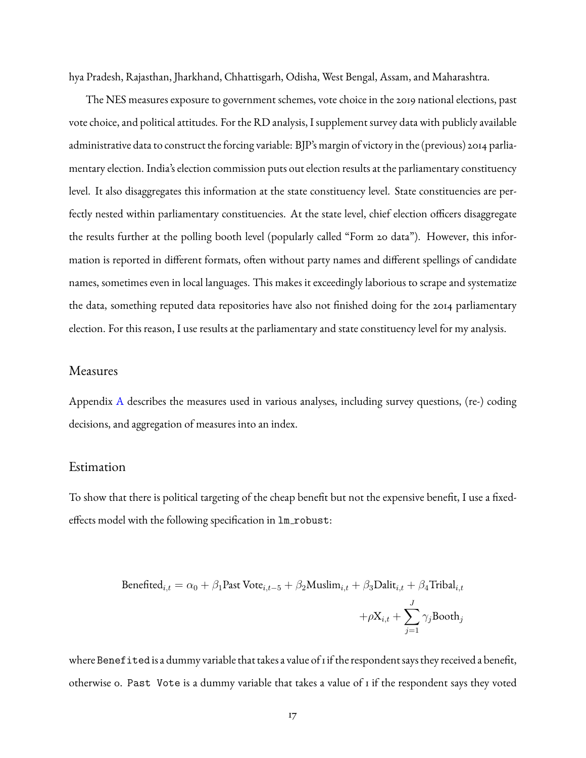hya Pradesh, Rajasthan, Jharkhand, Chhattisgarh, Odisha, West Bengal, Assam, and Maharashtra.

The NES measures exposure to government schemes, vote choice in the 2019 national elections, past vote choice, and political attitudes. For the RD analysis, I supplement survey data with publicly available administrative data to construct the forcing variable: BJP's margin of victory in the (previous) 2014 parliamentary election. India's election commission puts out election results at the parliamentary constituency level. It also disaggregates this information at the state constituency level. State constituencies are perfectly nested within parliamentary constituencies. At the state level, chief election officers disaggregate the results further at the polling booth level (popularly called "Form 20 data"). However, this information is reported in different formats, often without party names and different spellings of candidate names, sometimes even in local languages. This makes it exceedingly laborious to scrape and systematize the data, something reputed data repositories have also not finished doing for the 2014 parliamentary election. For this reason, I use results at the parliamentary and state constituency level for my analysis.

### Measures

Appendix [A](#page-34-0) describes the measures used in various analyses, including survey questions, (re-) coding decisions, and aggregation of measures into an index.

### Estimation

To show that there is political targeting of the cheap benefit but not the expensive benefit, I use a fixedeffects model with the following specification in  $lm\_robust$ :

$$
\begin{aligned} \text{Benefited}_{i,t} = \alpha_0 + \beta_1 \text{Fast Vote}_{i,t-5} + \beta_2 \text{Muslim}_{i,t} + \beta_3 \text{Dalit}_{i,t} + \beta_4 \text{Tribal}_{i,t} \\ + \rho \text{X}_{i,t} + \sum_{j=1}^J \gamma_j \text{Booth}_j \end{aligned}
$$

where Benefited is a dummy variable that takes a value of 1 if the respondent says they received a benefit, otherwise 0. Past Vote is a dummy variable that takes a value of 1 if the respondent says they voted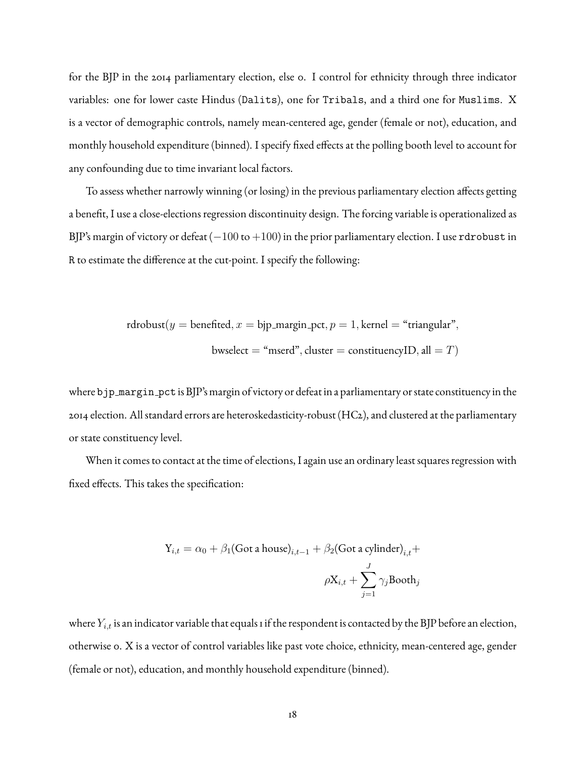for the BJP in the 2014 parliamentary election, else 0. I control for ethnicity through three indicator variables: one for lower caste Hindus (Dalits), one for Tribals, and a third one for Muslims. X is a vector of demographic controls, namely mean-centered age, gender (female or not), education, and monthly household expenditure (binned). I specify fixed effects at the polling booth level to account for any confounding due to time invariant local factors.

To assess whether narrowly winning (or losing) in the previous parliamentary election affects getting a benefit, I use a close-elections regression discontinuity design. The forcing variable is operationalized as BJP's margin of victory or defeat ( $-100$  to  $+100$ ) in the prior parliamentary election. I use rdrobust in R to estimate the difference at the cut-point. I specify the following:

rdrobust(
$$
y
$$
 = benefited,  $x$  = bip-margin-pct,  $p$  = 1, kernel = "triangular",  
bwselect = "mserd", cluster = constituencylD, all =  $T$ )

where bjp margin pct is BJP's margin of victory or defeat in a parliamentary or state constituency in the 2014 election. All standard errors are heteroskedasticity-robust (HC2), and clustered at the parliamentary or state constituency level.

When it comes to contact at the time of elections, I again use an ordinary least squares regression with fixed effects. This takes the specification:

$$
Y_{i,t} = \alpha_0 + \beta_1 (\text{Got a house})_{i,t-1} + \beta_2 (\text{Got a cylinder})_{i,t} +
$$

$$
\rho X_{i,t} + \sum_{j=1}^{J} \gamma_j \text{Bookh}_j
$$

where  $Y_{i,t}$  is an indicator variable that equals 1 if the respondent is contacted by the BJP before an election, otherwise 0. X is a vector of control variables like past vote choice, ethnicity, mean-centered age, gender (female or not), education, and monthly household expenditure (binned).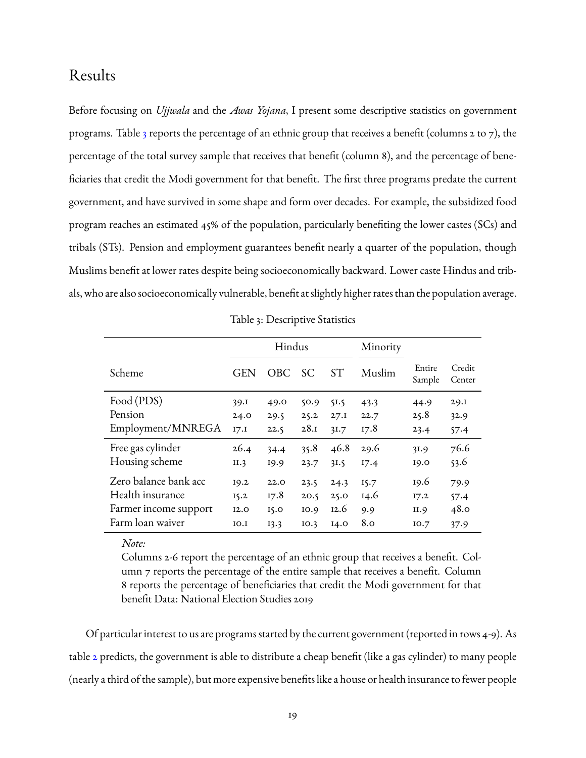# Results

Before focusing on *Ujjwala* and the *Awas Yojana*, I present some descriptive statistics on government programs. Table [3](#page-18-0) reports the percentage of an ethnic group that receives a benefit (columns 2 to 7), the percentage of the total survey sample that receives that benefit (column 8), and the percentage of beneficiaries that credit the Modi government for that benefit. The first three programs predate the current government, and have survived in some shape and form over decades. For example, the subsidized food program reaches an estimated 45% of the population, particularly benefiting the lower castes (SCs) and tribals (STs). Pension and employment guarantees benefit nearly a quarter of the population, though Muslims benefit at lower rates despite being socioeconomically backward. Lower caste Hindus and tribals, who are also socioeconomically vulnerable, benefit at slightly higher rates than the population average.

<span id="page-18-0"></span>

|                       |            | Hindus |      |           | Minority |                  |                  |
|-----------------------|------------|--------|------|-----------|----------|------------------|------------------|
| Scheme                | <b>GEN</b> | OBC.   | SC   | <b>ST</b> | Muslim   | Entire<br>Sample | Credit<br>Center |
| Food (PDS)            | 39.I       | 49.0   | 50.9 | 51.5      | 43.3     | 44.9             | 29.1             |
| Pension               | 24.0       | 29.5   | 25.2 | 27.1      | 22.7     | 25.8             | 32.9             |
| Employment/MNREGA     | I7.1       | 22.5   | 28.1 | 31.7      | 17.8     | 23.4             | 57.4             |
| Free gas cylinder     | 26.4       | 34.4   | 35.8 | 46.8      | 29.6     | 31.9             | 76.6             |
| Housing scheme        | II.3       | 19.9   | 23.7 | 31.5      | 17.4     | 19.0             | 53.6             |
| Zero balance bank acc | 19.2       | 22.0   | 23.5 | 24.3      | 15.7     | 19.6             | 79.9             |
| Health insurance      | 15.2       | 17.8   | 20.5 | 25.0      | 14.6     | 17.2             | 57.4             |
| Farmer income support | I2.0       | 15.0   | 10.9 | 12.6      | 9.9      | II.9             | 48.0             |
| Farm loan waiver      | IO.I       | 13.3   | IO.3 | I4.0      | 8.0      | IO.7             | 37.9             |

Table 3: Descriptive Statistics

#### *Note:*

Columns 2-6 report the percentage of an ethnic group that receives a benefit. Column 7 reports the percentage of the entire sample that receives a benefit. Column 8 reports the percentage of beneficiaries that credit the Modi government for that benefit Data: National Election Studies 2019

Of particular interest to us are programs started by the current government (reported in rows 4-9). As table [2](#page-13-0) predicts, the government is able to distribute a cheap benefit (like a gas cylinder) to many people (nearly a third of the sample), but more expensive benefits like a house or health insurance to fewer people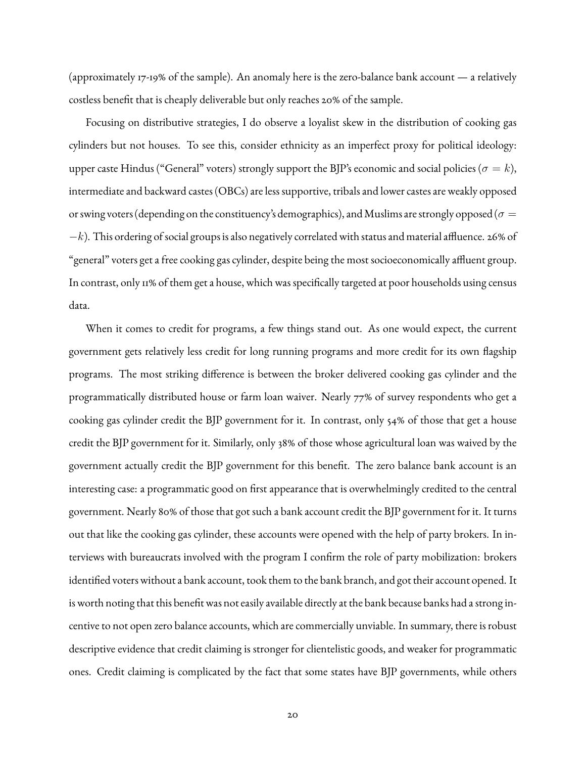(approximately 17-19% of the sample). An anomaly here is the zero-balance bank account — a relatively costless benefit that is cheaply deliverable but only reaches 20% of the sample.

Focusing on distributive strategies, I do observe a loyalist skew in the distribution of cooking gas cylinders but not houses. To see this, consider ethnicity as an imperfect proxy for political ideology: upper caste Hindus ("General" voters) strongly support the BJP's economic and social policies ( $\sigma = k$ ), intermediate and backward castes (OBCs) are less supportive, tribals and lower castes are weakly opposed or swing voters (depending on the constituency's demographics), and Muslims are strongly opposed ( $\sigma =$  $-k$ ). This ordering of social groups is also negatively correlated with status and material affluence. 26% of "general" voters get a free cooking gas cylinder, despite being the most socioeconomically affluent group. In contrast, only 11% of them get a house, which was specifically targeted at poor households using census data.

When it comes to credit for programs, a few things stand out. As one would expect, the current government gets relatively less credit for long running programs and more credit for its own flagship programs. The most striking difference is between the broker delivered cooking gas cylinder and the programmatically distributed house or farm loan waiver. Nearly 77% of survey respondents who get a cooking gas cylinder credit the BJP government for it. In contrast, only 54% of those that get a house credit the BJP government for it. Similarly, only 38% of those whose agricultural loan was waived by the government actually credit the BJP government for this benefit. The zero balance bank account is an interesting case: a programmatic good on first appearance that is overwhelmingly credited to the central government. Nearly 80% of those that got such a bank account credit the BJP government for it. It turns out that like the cooking gas cylinder, these accounts were opened with the help of party brokers. In interviews with bureaucrats involved with the program I confirm the role of party mobilization: brokers identified voters without a bank account, took them to the bank branch, and got their account opened. It is worth noting that this benefit was not easily available directly at the bank because banks had a strong incentive to not open zero balance accounts, which are commercially unviable. In summary, there is robust descriptive evidence that credit claiming is stronger for clientelistic goods, and weaker for programmatic ones. Credit claiming is complicated by the fact that some states have BJP governments, while others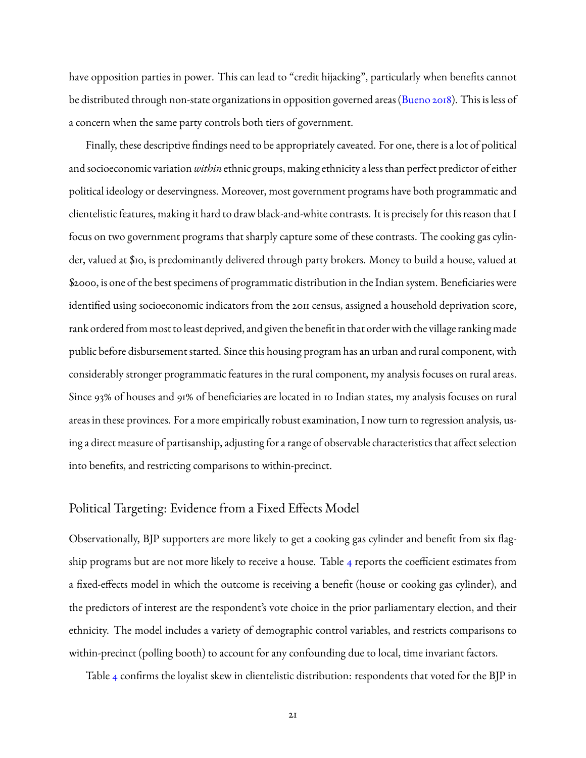have opposition parties in power. This can lead to "credit hijacking", particularly when benefits cannot be distributed through non-state organizations in opposition governed areas [\(Bueno](#page-29-13) [2018\)](#page-29-13). This is less of a concern when the same party controls both tiers of government.

Finally, these descriptive findings need to be appropriately caveated. For one, there is a lot of political and socioeconomic variation *within* ethnic groups, making ethnicity a less than perfect predictor of either political ideology or deservingness. Moreover, most government programs have both programmatic and clientelistic features, making it hard to draw black-and-white contrasts. It is precisely for this reason that I focus on two government programs that sharply capture some of these contrasts. The cooking gas cylinder, valued at \$10, is predominantly delivered through party brokers. Money to build a house, valued at \$2000, is one of the best specimens of programmatic distribution in the Indian system. Beneficiaries were identified using socioeconomic indicators from the 2011 census, assigned a household deprivation score, rank ordered from most to least deprived, and given the benefit in that order with the village ranking made public before disbursement started. Since this housing program has an urban and rural component, with considerably stronger programmatic features in the rural component, my analysis focuses on rural areas. Since 93% of houses and 91% of beneficiaries are located in 10 Indian states, my analysis focuses on rural areas in these provinces. For a more empirically robust examination, I now turn to regression analysis, using a direct measure of partisanship, adjusting for a range of observable characteristics that affect selection into benefits, and restricting comparisons to within-precinct.

### Political Targeting: Evidence from a Fixed Effects Model

Observationally, BJP supporters are more likely to get a cooking gas cylinder and benefit from six flagship programs but are not more likely to receive a house. Table [4](#page-21-0) reports the coefficient estimates from a fixed-effects model in which the outcome is receiving a benefit (house or cooking gas cylinder), and the predictors of interest are the respondent's vote choice in the prior parliamentary election, and their ethnicity. The model includes a variety of demographic control variables, and restricts comparisons to within-precinct (polling booth) to account for any confounding due to local, time invariant factors.

Table [4](#page-21-0) confirms the loyalist skew in clientelistic distribution: respondents that voted for the BJP in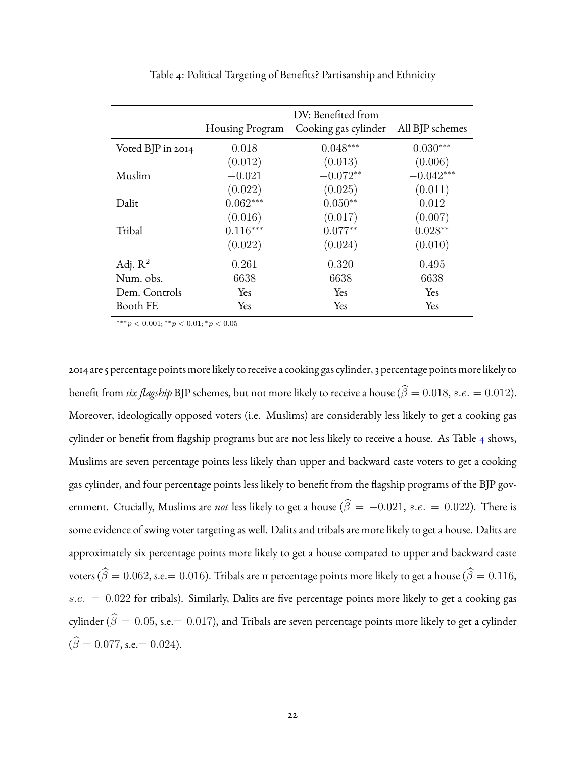<span id="page-21-0"></span>

|                   |                 | DV: Benefited from   |                 |
|-------------------|-----------------|----------------------|-----------------|
|                   | Housing Program | Cooking gas cylinder | All BJP schemes |
| Voted BJP in 2014 | 0.018           | $0.048***$           | $0.030***$      |
|                   | (0.012)         | (0.013)              | (0.006)         |
| Muslim            | $-0.021$        | $-0.072**$           | $-0.042***$     |
|                   | (0.022)         | (0.025)              | (0.011)         |
| Dalit             | $0.062***$      | $0.050**$            | 0.012           |
|                   | (0.016)         | (0.017)              | (0.007)         |
| Tribal            | $0.116***$      | $0.077**$            | $0.028**$       |
|                   | (0.022)         | (0.024)              | (0.010)         |
| Adj. $R^2$        | 0.261           | 0.320                | 0.495           |
| Num. obs.         | 6638            | 6638                 | 6638            |
| Dem. Controls     | <b>Yes</b>      | Yes                  | Yes             |
| Booth FE          | Yes             | Yes                  | Yes             |

Table 4: Political Targeting of Benefits? Partisanship and Ethnicity

 $***p<0.001; **p<0.01; *p<0.05$ 

2014 are 5 percentage points more likely to receive a cooking gas cylinder, 3 percentage points more likely to benefit from *six flagship* BJP schemes, but not more likely to receive a house ( $\widehat{\beta} = 0.018$ , s.e. = 0.012). Moreover, ideologically opposed voters (i.e. Muslims) are considerably less likely to get a cooking gas cylinder or benefit from flagship programs but are not less likely to receive a house. As Table [4](#page-21-0) shows, Muslims are seven percentage points less likely than upper and backward caste voters to get a cooking gas cylinder, and four percentage points less likely to benefit from the flagship programs of the BJP government. Crucially, Muslims are *not* less likely to get a house ( $\hat{\beta} = -0.021$ , s.e. = 0.022). There is some evidence of swing voter targeting as well. Dalits and tribals are more likely to get a house. Dalits are approximately six percentage points more likely to get a house compared to upper and backward caste voters ( $\hat{\beta} = 0.062$ , s.e.= 0.016). Tribals are 11 percentage points more likely to get a house ( $\hat{\beta} = 0.116$ ,  $s.e. = 0.022$  for tribals). Similarly, Dalits are five percentage points more likely to get a cooking gas cylinder ( $\widehat{\beta}=0.05$ , s.e.= 0.017), and Tribals are seven percentage points more likely to get a cylinder  $(\widehat{\beta} = 0.077, \text{s.e.} = 0.024).$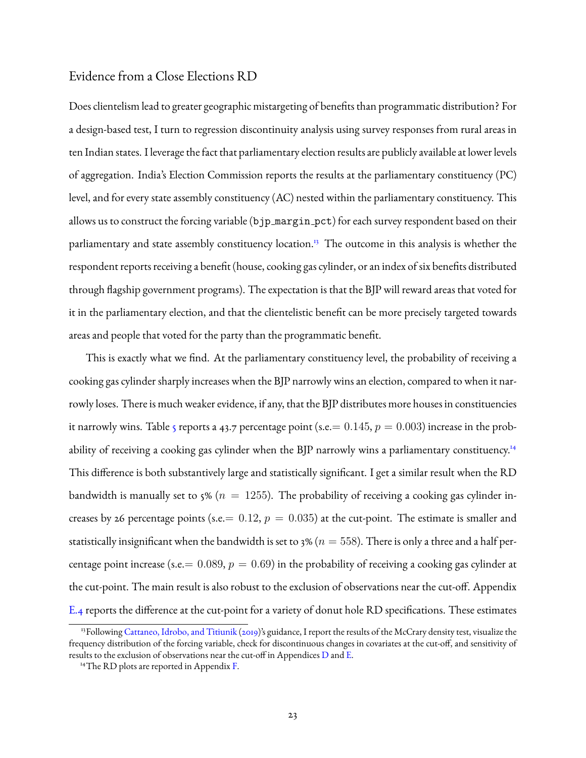### Evidence from a Close Elections RD

Does clientelism lead to greater geographic mistargeting of benefits than programmatic distribution? For a design-based test, I turn to regression discontinuity analysis using survey responses from rural areas in ten Indian states. I leverage the fact that parliamentary election results are publicly available at lower levels of aggregation. India's Election Commission reports the results at the parliamentary constituency (PC) level, and for every state assembly constituency (AC) nested within the parliamentary constituency. This allows us to construct the forcing variable (bjp margin pct) for each survey respondent based on their parliamentary and state assembly constituency location.<sup>[13](#page-22-0)</sup> The outcome in this analysis is whether the respondent reports receiving a benefit (house, cooking gas cylinder, or an index of six benefits distributed through flagship government programs). The expectation is that the BJP will reward areas that voted for it in the parliamentary election, and that the clientelistic benefit can be more precisely targeted towards areas and people that voted for the party than the programmatic benefit.

This is exactly what we find. At the parliamentary constituency level, the probability of receiving a cooking gas cylinder sharply increases when the BJP narrowly wins an election, compared to when it narrowly loses. There is much weaker evidence, if any, that the BJP distributes more houses in constituencies it narrowly wins. Table [5](#page-23-0) reports a 43.7 percentage point (s.e.  $= 0.145, p = 0.003$ ) increase in the prob-ability of receiving a cooking gas cylinder when the BJP narrowly wins a parliamentary constituency.<sup>[14](#page-22-1)</sup> This difference is both substantively large and statistically significant. I get a similar result when the RD bandwidth is manually set to 5% ( $n = 1255$ ). The probability of receiving a cooking gas cylinder increases by 26 percentage points (s.e. =  $0.12$ ,  $p = 0.035$ ) at the cut-point. The estimate is smaller and statistically insignificant when the bandwidth is set to 3% ( $n = 558$ ). There is only a three and a half percentage point increase (s.e. =  $0.089$ ,  $p = 0.69$ ) in the probability of receiving a cooking gas cylinder at the cut-point. The main result is also robust to the exclusion of observations near the cut-off. Appendix [E.4](#page-58-0) reports the difference at the cut-point for a variety of donut hole RD specifications. These estimates

<span id="page-22-0"></span><sup>&</sup>lt;sup>13</sup>Following [Cattaneo, Idrobo, and Titiunik](#page-29-14) [\(2019\)](#page-29-14)'s guidance, I report the results of the McCrary density test, visualize the frequency distribution of the forcing variable, check for discontinuous changes in covariates at the cut-off, and sensitivity of results to the exclusion of observations near the cut-off in Appendices [D](#page-48-0) and [E.](#page-54-0)

<span id="page-22-1"></span><sup>&</sup>lt;sup>14</sup>The RD plots are reported in Appendix [F.](#page-60-0)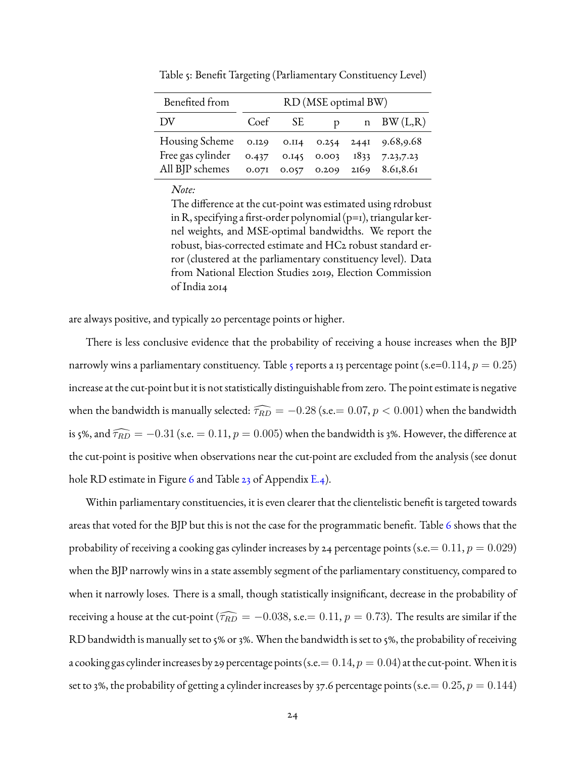<span id="page-23-0"></span>

| Benefited from                                                                                      | RD (MSE optimal BW) |           |              |  |                |
|-----------------------------------------------------------------------------------------------------|---------------------|-----------|--------------|--|----------------|
| 1.0 <sub>V</sub>                                                                                    | Coef                | <b>SE</b> | $\mathbf{D}$ |  | $n$ BW $(L,R)$ |
| Housing Scheme 0.129 0.114 0.254 2441 9.68,9.68<br>All BJP schemes 0.071 0.057 0.209 2169 8.61,8.61 |                     |           |              |  |                |

Table 5: Benefit Targeting (Parliamentary Constituency Level)

The difference at the cut-point was estimated using rdrobust in R, specifying a first-order polynomial  $(p=1)$ , triangular kernel weights, and MSE-optimal bandwidths. We report the robust, bias-corrected estimate and HC2 robust standard error (clustered at the parliamentary constituency level). Data from National Election Studies 2019, Election Commission of India 2014

are always positive, and typically 20 percentage points or higher.

There is less conclusive evidence that the probability of receiving a house increases when the BJP narrowly wins a parliamentary constituency. Table [5](#page-23-0) reports a 13 percentage point (s.e=0.114,  $p = 0.25$ ) increase at the cut-point but it is not statistically distinguishable from zero. The point estimate is negative when the bandwidth is manually selected:  $\widehat{\tau_{RD}} = -0.28$  (s.e.= 0.07,  $p < 0.001$ ) when the bandwidth is 5%, and  $\widehat{\tau_{RD}} = -0.31$  (s.e. = 0.11,  $p = 0.005$ ) when the bandwidth is 3%. However, the difference at the cut-point is positive when observations near the cut-point are excluded from the analysis (see donut hole RD estimate in Figure [6](#page-58-1) and Table [23](#page-59-0) of Appendix [E.4\)](#page-58-0).

Within parliamentary constituencies, it is even clearer that the clientelistic benefit is targeted towards areas that voted for the BJP but this is not the case for the programmatic benefit. Table [6](#page-24-0) shows that the probability of receiving a cooking gas cylinder increases by 24 percentage points (s.e.  $= 0.11, p = 0.029$ ) when the BJP narrowly wins in a state assembly segment of the parliamentary constituency, compared to when it narrowly loses. There is a small, though statistically insignificant, decrease in the probability of receiving a house at the cut-point ( $\widehat{\tau_{RD}} = -0.038$ , s.e. = 0.11,  $p = 0.73$ ). The results are similar if the RD bandwidth is manually set to 5% or 3%. When the bandwidth is set to 5%, the probability of receiving a cooking gas cylinder increases by 29 percentage points (s.e.  $= 0.14, p = 0.04$ ) at the cut-point. When it is set to 3%, the probability of getting a cylinder increases by 37.6 percentage points (s.e.  $= 0.25, p = 0.144$ )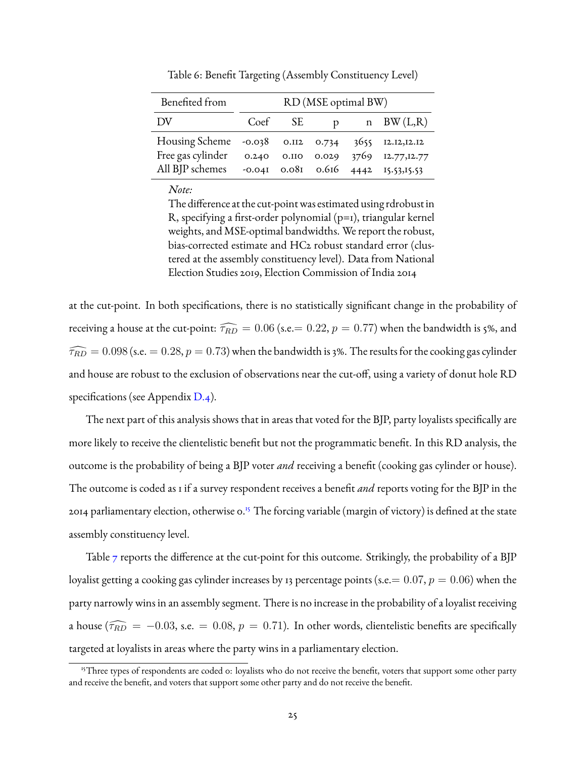<span id="page-24-0"></span>

| Benefited from                                     | RD (MSE optimal BW) |         |              |  |                                               |
|----------------------------------------------------|---------------------|---------|--------------|--|-----------------------------------------------|
| DV.                                                |                     | Coef SE | $\mathbf{D}$ |  | n BW $(L,R)$                                  |
| Housing Scheme -0.038 0.112 0.734 3655 12.12,12.12 |                     |         |              |  |                                               |
| Free gas cylinder                                  | 0.240               |         |              |  | 0.110 0.029 3769 12.77, 12.77                 |
| All BJP schemes                                    |                     |         |              |  | $-0.041$ $0.081$ $0.616$ $4442$ $15.53,15.53$ |

Table 6: Benefit Targeting (Assembly Constituency Level)

The difference at the cut-point was estimated using rdrobust in R, specifying a first-order polynomial (p=1), triangular kernel weights, and MSE-optimal bandwidths. We report the robust, bias-corrected estimate and HC2 robust standard error (clustered at the assembly constituency level). Data from National Election Studies 2019, Election Commission of India 2014

at the cut-point. In both specifications, there is no statistically significant change in the probability of receiving a house at the cut-point:  $\widehat{\tau_{RD}} = 0.06$  (s.e.= 0.22,  $p = 0.77$ ) when the bandwidth is 5%, and  $\widehat{\tau_{RD}} = 0.098$  (s.e. = 0.28,  $p = 0.73$ ) when the bandwidth is 3%. The results for the cooking gas cylinder and house are robust to the exclusion of observations near the cut-off, using a variety of donut hole RD specifications (see Appendix [D.4\)](#page-52-0).

The next part of this analysis shows that in areas that voted for the BJP, party loyalists specifically are more likely to receive the clientelistic benefit but not the programmatic benefit. In this RD analysis, the outcome is the probability of being a BJP voter *and* receiving a benefit (cooking gas cylinder or house). The outcome is coded as 1 if a survey respondent receives a benefit *and* reports voting for the BJP in the 2014 parliamentary election, otherwise 0.[15](#page-24-1) The forcing variable (margin of victory) is defined at the state assembly constituency level.

Table  $\tau$  reports the difference at the cut-point for this outcome. Strikingly, the probability of a BJP loyalist getting a cooking gas cylinder increases by 13 percentage points (s.e.  $= 0.07, p = 0.06$ ) when the party narrowly wins in an assembly segment. There is no increase in the probability of a loyalist receiving a house ( $\widehat{\tau_{RD}} = -0.03$ , s.e. = 0.08,  $p = 0.71$ ). In other words, clientelistic benefits are specifically targeted at loyalists in areas where the party wins in a parliamentary election.

<span id="page-24-1"></span><sup>&</sup>lt;sup>15</sup>Three types of respondents are coded 0: loyalists who do not receive the benefit, voters that support some other party and receive the benefit, and voters that support some other party and do not receive the benefit.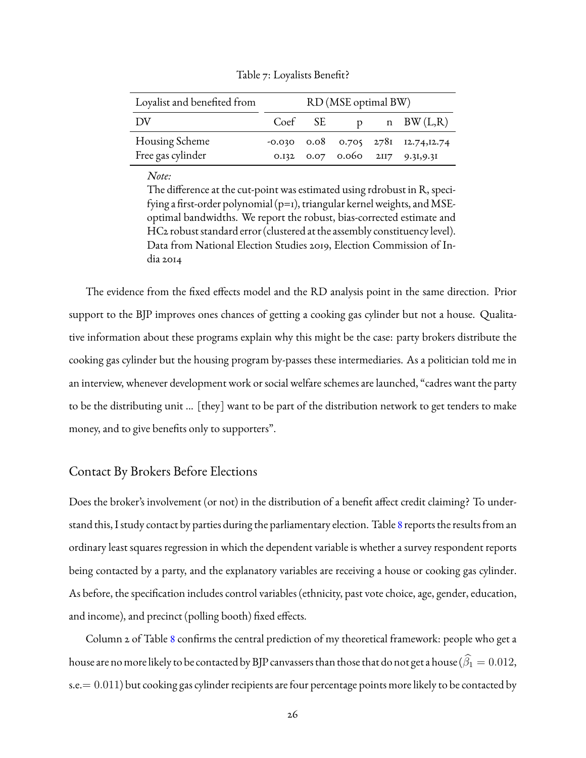<span id="page-25-0"></span>

| Loyalist and benefited from |         | RD (MSE optimal BW) |                                              |
|-----------------------------|---------|---------------------|----------------------------------------------|
| - DV                        | Coef SE |                     | p n BW(L,R)                                  |
| Housing Scheme              |         |                     | $-0.030$ $0.08$ $0.705$ $2781$ $12.74,12.74$ |
| Free gas cylinder           |         |                     | 0.132 0.07 0.060 2117 9.31,9.31              |

Table 7: Loyalists Benefit?

The difference at the cut-point was estimated using rdrobust in R, specifying a first-order polynomial (p=1), triangular kernel weights, and MSEoptimal bandwidths. We report the robust, bias-corrected estimate and HC2 robust standard error (clustered at the assembly constituency level). Data from National Election Studies 2019, Election Commission of India 2014

The evidence from the fixed effects model and the RD analysis point in the same direction. Prior support to the BJP improves ones chances of getting a cooking gas cylinder but not a house. Qualitative information about these programs explain why this might be the case: party brokers distribute the cooking gas cylinder but the housing program by-passes these intermediaries. As a politician told me in an interview, whenever development work or social welfare schemes are launched, "cadres want the party to be the distributing unit ... [they] want to be part of the distribution network to get tenders to make money, and to give benefits only to supporters".

#### Contact By Brokers Before Elections

Does the broker's involvement (or not) in the distribution of a benefit affect credit claiming? To understand this, I study contact by parties during the parliamentary election. Table [8](#page-26-0) reports the results from an ordinary least squares regression in which the dependent variable is whether a survey respondent reports being contacted by a party, and the explanatory variables are receiving a house or cooking gas cylinder. As before, the specification includes control variables (ethnicity, past vote choice, age, gender, education, and income), and precinct (polling booth) fixed effects.

Column 2 of Table [8](#page-26-0) confirms the central prediction of my theoretical framework: people who get a house are no more likely to be contacted by BJP canvassers than those that do not get a house ( $\widehat{\beta}_1 = 0.012$ , s.e.  $= 0.011$ ) but cooking gas cylinder recipients are four percentage points more likely to be contacted by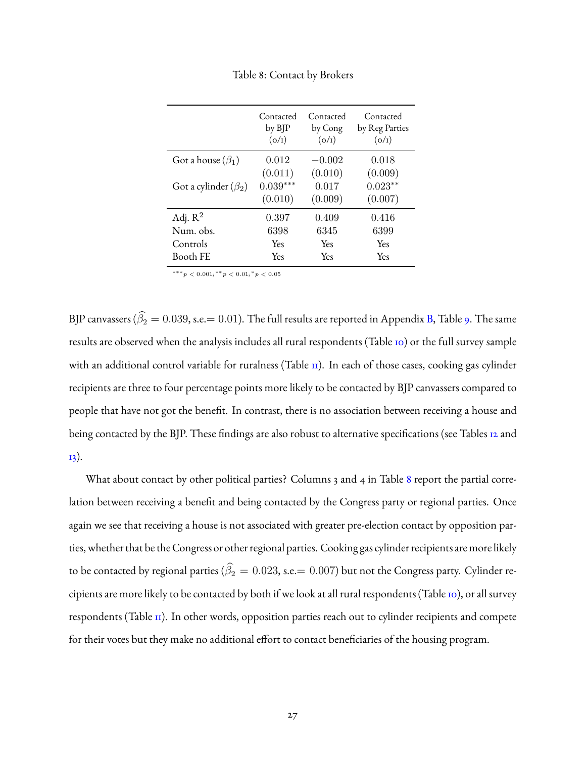<span id="page-26-0"></span>

|                            | Contacted<br>by BJP<br>(o/I) | Contacted<br>by Cong<br>(o/I) | Contacted<br>by Reg Parties<br>(o/r) |
|----------------------------|------------------------------|-------------------------------|--------------------------------------|
| Got a house $(\beta_1)$    | 0.012                        | $-0.002$                      | 0.018                                |
|                            | (0.011)                      | (0.010)                       | (0.009)                              |
| Got a cylinder $(\beta_2)$ | $0.039***$                   | 0.017                         | $0.023**$                            |
|                            | (0.010)                      | (0.009)                       | (0.007)                              |
| Adj. $R^2$                 | 0.397                        | 0.409                         | 0.416                                |
| Num. obs.                  | 6398                         | 6345                          | 6399                                 |
| Controls                   | Yes                          | Yes                           | Yes                                  |
| Booth FE                   | Yes                          | Yes                           | Yes                                  |

Table 8: Contact by Brokers

 $***p<0.001;$ <sup>\*\*</sup> $p<0.01;$ <sup>\*</sup> $p<0.05$ 

BJP canvassers ( $\widehat{\beta}_2 = 0.039$ , s.e. = 0.01). The full results are reported in Appendix [B,](#page-38-0) Table [9.](#page-39-0) The same results are observed when the analysis includes all rural respondents (Table [10\)](#page-40-0) or the full survey sample with an additional control variable for ruralness (Table II). In each of those cases, cooking gas cylinder recipients are three to four percentage points more likely to be contacted by BJP canvassers compared to people that have not got the benefit. In contrast, there is no association between receiving a house and being contacted by the BJP. These findings are also robust to alternative specifications (see Tables [12](#page-43-0) and [13\)](#page-44-0).

What about contact by other political parties? Columns 3 and 4 in Table [8](#page-26-0) report the partial correlation between receiving a benefit and being contacted by the Congress party or regional parties. Once again we see that receiving a house is not associated with greater pre-election contact by opposition parties, whether that be the Congress or other regional parties. Cooking gas cylinder recipients are more likely to be contacted by regional parties ( $\widehat{\beta}_2 = 0.023$ , s.e. = 0.007) but not the Congress party. Cylinder recipients are more likely to be contacted by both if we look at all rural respondents (Table  $\overline{10}$ ), or all survey respondents (Table [11\)](#page-41-0). In other words, opposition parties reach out to cylinder recipients and compete for their votes but they make no additional effort to contact beneficiaries of the housing program.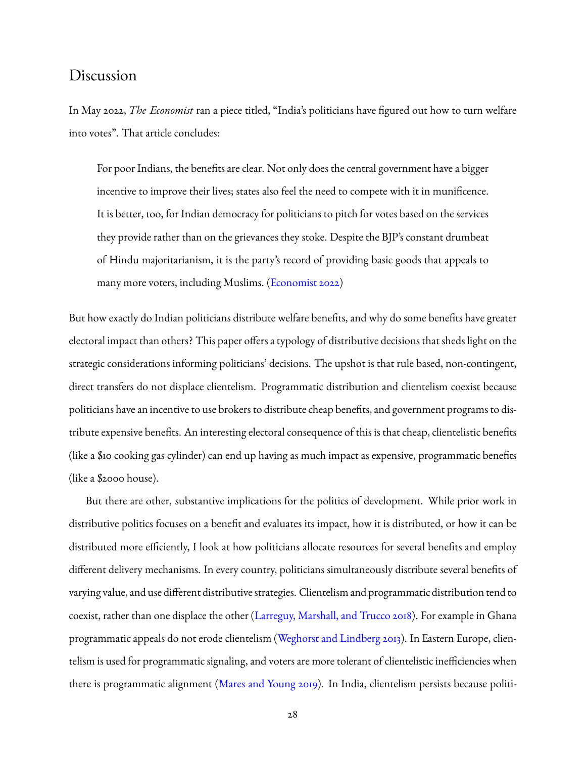## Discussion

In May 2022, *The Economist* ran a piece titled, "India's politicians have figured out how to turn welfare into votes". That article concludes:

For poor Indians, the benefits are clear. Not only does the central government have a bigger incentive to improve their lives; states also feel the need to compete with it in munificence. It is better, too, for Indian democracy for politicians to pitch for votes based on the services they provide rather than on the grievances they stoke. Despite the BJP's constant drumbeat of Hindu majoritarianism, it is the party's record of providing basic goods that appeals to many more voters, including Muslims. [\(Economist](#page-30-15) [2022\)](#page-30-15)

But how exactly do Indian politicians distribute welfare benefits, and why do some benefits have greater electoral impact than others? This paper offers a typology of distributive decisions that sheds light on the strategic considerations informing politicians' decisions. The upshot is that rule based, non-contingent, direct transfers do not displace clientelism. Programmatic distribution and clientelism coexist because politicians have an incentive to use brokers to distribute cheap benefits, and government programs to distribute expensive benefits. An interesting electoral consequence of this is that cheap, clientelistic benefits (like a \$10 cooking gas cylinder) can end up having as much impact as expensive, programmatic benefits (like a \$2000 house).

But there are other, substantive implications for the politics of development. While prior work in distributive politics focuses on a benefit and evaluates its impact, how it is distributed, or how it can be distributed more efficiently, I look at how politicians allocate resources for several benefits and employ different delivery mechanisms. In every country, politicians simultaneously distribute several benefits of varying value, and use different distributive strategies. Clientelism and programmatic distribution tend to coexist, rather than one displace the other [\(Larreguy, Marshall, and Trucco](#page-30-6) [2018\)](#page-30-6). For example in Ghana programmatic appeals do not erode clientelism [\(Weghorst and Lindberg](#page-32-1) [2013\)](#page-32-1). In Eastern Europe, clientelism is used for programmatic signaling, and voters are more tolerant of clientelistic inefficiencies when there is programmatic alignment [\(Mares and Young](#page-31-7) [2019\)](#page-31-7). In India, clientelism persists because politi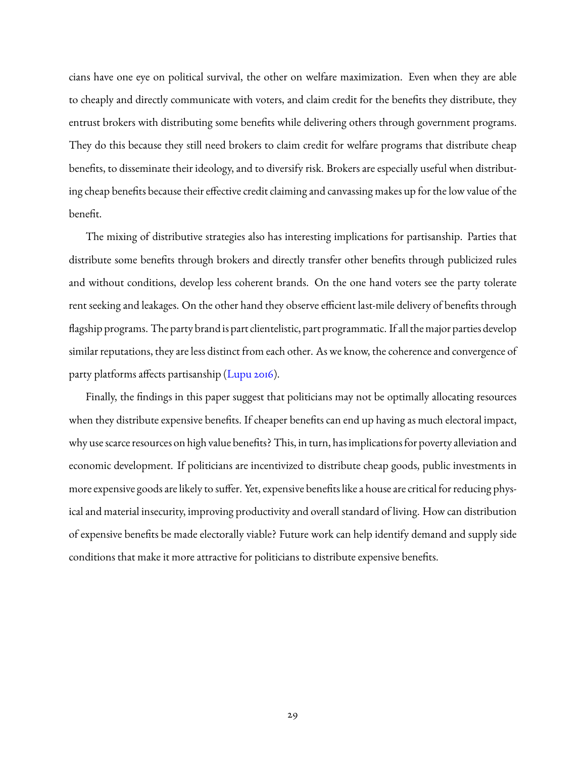cians have one eye on political survival, the other on welfare maximization. Even when they are able to cheaply and directly communicate with voters, and claim credit for the benefits they distribute, they entrust brokers with distributing some benefits while delivering others through government programs. They do this because they still need brokers to claim credit for welfare programs that distribute cheap benefits, to disseminate their ideology, and to diversify risk. Brokers are especially useful when distributing cheap benefits because their effective credit claiming and canvassing makes up for the low value of the benefit.

The mixing of distributive strategies also has interesting implications for partisanship. Parties that distribute some benefits through brokers and directly transfer other benefits through publicized rules and without conditions, develop less coherent brands. On the one hand voters see the party tolerate rent seeking and leakages. On the other hand they observe efficient last-mile delivery of benefits through flagship programs. The party brand is part clientelistic, part programmatic. If all the major parties develop similar reputations, they are less distinct from each other. As we know, the coherence and convergence of party platforms affects partisanship [\(Lupu](#page-31-8) [2016\)](#page-31-8).

Finally, the findings in this paper suggest that politicians may not be optimally allocating resources when they distribute expensive benefits. If cheaper benefits can end up having as much electoral impact, why use scarce resources on high value benefits? This, in turn, has implications for poverty alleviation and economic development. If politicians are incentivized to distribute cheap goods, public investments in more expensive goods are likely to suffer. Yet, expensive benefits like a house are critical for reducing physical and material insecurity, improving productivity and overall standard of living. How can distribution of expensive benefits be made electorally viable? Future work can help identify demand and supply side conditions that make it more attractive for politicians to distribute expensive benefits.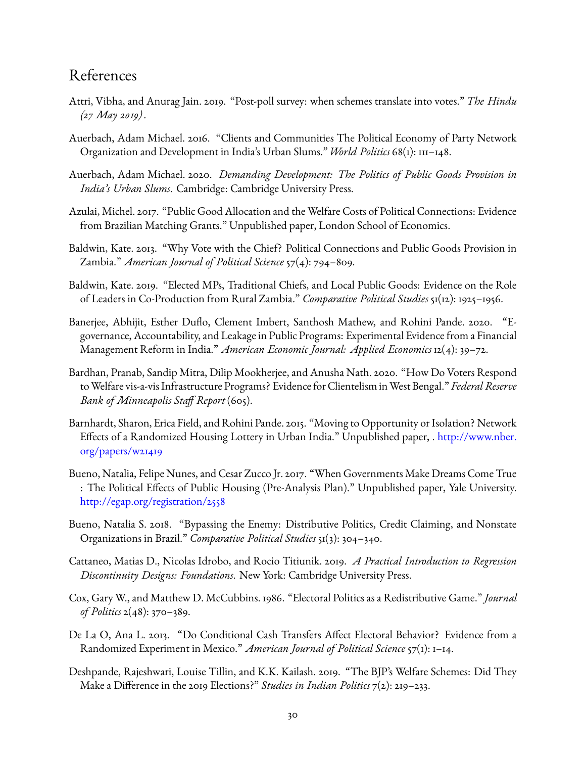# References

- <span id="page-29-4"></span>Attri, Vibha, and Anurag Jain. 2019. "Post-poll survey: when schemes translate into votes." *The Hindu (27 May 2019)* .
- <span id="page-29-12"></span>Auerbach, Adam Michael. 2016. "Clients and Communities The Political Economy of Party Network Organization and Development in India's Urban Slums." *World Politics* 68(1): 111–148.
- <span id="page-29-11"></span>Auerbach, Adam Michael. 2020. *Demanding Development: The Politics of Public Goods Provision in India's Urban Slums*. Cambridge: Cambridge University Press.
- <span id="page-29-8"></span>Azulai, Michel. 2017. "Public Good Allocation and the Welfare Costs of Political Connections: Evidence from Brazilian Matching Grants." Unpublished paper, London School of Economics.
- <span id="page-29-10"></span>Baldwin, Kate. 2013. "Why Vote with the Chief? Political Connections and Public Goods Provision in Zambia." *American Journal of Political Science* 57(4): 794–809.
- <span id="page-29-9"></span>Baldwin, Kate. 2019. "Elected MPs, Traditional Chiefs, and Local Public Goods: Evidence on the Role of Leaders in Co-Production from Rural Zambia." *Comparative Political Studies* 51(12): 1925–1956.
- <span id="page-29-3"></span>Banerjee, Abhijit, Esther Duflo, Clement Imbert, Santhosh Mathew, and Rohini Pande. 2020. "Egovernance, Accountability, and Leakage in Public Programs: Experimental Evidence from a Financial Management Reform in India." *American Economic Journal: Applied Economics* 12(4): 39–72.
- <span id="page-29-7"></span>Bardhan, Pranab, Sandip Mitra, Dilip Mookherjee, and Anusha Nath. 2020. "How Do Voters Respond toWelfare vis-a-vis Infrastructure Programs? Evidence for Clientelism inWest Bengal." *Federal Reserve Bank of Minneapolis Staff Report* (605).
- <span id="page-29-2"></span>Barnhardt, Sharon, Erica Field, and Rohini Pande. 2015. "Moving to Opportunity or Isolation? Network Effects of a Randomized Housing Lottery in Urban India." Unpublished paper, . [http://www.nber.](http://www.nber.org/papers/w21419) [org/papers/w21419](http://www.nber.org/papers/w21419)
- <span id="page-29-1"></span>Bueno, Natalia, Felipe Nunes, and Cesar Zucco Jr. 2017. "When Governments Make Dreams Come True : The Political Effects of Public Housing (Pre-Analysis Plan)." Unpublished paper, Yale University. <http://egap.org/registration/2558>
- <span id="page-29-13"></span>Bueno, Natalia S. 2018. "Bypassing the Enemy: Distributive Politics, Credit Claiming, and Nonstate Organizations in Brazil." *Comparative Political Studies* 51(3): 304–340.
- <span id="page-29-14"></span>Cattaneo, Matias D., Nicolas Idrobo, and Rocio Titiunik. 2019. *A Practical Introduction to Regression Discontinuity Designs: Foundations*. New York: Cambridge University Press.
- <span id="page-29-6"></span>Cox, Gary W., and Matthew D. McCubbins. 1986. "Electoral Politics as a Redistributive Game." *Journal of Politics* 2(48): 370–389.
- <span id="page-29-0"></span>De La O, Ana L. 2013. "Do Conditional Cash Transfers Affect Electoral Behavior? Evidence from a Randomized Experiment in Mexico." *American Journal of Political Science* 57(1): 1–14.
- <span id="page-29-5"></span>Deshpande, Rajeshwari, Louise Tillin, and K.K. Kailash. 2019. "The BJP's Welfare Schemes: Did They Make a Difference in the 2019 Elections?" *Studies in Indian Politics* 7(2): 219–233.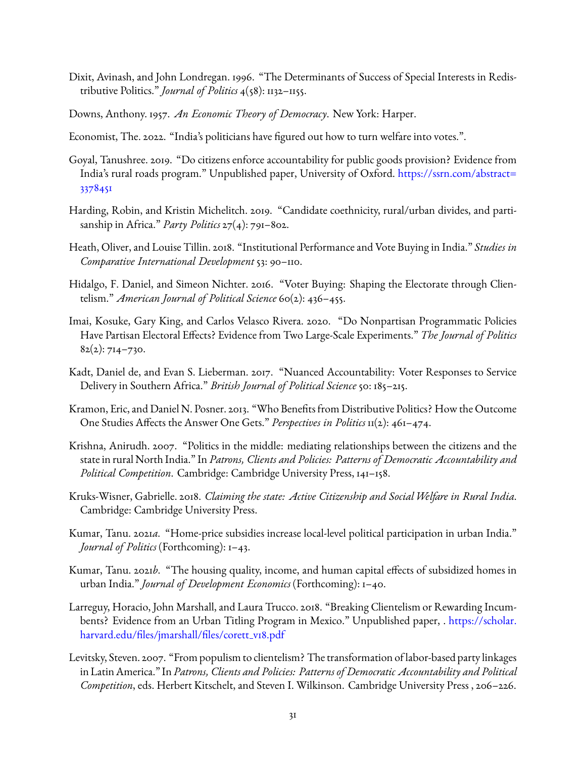- <span id="page-30-3"></span>Dixit, Avinash, and John Londregan. 1996. "The Determinants of Success of Special Interests in Redistributive Politics." *Journal of Politics* 4(58): 1132–1155.
- <span id="page-30-8"></span>Downs, Anthony. 1957. *An Economic Theory of Democracy*. New York: Harper.
- <span id="page-30-15"></span>Economist, The. 2022. "India's politicians have figured out how to turn welfare into votes.".
- <span id="page-30-0"></span>Goyal, Tanushree. 2019. "Do citizens enforce accountability for public goods provision? Evidence from India's rural roads program." Unpublished paper, University of Oxford. [https://ssrn.com/abstract=](https://ssrn.com/abstract=3378451) [3378451](https://ssrn.com/abstract=3378451)
- <span id="page-30-13"></span>Harding, Robin, and Kristin Michelitch. 2019. "Candidate coethnicity, rural/urban divides, and partisanship in Africa." *Party Politics* 27(4): 791–802.
- <span id="page-30-4"></span>Heath, Oliver, and Louise Tillin. 2018. "Institutional Performance and Vote Buying in India." *Studies in Comparative International Development* 53: 90–110.
- <span id="page-30-14"></span>Hidalgo, F. Daniel, and Simeon Nichter. 2016. "Voter Buying: Shaping the Electorate through Clientelism." *American Journal of Political Science* 60(2): 436–455.
- <span id="page-30-9"></span>Imai, Kosuke, Gary King, and Carlos Velasco Rivera. 2020. "Do Nonpartisan Programmatic Policies Have Partisan Electoral Effects? Evidence from Two Large-Scale Experiments." *The Journal of Politics*  $82(2): 714 - 730.$
- <span id="page-30-10"></span>Kadt, Daniel de, and Evan S. Lieberman. 2017. "Nuanced Accountability: Voter Responses to Service Delivery in Southern Africa." *British Journal of Political Science* 50: 185–215.
- <span id="page-30-5"></span>Kramon, Eric, and Daniel N. Posner. 2013. "Who Benefits from Distributive Politics? How the Outcome One Studies Affects the Answer One Gets." *Perspectives in Politics* 11(2): 461–474.
- <span id="page-30-11"></span>Krishna, Anirudh. 2007. "Politics in the middle: mediating relationships between the citizens and the state in rural North India." In *Patrons, Clients and Policies: Patterns of Democratic Accountability and Political Competition*. Cambridge: Cambridge University Press, 141–158.
- <span id="page-30-12"></span>Kruks-Wisner, Gabrielle. 2018. *Claiming the state: Active Citizenship and Social Welfare in Rural India*. Cambridge: Cambridge University Press.
- <span id="page-30-1"></span>Kumar, Tanu. 2021*a*. "Home-price subsidies increase local-level political participation in urban India." *Journal of Politics* (Forthcoming): 1–43.
- <span id="page-30-2"></span>Kumar, Tanu. 2021*b*. "The housing quality, income, and human capital effects of subsidized homes in urban India." *Journal of Development Economics* (Forthcoming): 1–40.
- <span id="page-30-6"></span>Larreguy, Horacio, John Marshall, and Laura Trucco. 2018. "Breaking Clientelism or Rewarding Incumbents? Evidence from an Urban Titling Program in Mexico." Unpublished paper, . [https://scholar.](https://scholar.harvard.edu/files/jmarshall/files/corett_v18.pdf) [harvard.edu/files/jmarshall/files/corett](https://scholar.harvard.edu/files/jmarshall/files/corett_v18.pdf)\_v18.pdf
- <span id="page-30-7"></span>Levitsky, Steven. 2007. "From populism to clientelism? The transformation of labor-based party linkages in Latin America." In *Patrons, Clients and Policies: Patterns of Democratic Accountability and Political Competition*, eds. Herbert Kitschelt, and Steven I. Wilkinson. Cambridge University Press , 206–226.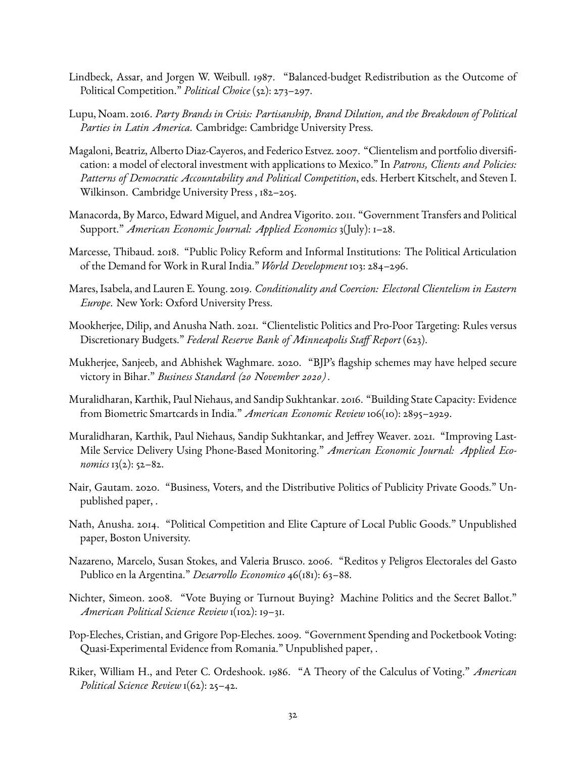- <span id="page-31-4"></span>Lindbeck, Assar, and Jorgen W. Weibull. 1987. "Balanced-budget Redistribution as the Outcome of Political Competition." *Political Choice* (52): 273–297.
- <span id="page-31-8"></span>Lupu, Noam. 2016. *Party Brands in Crisis: Partisanship, Brand Dilution, and the Breakdown of Political Parties in Latin America*. Cambridge: Cambridge University Press.
- <span id="page-31-11"></span>Magaloni, Beatriz, Alberto Diaz-Cayeros, and Federico Estvez. 2007. "Clientelism and portfolio diversification: a model of electoral investment with applications to Mexico." In *Patrons, Clients and Policies: Patterns of Democratic Accountability and Political Competition*, eds. Herbert Kitschelt, and Steven I. Wilkinson. Cambridge University Press , 182–205.
- <span id="page-31-0"></span>Manacorda, By Marco, Edward Miguel, and Andrea Vigorito. 2011. "Government Transfers and Political Support." *American Economic Journal: Applied Economics* 3(July): 1–28.
- <span id="page-31-13"></span>Marcesse, Thibaud. 2018. "Public Policy Reform and Informal Institutions: The Political Articulation of the Demand for Work in Rural India." *World Development* 103: 284–296.
- <span id="page-31-7"></span>Mares, Isabela, and Lauren E. Young. 2019. *Conditionality and Coercion: Electoral Clientelism in Eastern Europe*. New York: Oxford University Press.
- <span id="page-31-14"></span>Mookherjee, Dilip, and Anusha Nath. 2021. "Clientelistic Politics and Pro-Poor Targeting: Rules versus Discretionary Budgets." *Federal Reserve Bank of Minneapolis Staff Report* (623).
- <span id="page-31-9"></span>Mukherjee, Sanjeeb, and Abhishek Waghmare. 2020. "BJP's flagship schemes may have helped secure victory in Bihar." *Business Standard (20 November 2020)* .
- <span id="page-31-6"></span>Muralidharan, Karthik, Paul Niehaus, and Sandip Sukhtankar. 2016. "Building State Capacity: Evidence from Biometric Smartcards in India." *American Economic Review* 106(10): 2895–2929.
- <span id="page-31-5"></span>Muralidharan, Karthik, Paul Niehaus, Sandip Sukhtankar, and Jeffrey Weaver. 2021. "Improving Last-Mile Service Delivery Using Phone-Based Monitoring." *American Economic Journal: Applied Economics* 13(2): 52–82.
- <span id="page-31-3"></span>Nair, Gautam. 2020. "Business, Voters, and the Distributive Politics of Publicity Private Goods." Unpublished paper, .
- <span id="page-31-10"></span>Nath, Anusha. 2014. "Political Competition and Elite Capture of Local Public Goods." Unpublished paper, Boston University.
- <span id="page-31-1"></span>Nazareno, Marcelo, Susan Stokes, and Valeria Brusco. 2006. "Reditos y Peligros Electorales del Gasto Publico en la Argentina." *Desarrollo Economico* 46(181): 63–88.
- <span id="page-31-15"></span>Nichter, Simeon. 2008. "Vote Buying or Turnout Buying? Machine Politics and the Secret Ballot." *American Political Science Review* 1(102): 19–31.
- <span id="page-31-2"></span>Pop-Eleches, Cristian, and Grigore Pop-Eleches. 2009. "Government Spending and Pocketbook Voting: Quasi-Experimental Evidence from Romania." Unpublished paper, .
- <span id="page-31-12"></span>Riker, William H., and Peter C. Ordeshook. 1986. "A Theory of the Calculus of Voting." *American Political Science Review* 1(62): 25–42.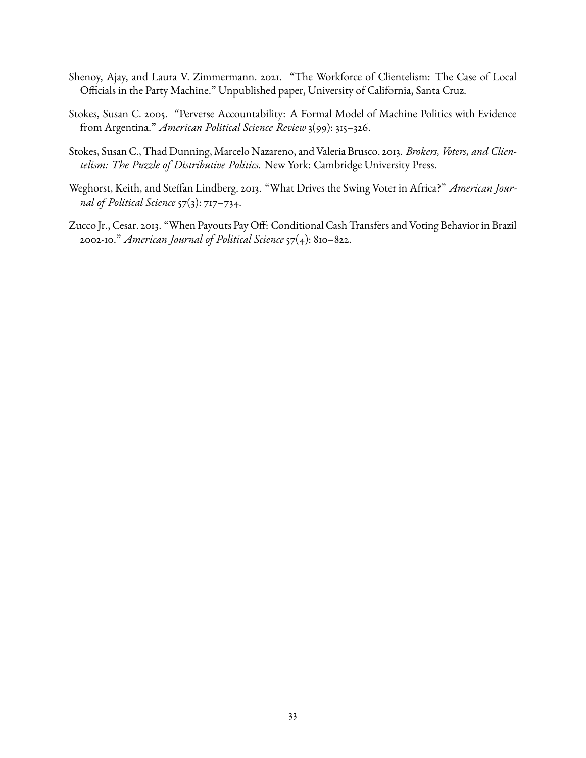- <span id="page-32-4"></span>Shenoy, Ajay, and Laura V. Zimmermann. 2021. "The Workforce of Clientelism: The Case of Local Officials in the Party Machine." Unpublished paper, University of California, Santa Cruz.
- <span id="page-32-3"></span>Stokes, Susan C. 2005. "Perverse Accountability: A Formal Model of Machine Politics with Evidence from Argentina." *American Political Science Review* 3(99): 315–326.
- <span id="page-32-0"></span>Stokes, Susan C., Thad Dunning, Marcelo Nazareno, and Valeria Brusco. 2013. *Brokers, Voters, and Clientelism: The Puzzle of Distributive Politics*. New York: Cambridge University Press.
- <span id="page-32-1"></span>Weghorst, Keith, and Steffan Lindberg. 2013. "What Drives the Swing Voter in Africa?" *American Journal of Political Science* 57(3): 717–734.
- <span id="page-32-2"></span>Zucco Jr., Cesar. 2013. "When Payouts Pay Off: Conditional Cash Transfers and Voting Behavior in Brazil 2002-10." *American Journal of Political Science* 57(4): 810–822.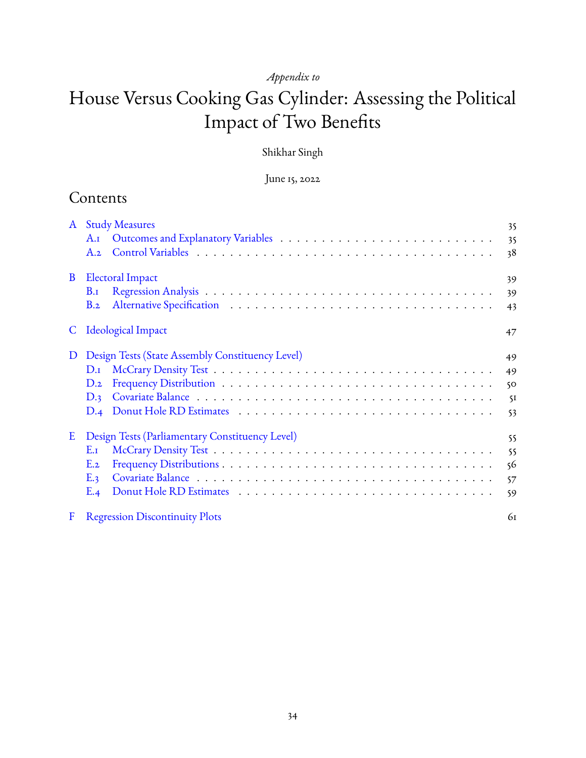# *Appendix to*

# House Versus Cooking Gas Cylinder: Assessing the Political Impact of Two Benefits

### Shikhar Singh

### June 15, 2022

# Contents

| $\mathbf{A}$ | <b>Study Measures</b>                            | 35 |
|--------------|--------------------------------------------------|----|
|              |                                                  | 35 |
|              | A.2                                              | 38 |
| B            | <b>Electoral Impact</b>                          | 39 |
|              | $B_{\rm J}$                                      | 39 |
|              | B.2                                              | 43 |
| C.           | Ideological Impact                               | 47 |
| D            | Design Tests (State Assembly Constituency Level) | 49 |
|              | $D_{\rm J}$                                      | 49 |
|              | $D_{.2}$                                         | 50 |
|              | D.3                                              | 5I |
|              |                                                  | 53 |
| E            | Design Tests (Parliamentary Constituency Level)  | 55 |
|              | $E_{\text{I}}$                                   | 55 |
|              | E.2                                              | 56 |
|              | E.3                                              | 57 |
|              | E.4                                              | 59 |
| F            | <b>Regression Discontinuity Plots</b>            | 61 |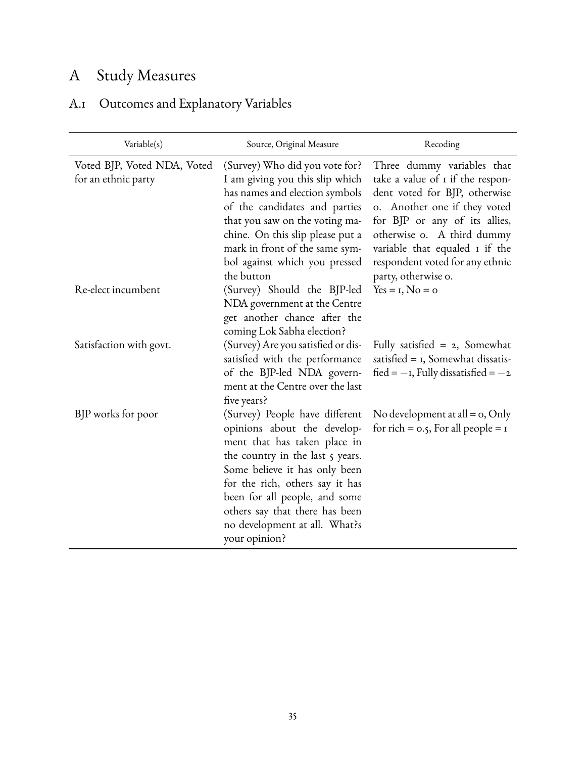# <span id="page-34-0"></span>A Study Measures

# <span id="page-34-1"></span>A.1 Outcomes and Explanatory Variables

| Variable(s)                                        | Source, Original Measure                                                                                                                                                                                                                                                                                                   | Recoding                                                                                                                                                                                                                                                                                   |
|----------------------------------------------------|----------------------------------------------------------------------------------------------------------------------------------------------------------------------------------------------------------------------------------------------------------------------------------------------------------------------------|--------------------------------------------------------------------------------------------------------------------------------------------------------------------------------------------------------------------------------------------------------------------------------------------|
| Voted BJP, Voted NDA, Voted<br>for an ethnic party | (Survey) Who did you vote for?<br>I am giving you this slip which<br>has names and election symbols<br>of the candidates and parties<br>that you saw on the voting ma-<br>chine. On this slip please put a<br>mark in front of the same sym-<br>bol against which you pressed<br>the button                                | Three dummy variables that<br>take a value of 1 if the respon-<br>dent voted for BJP, otherwise<br>o. Another one if they voted<br>for BJP or any of its allies,<br>otherwise o. A third dummy<br>variable that equaled I if the<br>respondent voted for any ethnic<br>party, otherwise o. |
| Re-elect incumbent                                 | (Survey) Should the BJP-led<br>NDA government at the Centre<br>get another chance after the<br>coming Lok Sabha election?                                                                                                                                                                                                  | $Yes = I, No = o$                                                                                                                                                                                                                                                                          |
| Satisfaction with govt.                            | (Survey) Are you satisfied or dis-<br>satisfied with the performance<br>of the BJP-led NDA govern-<br>ment at the Centre over the last<br>five years?                                                                                                                                                                      | Fully satisfied $= 2$ , Somewhat<br>satisfied $=$ 1, Somewhat dissatis-<br>$\text{fied} = -\text{I}$ , Fully dissatisfied = $-\text{2}$                                                                                                                                                    |
| BJP works for poor                                 | (Survey) People have different<br>opinions about the develop-<br>ment that has taken place in<br>the country in the last 5 years.<br>Some believe it has only been<br>for the rich, others say it has<br>been for all people, and some<br>others say that there has been<br>no development at all. What?s<br>your opinion? | No development at all = $o$ , Only<br>for rich = $0.5$ , For all people = $1$                                                                                                                                                                                                              |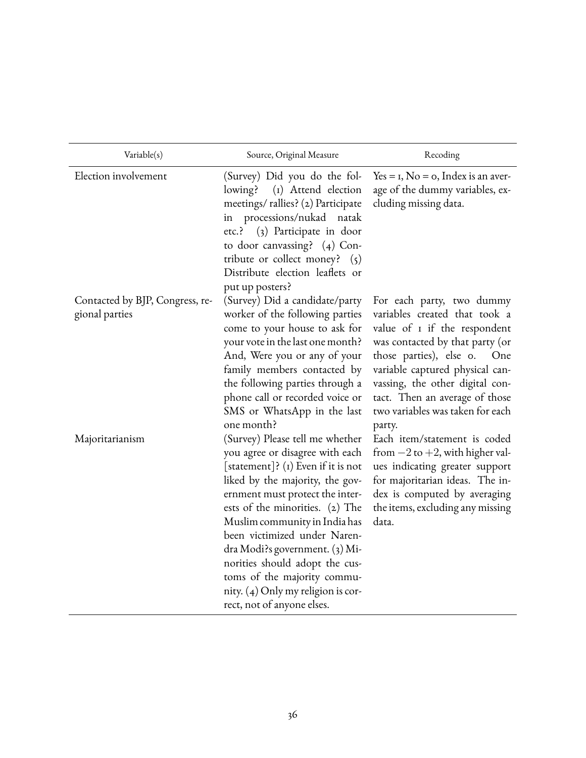| Variable(s)                                       | Source, Original Measure                                                                                                                                                                                                                                                                                                                                                                                                                                      | Recoding                                                                                                                                                                                                                                                                                                                     |
|---------------------------------------------------|---------------------------------------------------------------------------------------------------------------------------------------------------------------------------------------------------------------------------------------------------------------------------------------------------------------------------------------------------------------------------------------------------------------------------------------------------------------|------------------------------------------------------------------------------------------------------------------------------------------------------------------------------------------------------------------------------------------------------------------------------------------------------------------------------|
| Election involvement                              | (Survey) Did you do the fol-<br>(I) Attend election<br>lowing?<br>meetings/rallies? (2) Participate<br>in processions/nukad<br>natak<br>etc.? (3) Participate in door<br>to door canvassing? (4) Con-<br>tribute or collect money? $(5)$<br>Distribute election leaflets or<br>put up posters?                                                                                                                                                                | $Yes = I, No = o, Index is an aver-$<br>age of the dummy variables, ex-<br>cluding missing data.                                                                                                                                                                                                                             |
| Contacted by BJP, Congress, re-<br>gional parties | (Survey) Did a candidate/party<br>worker of the following parties<br>come to your house to ask for<br>your vote in the last one month?<br>And, Were you or any of your<br>family members contacted by<br>the following parties through a<br>phone call or recorded voice or<br>SMS or WhatsApp in the last<br>one month?                                                                                                                                      | For each party, two dummy<br>variables created that took a<br>value of <i>I</i> if the respondent<br>was contacted by that party (or<br>those parties), else o.<br>One<br>variable captured physical can-<br>vassing, the other digital con-<br>tact. Then an average of those<br>two variables was taken for each<br>party. |
| Majoritarianism                                   | (Survey) Please tell me whether<br>you agree or disagree with each<br>[statement]? $(i)$ Even if it is not<br>liked by the majority, the gov-<br>ernment must protect the inter-<br>ests of the minorities. (2) The<br>Muslim community in India has<br>been victimized under Naren-<br>dra Modi?s government. (3) Mi-<br>norities should adopt the cus-<br>toms of the majority commu-<br>nity. $(4)$ Only my religion is cor-<br>rect, not of anyone elses. | Each item/statement is coded<br>from $-2$ to $+2$ , with higher val-<br>ues indicating greater support<br>for majoritarian ideas. The in-<br>dex is computed by averaging<br>the items, excluding any missing<br>data.                                                                                                       |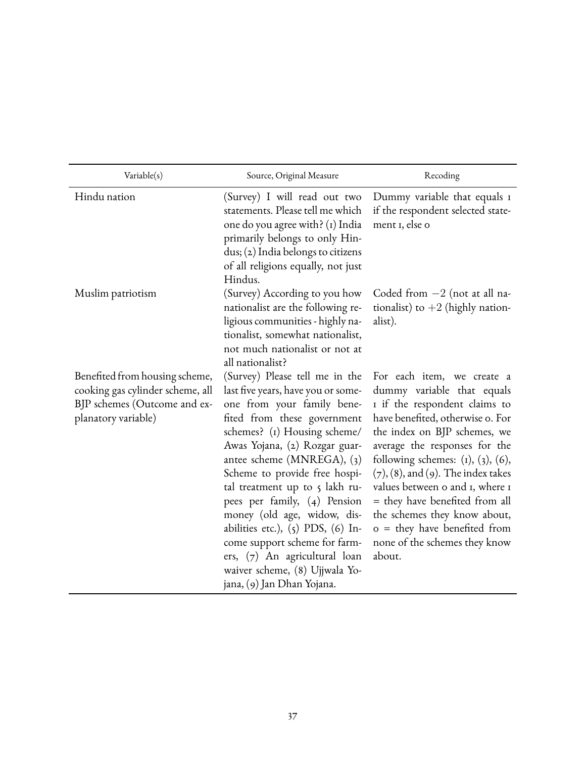| Variable(s)                                                                                                               | Source, Original Measure                                                                                                                                                                                                                                                                                                                                                                                                                                                                                                                  | Recoding                                                                                                                                                                                                                                                                                                                                                                                                                                                                      |
|---------------------------------------------------------------------------------------------------------------------------|-------------------------------------------------------------------------------------------------------------------------------------------------------------------------------------------------------------------------------------------------------------------------------------------------------------------------------------------------------------------------------------------------------------------------------------------------------------------------------------------------------------------------------------------|-------------------------------------------------------------------------------------------------------------------------------------------------------------------------------------------------------------------------------------------------------------------------------------------------------------------------------------------------------------------------------------------------------------------------------------------------------------------------------|
| Hindu nation                                                                                                              | (Survey) I will read out two<br>statements. Please tell me which<br>one do you agree with? (1) India<br>primarily belongs to only Hin-<br>dus; (2) India belongs to citizens<br>of all religions equally, not just<br>Hindus.                                                                                                                                                                                                                                                                                                             | Dummy variable that equals I<br>if the respondent selected state-<br>ment 1, else o                                                                                                                                                                                                                                                                                                                                                                                           |
| Muslim patriotism                                                                                                         | (Survey) According to you how<br>nationalist are the following re-<br>ligious communities - highly na-<br>tionalist, somewhat nationalist,<br>not much nationalist or not at<br>all nationalist?                                                                                                                                                                                                                                                                                                                                          | Coded from $-2$ (not at all na-<br>tionalist) to $+2$ (highly nation-<br>alist).                                                                                                                                                                                                                                                                                                                                                                                              |
| Benefited from housing scheme,<br>cooking gas cylinder scheme, all<br>BJP schemes (Outcome and ex-<br>planatory variable) | (Survey) Please tell me in the<br>last five years, have you or some-<br>one from your family bene-<br>fited from these government<br>schemes? (1) Housing scheme/<br>Awas Yojana, (2) Rozgar guar-<br>antee scheme (MNREGA), (3)<br>Scheme to provide free hospi-<br>tal treatment up to 5 lakh ru-<br>pees per family, (4) Pension<br>money (old age, widow, dis-<br>abilities etc.), (5) PDS, (6) In-<br>come support scheme for farm-<br>ers, (7) An agricultural loan<br>waiver scheme, (8) Ujjwala Yo-<br>jana, (9) Jan Dhan Yojana. | For each item, we create a<br>dummy variable that equals<br>I if the respondent claims to<br>have benefited, otherwise o. For<br>the index on BJP schemes, we<br>average the responses for the<br>following schemes: $(i)$ , $(3)$ , $(6)$ ,<br>$(7)$ , $(8)$ , and $(9)$ . The index takes<br>values between o and I, where I<br>= they have benefited from all<br>the schemes they know about,<br>$o =$ they have benefited from<br>none of the schemes they know<br>about. |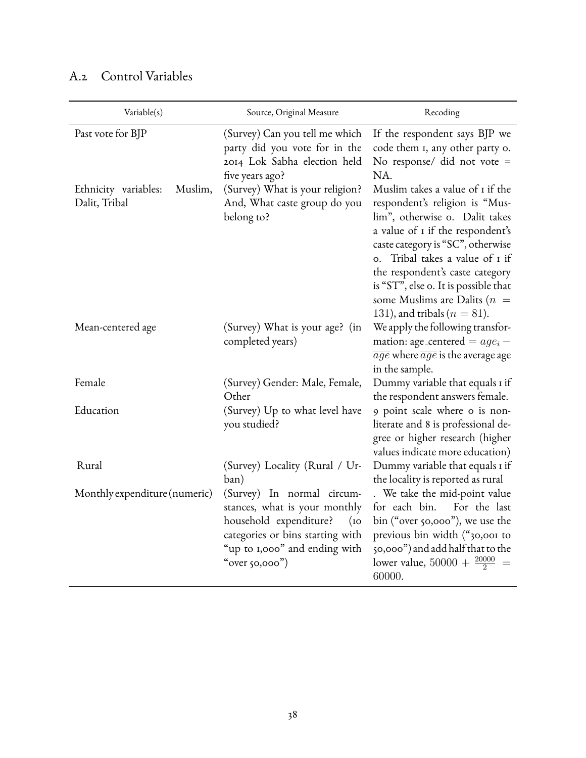| Variable(s)                                      | Source, Original Measure                                                                                                                                                                | Recoding                                                                                                                                                                                                                                                                                                                                                                         |
|--------------------------------------------------|-----------------------------------------------------------------------------------------------------------------------------------------------------------------------------------------|----------------------------------------------------------------------------------------------------------------------------------------------------------------------------------------------------------------------------------------------------------------------------------------------------------------------------------------------------------------------------------|
| Past vote for BJP                                | (Survey) Can you tell me which<br>party did you vote for in the<br>2014 Lok Sabha election held<br>five years ago?                                                                      | If the respondent says BJP we<br>code them I, any other party o.<br>No response/ did not vote =<br>NA.                                                                                                                                                                                                                                                                           |
| Muslim,<br>Ethnicity variables:<br>Dalit, Tribal | (Survey) What is your religion?<br>And, What caste group do you<br>belong to?                                                                                                           | Muslim takes a value of 1 if the<br>respondent's religion is "Mus-<br>lim", otherwise o. Dalit takes<br>a value of I if the respondent's<br>caste category is "SC", otherwise<br>Tribal takes a value of I if<br>O <sub>1</sub><br>the respondent's caste category<br>is "ST", else o. It is possible that<br>some Muslims are Dalits ( $n =$<br>131), and tribals ( $n = 81$ ). |
| Mean-centered age                                | (Survey) What is your age? (in<br>completed years)                                                                                                                                      | We apply the following transfor-<br>mation: age_centered = $age_i$ -<br>$\overline{age}$ where $\overline{age}$ is the average age<br>in the sample.                                                                                                                                                                                                                             |
| Female                                           | (Survey) Gender: Male, Female,<br>Other                                                                                                                                                 | Dummy variable that equals I if<br>the respondent answers female.                                                                                                                                                                                                                                                                                                                |
| Education                                        | (Survey) Up to what level have<br>you studied?                                                                                                                                          | 9 point scale where o is non-<br>literate and 8 is professional de-<br>gree or higher research (higher<br>values indicate more education)                                                                                                                                                                                                                                        |
| Rural                                            | (Survey) Locality (Rural / Ur-<br>ban)                                                                                                                                                  | Dummy variable that equals I if<br>the locality is reported as rural                                                                                                                                                                                                                                                                                                             |
| Monthly expenditure (numeric)                    | (Survey) In normal circum-<br>stances, what is your monthly<br>household expenditure?<br>(10)<br>categories or bins starting with<br>"up to 1,000" and ending with<br>"over $50,000$ ") | . We take the mid-point value<br>for each bin. For the last<br>bin ("over 50,000"), we use the<br>previous bin width ("30,001 to<br>50,000") and add half that to the<br>lower value, $50000 + \frac{20000}{2}$ =<br>60000.                                                                                                                                                      |

# <span id="page-37-0"></span>A.2 Control Variables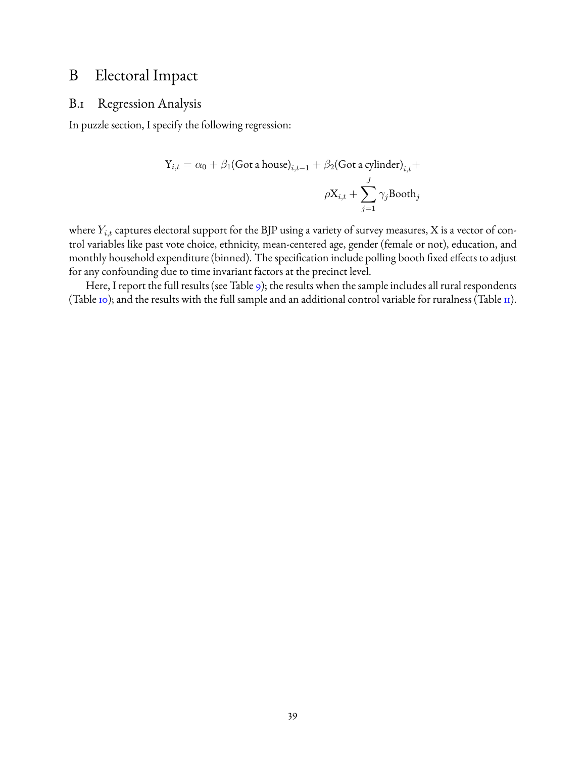# <span id="page-38-0"></span>B Electoral Impact

### <span id="page-38-1"></span>B.1 Regression Analysis

In puzzle section, I specify the following regression:

$$
Y_{i,t} = \alpha_0 + \beta_1 (\text{Got a house})_{i,t-1} + \beta_2 (\text{Got a cylinder})_{i,t} +
$$

$$
\rho X_{i,t} + \sum_{j=1}^{J} \gamma_j \text{Bookh}_j
$$

where  $Y_{i,t}$  captures electoral support for the BJP using a variety of survey measures, X is a vector of control variables like past vote choice, ethnicity, mean-centered age, gender (female or not), education, and monthly household expenditure (binned). The specification include polling booth fixed effects to adjust for any confounding due to time invariant factors at the precinct level.

Here, I report the full results (see Table [9\)](#page-39-0); the results when the sample includes all rural respondents (Table [10\)](#page-40-0); and the results with the full sample and an additional control variable for ruralness (Table  $\text{II}$ ).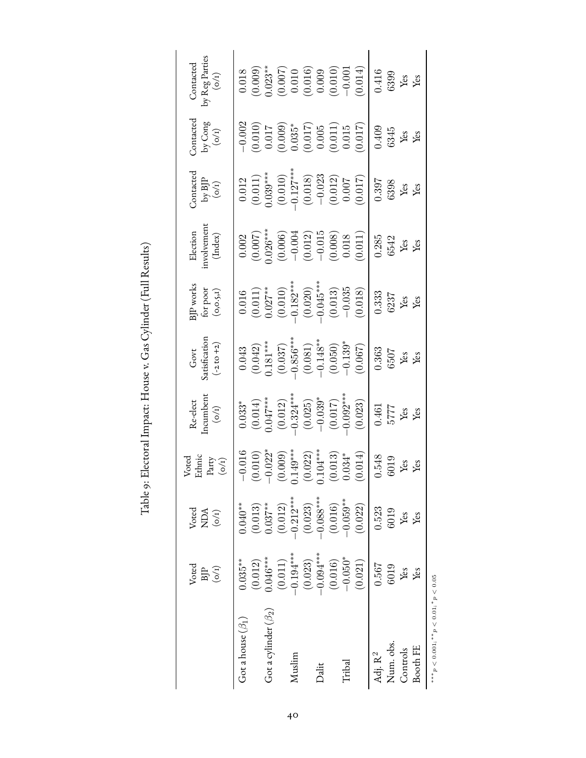Table 9: Electoral Impact: House v. Gas Cylinder (Full Results) Table 9: Electoral Impact: House v. Gas Cylinder (Full Results)

<span id="page-39-0"></span>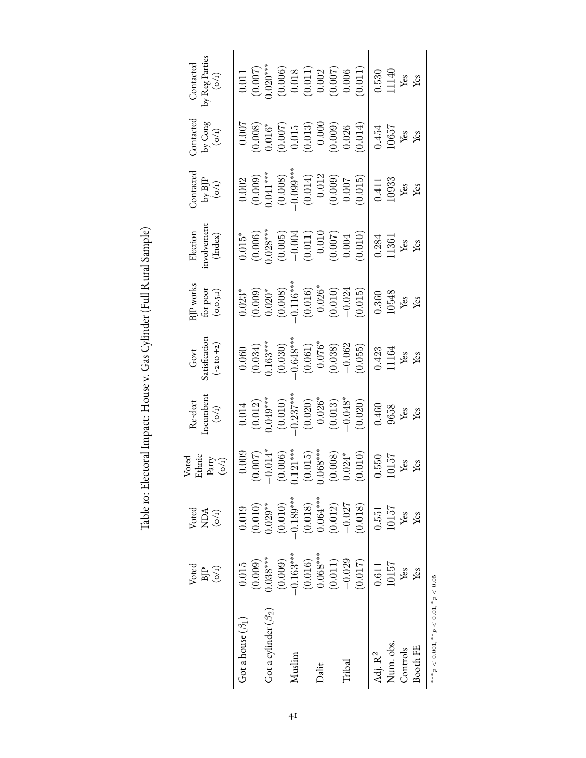| Ç                                 |
|-----------------------------------|
| )<br>!<br>į                       |
|                                   |
| ;<br>;<br>;<br>;<br>$\frac{1}{2}$ |
|                                   |
| ・・・・・・ くしょ キー・・                   |
|                                   |
| $\frac{1}{\sqrt{2}}$              |
| (                                 |
|                                   |
| - 2222                            |
|                                   |
|                                   |
| )<br>)<br>)                       |
|                                   |
| I                                 |
|                                   |
| Ī                                 |
| י המד                             |
| Ne To: Herbert Innoctri           |
|                                   |
| Ì                                 |

<span id="page-40-0"></span>

|                            | Voted<br>(o/r)<br>БJP  | $\begin{array}{c} \text{Vored} \\ \text{NDA} \\ (\text{o/I}) \end{array}$ | Voted<br>Ethnic<br>Party $($ mathcal{O}/\mathbf{I}) | $\begin{array}{ll} \text{Re-elect} \\ \text{Incumbent} \\ (o/t) \end{array}$                                                                                                                                                                                                                                                | Govt<br>Satisfication<br>(-2 to +2)                                                                                                                                           | $\begin{array}{l} {\rm BJP\,works} \\ {\rm for\, poor} \\ {\rm (o,o.s,1)} \end{array}$                                                                                     | Election<br>involvement<br>(Index)                                                                                                                                                                                                                                                                                      | Contacted<br>by $B$ JP<br>(0/1)                                                                                                                                                            | Contacted<br>by Cong<br>$(\sigma / t)$                                                                                                                   | Contacted<br>by Reg Parties<br>$(o/1)$                                                                                                                                                                                                                                                          |
|----------------------------|------------------------|---------------------------------------------------------------------------|-----------------------------------------------------|-----------------------------------------------------------------------------------------------------------------------------------------------------------------------------------------------------------------------------------------------------------------------------------------------------------------------------|-------------------------------------------------------------------------------------------------------------------------------------------------------------------------------|----------------------------------------------------------------------------------------------------------------------------------------------------------------------------|-------------------------------------------------------------------------------------------------------------------------------------------------------------------------------------------------------------------------------------------------------------------------------------------------------------------------|--------------------------------------------------------------------------------------------------------------------------------------------------------------------------------------------|----------------------------------------------------------------------------------------------------------------------------------------------------------|-------------------------------------------------------------------------------------------------------------------------------------------------------------------------------------------------------------------------------------------------------------------------------------------------|
| Got a house $(\beta_1)$    | (0.009)<br>0.015       | 0.019                                                                     | 0.009                                               |                                                                                                                                                                                                                                                                                                                             |                                                                                                                                                                               |                                                                                                                                                                            |                                                                                                                                                                                                                                                                                                                         |                                                                                                                                                                                            |                                                                                                                                                          |                                                                                                                                                                                                                                                                                                 |
| Got a cylinder $(\beta_2)$ | $0.038***$             | $(0.010)$<br>$0.029**$                                                    | $(0.007)$<br>-0.014*<br>(0.006)<br>(1.121***        |                                                                                                                                                                                                                                                                                                                             |                                                                                                                                                                               |                                                                                                                                                                            |                                                                                                                                                                                                                                                                                                                         |                                                                                                                                                                                            |                                                                                                                                                          |                                                                                                                                                                                                                                                                                                 |
| Muslim                     | $-0.163***$<br>(0.009) | $\left( 0.010\right)$                                                     |                                                     |                                                                                                                                                                                                                                                                                                                             |                                                                                                                                                                               |                                                                                                                                                                            |                                                                                                                                                                                                                                                                                                                         |                                                                                                                                                                                            |                                                                                                                                                          |                                                                                                                                                                                                                                                                                                 |
| Dalit                      | $(0.016)$<br>-0.068*** | $-0.189***$<br>(0.018)<br>-0.064***                                       | $(0.015)$<br>$0.068***$                             |                                                                                                                                                                                                                                                                                                                             |                                                                                                                                                                               |                                                                                                                                                                            |                                                                                                                                                                                                                                                                                                                         |                                                                                                                                                                                            |                                                                                                                                                          |                                                                                                                                                                                                                                                                                                 |
|                            | $\left( 0.011\right)$  | $(0.012)$<br>-0.027                                                       | $(0.008)$<br>$0.024*$                               |                                                                                                                                                                                                                                                                                                                             |                                                                                                                                                                               |                                                                                                                                                                            |                                                                                                                                                                                                                                                                                                                         |                                                                                                                                                                                            |                                                                                                                                                          |                                                                                                                                                                                                                                                                                                 |
| <b>Tribal</b>              | $-0.029$<br>(0.017)    | (0.018)                                                                   | (0.010)                                             | $\begin{array}{c} 0.014 \\ (0.012) \\ (0.010)^{***} \\ (0.010) \\ (0.010) \\ (0.020)^{***} \\ (0.021)^{***} \\ (0.020) \\ (0.013) \\ (0.013) \\ (0.020) \\ (0.021) \\ (0.022) \\ (0.022) \\ (0.023) \\ (0.024) \\ (0.025) \\ (0.025) \\ (0.025) \\ (0.027) \\ (0.028) \\ (0.028) \\ (0.028) \\ (0.029) \\ (0.020) \\ (0.02$ | $\begin{array}{c} 0.060 \\ (0.034) \\ (0.163^{***} \\ (0.030) \\ (0.030) \\ (0.064^{***} \\ (0.061) \\ (0.076^{*} \\ (-0.030) \\ (-0.038) \\ (-0.055) \\ (0.055) \end{array}$ | $\begin{array}{l} 0.023^{*} \\ (0.009) \\ (0.020^{*} \\ (0.008) \\ (0.008) \\ (0.016^{***} \\ (0.016) \\ (0.016) \\ (0.010) \\ (-0.024) \\ (0.010) \\ (0.015) \end{array}$ | $\begin{array}{l} 0.015^* \\ (0.006) \\ (0.005)^* \\ (0.003)^* \\ (0.005) \\ (0.001) \\ (0.011) \\ (0.007) \\ (0.007) \\ (0.007) \\ (0.004) \\ (0.007) \\ (0.004) \\ (0.004) \\ (0.007) \\ (0.008) \\ (0.007) \\ (0.008) \\ (0.008) \\ (0.007) \\ (0.008) \\ (0.008) \\ (0.008) \\ (0.009) \\ (0.009) \\ (0.009) \\ (0$ | $\begin{array}{c} 0.002 \\ (0.009) \\ (0.041^{***} \\ (0.008) \\ (0.008^{***} \\ (0.014) \\ (0.014) \\ (0.012) \\ (0.009^{***} \\ (0.012) \\ (0.007) \\ (0.008) \\ (0.015) \\ \end{array}$ | $\begin{array}{c} -0.006 \\ (0.008) \\ (0.016^* \\ (0.016^*) \\ (0.015 \\ (0.013) \\ (0.013) \\ (0.000) \\ (0.009) \\ (0.009) \\ (0.009) \\ \end{array}$ | $\begin{array}{c} 0.011\\ (0.007)\\ (0.0020^{***}\\ (0.006)\\ (0.011)\\ (0.011)\\ (0.002)\\ (0.007)\\ (0.007)\\ (0.007)\\ (0.006)\\ (0.007)\\ (0.011)\\ (0.011)\\ (0.011)\\ (0.012)\\ (0.013)\\ (0.012)\\ (0.013)\\ (0.014)\\ (0.015)\\ (0.015)\\ (0.015)\\ (0.016)\\ (0.017)\\ (0.018)\\ (0.0$ |
| Adj. $\mathrm{R}^2$        | 0.611                  | 0.551                                                                     |                                                     | 0.460                                                                                                                                                                                                                                                                                                                       |                                                                                                                                                                               |                                                                                                                                                                            |                                                                                                                                                                                                                                                                                                                         |                                                                                                                                                                                            |                                                                                                                                                          |                                                                                                                                                                                                                                                                                                 |
| Num. obs                   | 10157                  | 10157                                                                     | 1.550<br>10157                                      | $\begin{array}{l} 9658 \\ \text{Yes} \\ \text{Yes} \end{array}$                                                                                                                                                                                                                                                             | $\frac{0.423}{11164}$<br>Yes<br>Yes                                                                                                                                           | $\frac{0.360}{10548}$<br>Yes<br>Yes                                                                                                                                        | $\frac{0.284}{11361}$<br>Yes<br>Yes                                                                                                                                                                                                                                                                                     | $\frac{0.411}{10933}$<br>Yes<br>Yes                                                                                                                                                        | $\frac{0.454}{10657}$<br>Yes<br>Yes                                                                                                                      | $\frac{0.530}{11140}$<br>Yes<br>Yes                                                                                                                                                                                                                                                             |
| Controls                   | Yes                    | Yes                                                                       | Yes<br>Yes                                          |                                                                                                                                                                                                                                                                                                                             |                                                                                                                                                                               |                                                                                                                                                                            |                                                                                                                                                                                                                                                                                                                         |                                                                                                                                                                                            |                                                                                                                                                          |                                                                                                                                                                                                                                                                                                 |
| Booth FE                   | Yes                    | Yes                                                                       |                                                     |                                                                                                                                                                                                                                                                                                                             |                                                                                                                                                                               |                                                                                                                                                                            |                                                                                                                                                                                                                                                                                                                         |                                                                                                                                                                                            |                                                                                                                                                          |                                                                                                                                                                                                                                                                                                 |
|                            |                        |                                                                           |                                                     |                                                                                                                                                                                                                                                                                                                             |                                                                                                                                                                               |                                                                                                                                                                            |                                                                                                                                                                                                                                                                                                                         |                                                                                                                                                                                            |                                                                                                                                                          |                                                                                                                                                                                                                                                                                                 |

\*\*\*  $p < 0.001$ ; \*\*  $p < 0.01$ ; \*  $p < 0.05$ ∗∗∗p < 0.001; ∗∗p < 0.01; ∗p < 0.05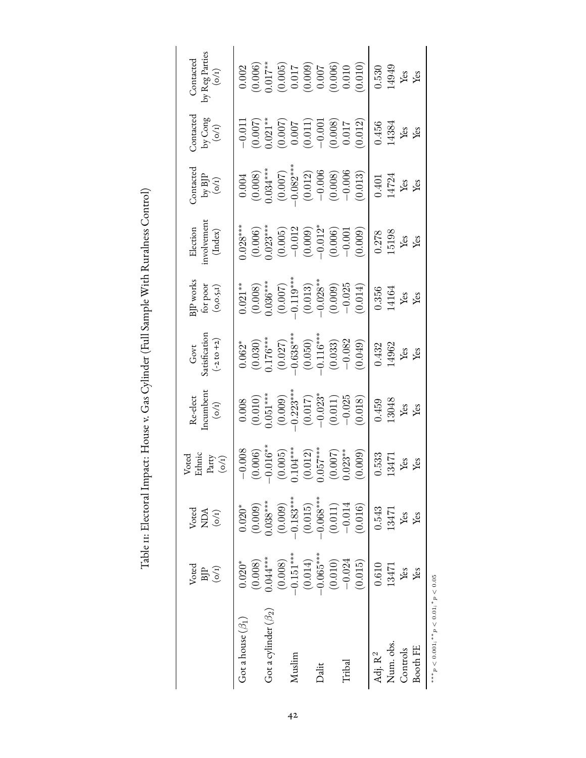<span id="page-41-0"></span>

|                            | Voted<br>$\begin{array}{c} \text{BIP} \\ \text{(o/1)} \end{array}$                                                                                                  | $V{\rm ored}$<br>NDA<br>$({\rm o/1})$                                                                                                                          | Voted<br>Ethnic<br>Party $($ 0/1)                                              | $\begin{array}{ll} \mbox{Re-elect} \\ \mbox{normalment} \\ (\mbox{o/t}) \end{array}$                                                                                                                                                                                                                                        | Govt<br>satisfication<br>(-2 to +2)                                                                                                            | 3JP works<br>for poor<br>(0,0.5,1)                                                                                                                                  | Election<br>involvement<br>(Index)                                                                                                                                                                                                                                                                                       | $\begin{array}{c} \text{Contacted} \\ \text{by BJP} \\ (\text{o/t}) \end{array}$                                                                                                                                                                                                                                           | Contacted<br>by Cong<br>$(\sigma/I)$                                                                                                                                              | by Reg Parties<br>$(\mathrm{o}/\mathrm{I})$<br>Contacted                                                                                                                                                                                                                                                            |
|----------------------------|---------------------------------------------------------------------------------------------------------------------------------------------------------------------|----------------------------------------------------------------------------------------------------------------------------------------------------------------|--------------------------------------------------------------------------------|-----------------------------------------------------------------------------------------------------------------------------------------------------------------------------------------------------------------------------------------------------------------------------------------------------------------------------|------------------------------------------------------------------------------------------------------------------------------------------------|---------------------------------------------------------------------------------------------------------------------------------------------------------------------|--------------------------------------------------------------------------------------------------------------------------------------------------------------------------------------------------------------------------------------------------------------------------------------------------------------------------|----------------------------------------------------------------------------------------------------------------------------------------------------------------------------------------------------------------------------------------------------------------------------------------------------------------------------|-----------------------------------------------------------------------------------------------------------------------------------------------------------------------------------|---------------------------------------------------------------------------------------------------------------------------------------------------------------------------------------------------------------------------------------------------------------------------------------------------------------------|
| Fot a house $(\beta_1)$    | $0.020*$                                                                                                                                                            | $0.020*$                                                                                                                                                       | $-0.008$                                                                       | $\begin{array}{c} 0.008 \\ (0.010) \\ (0.051^{***} \\ (0.009) \\ (0.017) \\ (0.017) \\ (0.017) \\ (0.011) \\ (0.011) \\ (-0.023^{**} \\ (0.011) \\ (0.010) \\ (0.018) \\ (0.018) \\ (0.018) \\ (0.018) \\ (0.018) \\ (0.018) \\ (0.018) \\ (0.019) \\ (0.019) \\ (0.019) \\ (0.019) \\ (0.019) \\ (0.019) \\ (0.019) \\ (0$ | $0.062*$                                                                                                                                       | $0.021**$                                                                                                                                                           | $0.028***$                                                                                                                                                                                                                                                                                                               | $\begin{array}{c} 0.004 \\ (0.008) \\ (0.03^{***} \\ (0.007) \\ (0.007) \\ (0.012) \\ (0.012) \\ (0.006) \\ (-0.008) \\ (-0.006) \\ (0.008) \\ (0.006) \\ (0.007) \\ (0.008) \\ (0.013) \\ (0.013) \\ (0.013) \\ (0.013) \\ (0.013) \\ (0.013) \\ (0.013) \\ (0.013) \\ (0.013) \\ (0.013) \\ (0.013) \\ (0.013) \\ (0.01$ | $\begin{array}{r} -0.011\ -0.007) \ 0.0007\ * \\ 0.007) \ * \\ 0.007) \ * \\ 0.007) \ * \\ 0.007) \ * \\ 0.007 \ * \\ 0.011) \ * \\ 0.017 \ * \\ 0.012) \ * \\ 0.012 \end{array}$ | 0.002                                                                                                                                                                                                                                                                                                               |
|                            |                                                                                                                                                                     |                                                                                                                                                                |                                                                                |                                                                                                                                                                                                                                                                                                                             |                                                                                                                                                |                                                                                                                                                                     |                                                                                                                                                                                                                                                                                                                          |                                                                                                                                                                                                                                                                                                                            |                                                                                                                                                                                   |                                                                                                                                                                                                                                                                                                                     |
| Got a cylinder $(\beta_2)$ |                                                                                                                                                                     |                                                                                                                                                                |                                                                                |                                                                                                                                                                                                                                                                                                                             |                                                                                                                                                |                                                                                                                                                                     |                                                                                                                                                                                                                                                                                                                          |                                                                                                                                                                                                                                                                                                                            |                                                                                                                                                                                   |                                                                                                                                                                                                                                                                                                                     |
|                            |                                                                                                                                                                     |                                                                                                                                                                | $\begin{array}{c} (0.006) \\ -0.016^{**} \\ (0.005) \\ 0.104^{**} \end{array}$ |                                                                                                                                                                                                                                                                                                                             |                                                                                                                                                |                                                                                                                                                                     |                                                                                                                                                                                                                                                                                                                          |                                                                                                                                                                                                                                                                                                                            |                                                                                                                                                                                   |                                                                                                                                                                                                                                                                                                                     |
| Auslim                     |                                                                                                                                                                     |                                                                                                                                                                |                                                                                |                                                                                                                                                                                                                                                                                                                             |                                                                                                                                                |                                                                                                                                                                     |                                                                                                                                                                                                                                                                                                                          |                                                                                                                                                                                                                                                                                                                            |                                                                                                                                                                                   |                                                                                                                                                                                                                                                                                                                     |
|                            |                                                                                                                                                                     |                                                                                                                                                                | $(0.012)$<br>0.57***                                                           |                                                                                                                                                                                                                                                                                                                             |                                                                                                                                                |                                                                                                                                                                     |                                                                                                                                                                                                                                                                                                                          |                                                                                                                                                                                                                                                                                                                            |                                                                                                                                                                                   |                                                                                                                                                                                                                                                                                                                     |
| Dalit                      |                                                                                                                                                                     |                                                                                                                                                                |                                                                                |                                                                                                                                                                                                                                                                                                                             |                                                                                                                                                |                                                                                                                                                                     |                                                                                                                                                                                                                                                                                                                          |                                                                                                                                                                                                                                                                                                                            |                                                                                                                                                                                   |                                                                                                                                                                                                                                                                                                                     |
|                            | $\begin{array}{l} (0.008) \\ 0.04^{***} \\ (0.008) \\ (0.008) \\ (0.014)^* \\ (0.014) \\ (0.014) \\ (0.0105^{***} \\ (0.010) \\ (0.010) \\ (-0.024) \\ \end{array}$ | $\begin{array}{l} (0.009) \\ 0.038^{***} \\ (0.009) \\ (0.009) \\ (0.015) \\ (0.015) \\ (0.011) \\ (0.011) \\ (-0.011) \\ (-0.011) \\ (-0.014) \\ \end{array}$ | $(0.007)$<br>$0.023**$                                                         |                                                                                                                                                                                                                                                                                                                             | $\begin{array}{c} (0.030) \\ 0.176^{***} \\ (0.027) \\ -0.638^{***} \\ (0.050) \\ (0.050) \\ -0.116^{***} \\ (0.033) \\ -0.082 \\ \end{array}$ | $\begin{array}{c} (0.008) \\ 0.036^{***} \\ (0.007) \\ -0.119^{***} \\ (0.013) \\ (0.013) \\ -0.028^{**} \\ (0.009) \\ -0.025 \\ (0.004) \\ (0.014) \\ \end{array}$ | $\begin{array}{l} (0.006) \\ 0.023^{***} \\ (0.005) \\ (0.005) \\ -0.012 \\ (0.009) \\ (0.006) \\ (0.006) \\ (0.006) \\ (0.001) \\ (0.001) \\ (0.003) \\ (0.009) \\ (0.001) \\ (0.003) \\ (0.000) \\ (0.000) \\ (0.000) \\ (0.001) \\ (0.000) \\ (0.001) \\ (0.001) \\ (0.001) \\ (0.000) \\ (0.000) \\ (0.001) \\ (0.0$ |                                                                                                                                                                                                                                                                                                                            |                                                                                                                                                                                   | $\begin{array}{l} (0.006) \\ (0.005) \\ (0.005) \\ (10.005) \\ (0.0000) \\ (0.0000) \\ (0.0000) \\ (0.0000) \\ (0.0000) \\ (0.000) \\ (0.000) \\ (0.000) \\ (0.000) \\ (0.000) \\ (0.000) \\ (0.000) \\ (0.000) \\ (0.000) \\ (0.000) \\ (0.000) \\ (0.000) \\ (0.000) \\ (0.000) \\ (0.000) \\ (0.000) \\ (0.000)$ |
| Fribal                     |                                                                                                                                                                     |                                                                                                                                                                |                                                                                |                                                                                                                                                                                                                                                                                                                             |                                                                                                                                                |                                                                                                                                                                     |                                                                                                                                                                                                                                                                                                                          |                                                                                                                                                                                                                                                                                                                            |                                                                                                                                                                                   |                                                                                                                                                                                                                                                                                                                     |
|                            | (0.015)                                                                                                                                                             | (0.016)                                                                                                                                                        | (0.009)                                                                        |                                                                                                                                                                                                                                                                                                                             |                                                                                                                                                |                                                                                                                                                                     |                                                                                                                                                                                                                                                                                                                          |                                                                                                                                                                                                                                                                                                                            |                                                                                                                                                                                   |                                                                                                                                                                                                                                                                                                                     |

Table II: Electoral Impact: House v. Gas Cylinder (Full Sample With Ruralness Control) Table 11: Electoral Impact: House v. Gas Cylinder (Full Sample With Ruralness Control)

> \*\*\*  $p < 0.001$ ; \*\* $p < 0.01$ ; \*  $p < 0.05$ ∗\*\* $p < 0.001$ ; \*\* $p < 0.01$ ; Booth FE

Adj. R 2

 0.610 0.543 0.533 0.459 0.432 0.356 0.278 0.401 0.456 0.530 Num. obs. 13471 13471 13471 13048 14962 14164 15198 14724 14384 14949 Controls Yes Yes Yes Yes Yes Yes Yes Yes Yes Yes Booth FE Yes Yes Yes Yes Yes Yes Yes Yes Yes Yes

 $0.432$ <br>14962 Yes Yes

 $0.459$ <br>13048

 $0.533$ <br>13471

 $\begin{array}{c} 0.543 \\ 13471 \end{array}$ 

 $\frac{0.610}{13471}$ 

Yes<br>Yes

Yes Yes

Yes<br>Yes

Yes Yes

Controls

(010'0) (210'0) (810'0) (600'0) (#10'0) (6#0'0) (810'0) (600'0) (910'0) (910'0)

14949 0.530

 $0.456$ <br>14384

 $\begin{array}{c} 0.401 \\ 14724 \end{array}$ Yes Yes

 $\frac{0.278}{15198}$ Yes  $Yes$ 

0.356<br>14164

Yes Yes

Yes Yes

Yes Yes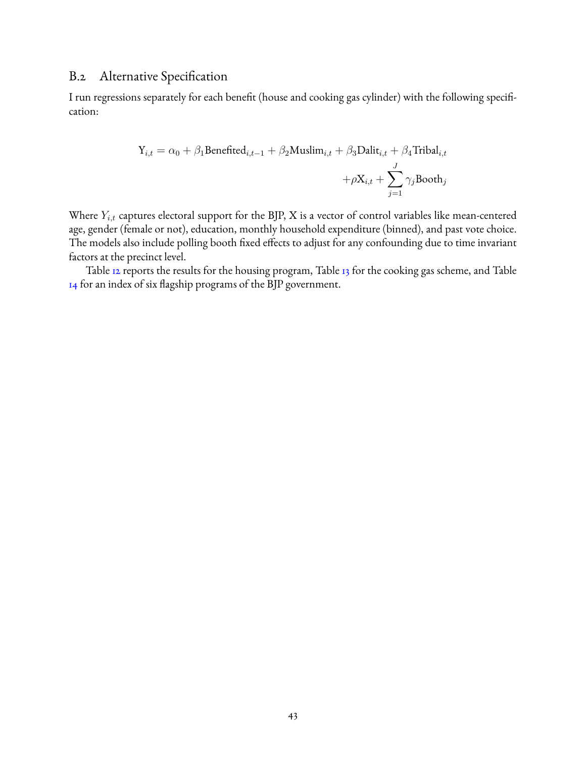### <span id="page-42-0"></span>B.2 Alternative Specification

I run regressions separately for each benefit (house and cooking gas cylinder) with the following specification:

$$
\begin{aligned} \mathbf{Y}_{i,t} = \alpha_0 + \beta_1 \text{Benefited}_{i,t-1} + \beta_2 \text{Muslim}_{i,t} + \beta_3 \text{Dality}_{i,t} + \beta_4 \text{Tribal}_{i,t} \\ + \rho \mathbf{X}_{i,t} + \sum_{j=1}^J \gamma_j \text{Booth}_j \end{aligned}
$$

Where  $Y_{i,t}$  captures electoral support for the BJP, X is a vector of control variables like mean-centered age, gender (female or not), education, monthly household expenditure (binned), and past vote choice. The models also include polling booth fixed effects to adjust for any confounding due to time invariant factors at the precinct level.

Table [12](#page-43-0) reports the results for the housing program, Table [13](#page-44-0) for the cooking gas scheme, and Table [14](#page-45-0) for an index of six flagship programs of the BJP government.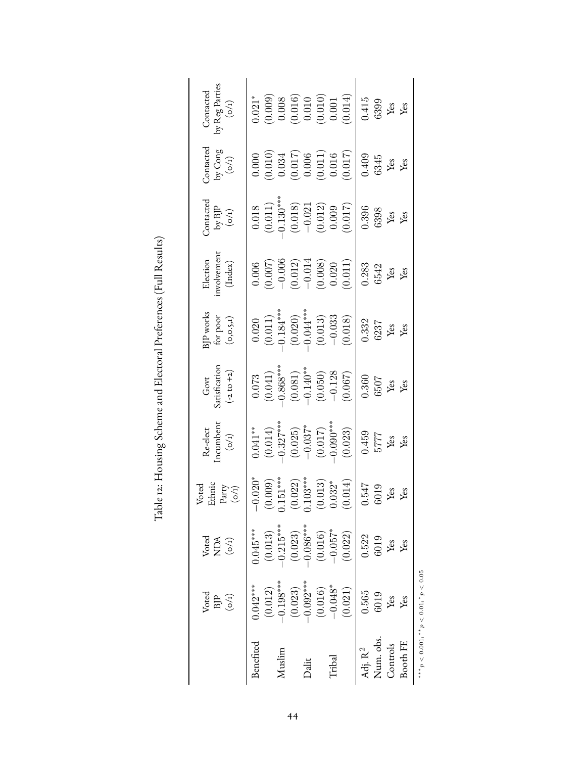<span id="page-43-0"></span>

Table 12: Housing Scheme and Electoral Preferences (Full Results) Table 12: Housing Scheme and Electoral Preferences (Full Results)

∗∗∗p < 0.001; ∗∗p < 0.01; ∗p < 0.05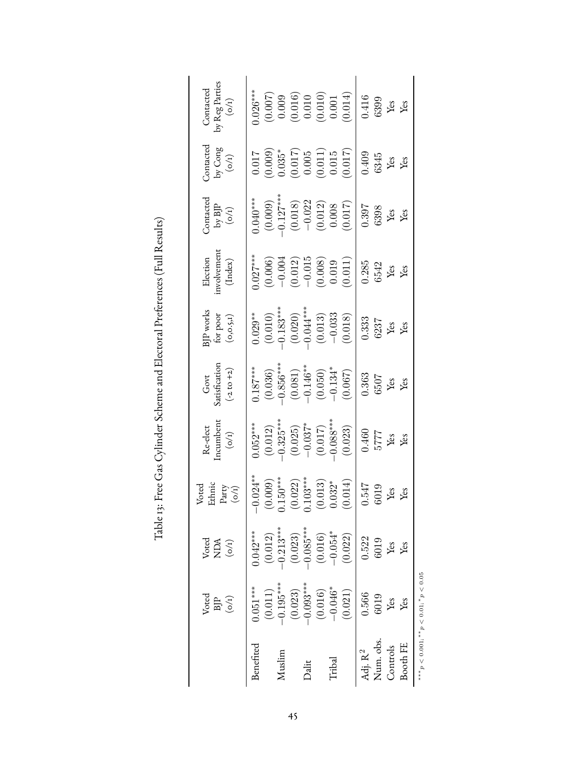<span id="page-44-0"></span>

|                                              | Voted<br>$\operatorname*{BIP}_{(o/I)}$                  | $Vored$<br>NDA<br>(0/1) | Ethnic<br>Voted<br>Party $\left( \text{o}/\text{i} \right)$ | $\begin{array}{l} \mbox{Re-elect} \\ \mbox{Incumbent} \\ \mbox{(o/t)} \end{array}$                                    | Govt<br>Satisfication<br>(-2 to +2)                                                                                                | $\begin{array}{l} \text{BJP works} \\ \text{for poor} \\ (\text{o,o.s},\text{i}) \end{array}$                                          | Election<br>involvement<br>(Index)                                                                   | $\begin{array}{c} \text{Contacted} \\ \text{by BJP} \\ (\text{o/t}) \end{array}$                              | $\begin{array}{c} \text{Contacted} \\ \text{by Cong} \\ \text{(o/t)} \end{array}$                                                                                                                                                                                                                                      | Contacted<br>by Reg Parties<br>$(o/t)$                                                                          |
|----------------------------------------------|---------------------------------------------------------|-------------------------|-------------------------------------------------------------|-----------------------------------------------------------------------------------------------------------------------|------------------------------------------------------------------------------------------------------------------------------------|----------------------------------------------------------------------------------------------------------------------------------------|------------------------------------------------------------------------------------------------------|---------------------------------------------------------------------------------------------------------------|------------------------------------------------------------------------------------------------------------------------------------------------------------------------------------------------------------------------------------------------------------------------------------------------------------------------|-----------------------------------------------------------------------------------------------------------------|
| Benefited                                    | $0.051***$<br>(0.011)                                   | $0.042***$<br>(0.012)   | $-0.024***$<br>(0.009)                                      | $0.052***$                                                                                                            | $0.187***$                                                                                                                         | $0.029***$                                                                                                                             | $0.027***$                                                                                           | $0.040***$                                                                                                    |                                                                                                                                                                                                                                                                                                                        | $0.026***$                                                                                                      |
| Muslim                                       | $-0.195***$<br>(0.023)                                  | $0.213***$<br>(0.023)   | $0.150***$                                                  |                                                                                                                       |                                                                                                                                    |                                                                                                                                        |                                                                                                      |                                                                                                               |                                                                                                                                                                                                                                                                                                                        |                                                                                                                 |
| Dalit                                        | $-0.093***$<br>(0.016)                                  | $0.085***$<br>(0.016)   | $(0.022)$<br>0.103***                                       | $\begin{array}{c} (0.012) \\ -0.325^{***} \\ (0.025) \\ -0.037^{*} \\ (0.017) \\ (0.017) \\ -0.088^{***} \end{array}$ |                                                                                                                                    |                                                                                                                                        |                                                                                                      |                                                                                                               |                                                                                                                                                                                                                                                                                                                        |                                                                                                                 |
| Tribal                                       | $-0.046*$<br>(0.021)                                    | $-0.054*$<br>(0.022)    | $(0.013)$<br>$0.032*$<br>(0.014)                            | (0.023)                                                                                                               | $\begin{array}{c} (0.036) \\ -0.856^{***} \\ (0.081) \\ (0.081) \\ -0.146^{**} \\ (0.050) \\ (0.050) \\ -0.134^{*} \\ \end{array}$ | $\begin{array}{c} (0.010) \\ -0.183^{***} \\ (0.020) \\ (0.021) \\ -0.04^{***} \\ (0.013) \\ -0.033 \\ (0.018) \\ (0.018) \end{array}$ | $\begin{array}{c} (0.006) \\ -0.004 \\ (0.012) \\ -0.015 \\ (0.008) \\ (0.009) \\ 0.019 \end{array}$ | $\begin{array}{c} (0.009) \\ -0.127^{***} \\ (0.018) \\ -0.022 \\ (0.012) \\ 0.008 \\ (0.017) \\ \end{array}$ | $\begin{array}{l} (110.000) \\ (0.0000) \\ (0.017) \\ (0.017) \\ (0.010) \\ (0.011) \\ (0.011) \\ (0.015) \\ (0.019) \\ (0.019) \\ (0.019) \\ (0.015) \\ (0.017) \\ (0.018) \\ (0.019) \\ (0.019) \\ (0.019) \\ (0.019) \\ (0.019) \\ (0.019) \\ (0.019) \\ (0.019) \\ (0.019) \\ (0.019) \\ (0.019) \\ (0.019) \\ (0$ | $\begin{array}{c} (0.007) \\ 0.009 \\ (0.016) \\ 0.010 \\ (0.010) \\ (0.010) \\ (0.001) \\ (0.001) \end{array}$ |
| Num. obs.<br>Controls<br>Adj. $\mathrm{R}^2$ | 0.566<br>6019<br>Yes                                    | 0.522<br>6019<br>Yes    | $0.547$<br>6019                                             | 0.460<br>$\frac{5777}{Yes}$                                                                                           | 0.363<br>6507                                                                                                                      | $\frac{0.333}{6237}$<br>Yes<br>Yes                                                                                                     | $\frac{0.285}{6542}$<br>Yes<br>Yes                                                                   | $\frac{0.397}{6398}$<br>Yes<br>Yes                                                                            | 0.409<br>6345<br>Yes                                                                                                                                                                                                                                                                                                   | 0.416<br>6399<br>Yes                                                                                            |
| Booth FE                                     | Yes                                                     | Yes                     | ίes<br>ιeς                                                  |                                                                                                                       | Yes<br>Yes                                                                                                                         |                                                                                                                                        |                                                                                                      |                                                                                                               | Yes                                                                                                                                                                                                                                                                                                                    | Yes                                                                                                             |
|                                              | *** $p < 0.001;$ ** $p < 0.01;$ *p < 0.01; * $p < 0.05$ |                         |                                                             |                                                                                                                       |                                                                                                                                    |                                                                                                                                        |                                                                                                      |                                                                                                               |                                                                                                                                                                                                                                                                                                                        |                                                                                                                 |

Table 13: Free Gas Cylinder Scheme and Electoral Preferences (Full Results) Table 13: Free Gas Cylinder Scheme and Electoral Preferences (Full Results)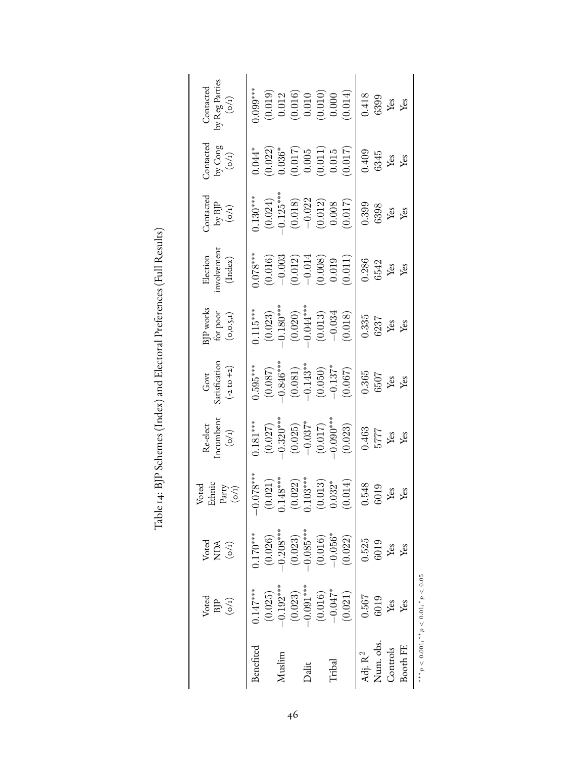<span id="page-45-0"></span>

|                                  | Voted<br>$\begin{array}{c} \text{BJP} \\ \text{(o/1)} \end{array}$ | Voted<br>$\begin{array}{c} \text{NDA} \\ \text{(o/1)} \end{array}$ | Ethnic<br>Voted<br>Party $($ mathcal{O}}^{I}) | $\begin{array}{ll} \mbox{Re-elect} \\ \mbox{Incumbent} \\ (\mbox{o/t}) \end{array}$         | Govt<br>Satisfication<br>(-2 to +2)                                                                                                                                                                                                                                                                                                               | $\begin{array}{l} \text{BJP works} \\ \text{for poor} \\ (\text{o}, \text{o}, \text{s}, \text{i}) \end{array}$                          | Election<br>involvement<br>(Index)                                                                   | $\begin{array}{c} \text{Contacted} \\ \text{by BJP} \\ (\text{o/t}) \end{array}$                           | Contacted<br>by Cong<br>$(\sigma/t)$                                     | Contacted<br>by Reg Parties<br>(0/1)                                              |
|----------------------------------|--------------------------------------------------------------------|--------------------------------------------------------------------|-----------------------------------------------|---------------------------------------------------------------------------------------------|---------------------------------------------------------------------------------------------------------------------------------------------------------------------------------------------------------------------------------------------------------------------------------------------------------------------------------------------------|-----------------------------------------------------------------------------------------------------------------------------------------|------------------------------------------------------------------------------------------------------|------------------------------------------------------------------------------------------------------------|--------------------------------------------------------------------------|-----------------------------------------------------------------------------------|
| Benefited                        | $0.147***$<br>(0.025)                                              | $0.170***$<br>(0.026)                                              | $-0.078***$<br>(0.021)                        | $0.181***$                                                                                  | $0.595***$                                                                                                                                                                                                                                                                                                                                        | $0.115***$                                                                                                                              | $0.078***$                                                                                           | $0.130***$                                                                                                 | $0.044*$                                                                 | $\frac{1}{0.099***}$                                                              |
| Muslim                           | $-0.192***$<br>(0.023)                                             | $-0.208***$<br>(0.023)                                             | $0.148***$                                    |                                                                                             |                                                                                                                                                                                                                                                                                                                                                   |                                                                                                                                         |                                                                                                      |                                                                                                            |                                                                          |                                                                                   |
| Dalit                            | $-0.091***$<br>(0.016)                                             | $-0.085***$<br>(0.016)                                             | $(0.022)$<br>0.103***<br>(0.013)              |                                                                                             |                                                                                                                                                                                                                                                                                                                                                   |                                                                                                                                         |                                                                                                      |                                                                                                            |                                                                          |                                                                                   |
| Tribal                           | $-0.047*$<br>(0.021)                                               | $-0.056*$<br>(0.022)                                               | (0.014)<br>$0.032*$                           | $(0.027)$<br>$-0.320***$<br>$(0.025)$<br>$-0.037*$<br>$(0.017)$<br>$-0.090***$<br>$(0.023)$ | $\begin{array}{l} (1.087) \\[-4pt] (-0.081) \\[-4pt] (-0.081) \\[-4pt] (-0.081) \\[-4pt] (-0.050) \\[-4pt] (-0.050) \\[-4pt] (-0.050) \\[-4pt] (-0.050) \\[-4pt] (-0.050) \\[-4pt] (-0.050) \\[-4pt] (-0.050) \\[-4pt] (-0.050) \\[-4pt] (-0.050) \\[-4pt] (-0.050) \\[-4pt] (-0.050) \\[-4pt] (-0.050) \\[-4pt] (-0.050) \\[-4pt] (-0.050) \\[-$ | $\begin{array}{r l} (0.023) \\ -0.180^{***} \\ (0.020) \\ -0.04^{***} \\ (0.013) \\ (0.013) \\ (0.013) \\ (0.034 \\ \hline \end{array}$ | $\begin{array}{c} (0.016) \\ -0.003 \\ (0.012) \\ -0.014 \\ (0.008) \\ 0.019 \\ (0.011) \end{array}$ | $\begin{array}{c} (0.024) \\ -0.125^{***} \\ (0.018) \\ -0.022 \\ (0.012) \\ (0.012) \\ 0.008 \end{array}$ | $(0.022)$<br>$0.036^*$<br>$(0.017)$<br>$0.005$<br>$(0.011)$<br>$(0.015)$ | $(0.019)$<br>$0.012$<br>$(0.016)$<br>$0.010$<br>$(0.010)$<br>$(0.010)$<br>$0.000$ |
| Num. obs.<br>Adj. $\mathrm{R}^2$ | 0.567<br>6019                                                      | 0.525<br>6019                                                      | 0.548<br>6019                                 | $\frac{0.463}{5777}$<br>Yes<br>Yes                                                          | $\frac{0.365}{6507}$<br>Yes                                                                                                                                                                                                                                                                                                                       | 0.335                                                                                                                                   | $\frac{0.286}{6542}$<br>Yes<br>Yes                                                                   | $\frac{0.399}{6398}$<br>Yes                                                                                | $0.409$<br>$6345$<br>Yes<br>Yes                                          | 0.418                                                                             |
| Booth FE<br>Controls             | Yes<br>Yes                                                         | Yes<br>Yes                                                         | les<br>ιes                                    |                                                                                             |                                                                                                                                                                                                                                                                                                                                                   | $\frac{\text{6237}}{\text{Yes}}$                                                                                                        |                                                                                                      |                                                                                                            |                                                                          | $\begin{array}{c} 6399 \\ \text{Yes} \\ \text{Yes} \end{array}$                   |
|                                  | *** $p < 0.001$ ; ** $p < 0.01$ ; * $p < 0.05$                     |                                                                    |                                               |                                                                                             |                                                                                                                                                                                                                                                                                                                                                   |                                                                                                                                         |                                                                                                      |                                                                                                            |                                                                          |                                                                                   |

Table 14: BJP Schemes (Index) and Electoral Preferences (Full Results) Table 14: BJP Schemes (Index) and Electoral Preferences (Full Results)

46

∗∗∗p < 0.001; ∗∗p < 0.01; ∗p < 0.05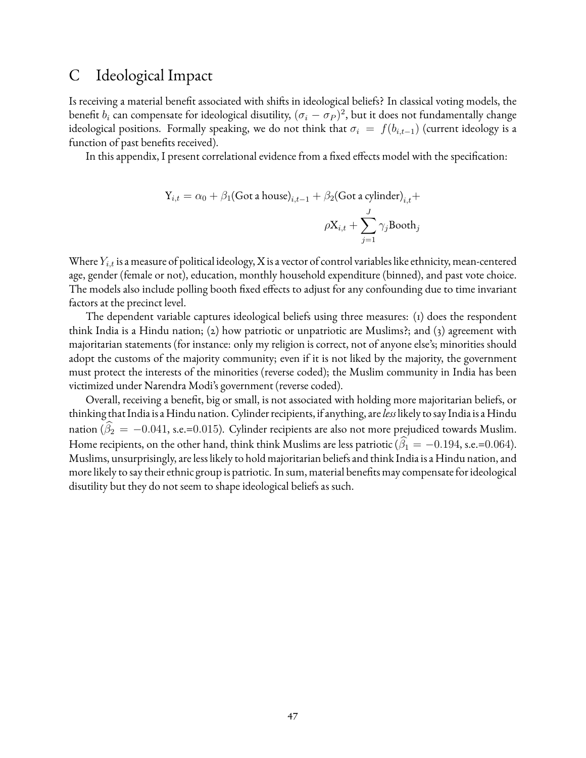# <span id="page-46-0"></span>C Ideological Impact

Is receiving a material benefit associated with shifts in ideological beliefs? In classical voting models, the benefit  $b_i$  can compensate for ideological disutility,  $(\sigma_i-\sigma_P)^2$ , but it does not fundamentally change ideological positions. Formally speaking, we do not think that  $\sigma_i = f(b_{i,t-1})$  (current ideology is a function of past benefits received).

In this appendix, I present correlational evidence from a fixed effects model with the specification:

$$
Y_{i,t} = \alpha_0 + \beta_1 (\text{Got a house})_{i,t-1} + \beta_2 (\text{Got a cylinder})_{i,t} + \beta_3 \left(\frac{1}{2} \sum_{i=1}^J \gamma_i \text{Bookh}_i\right)
$$

Where  $Y_{i,t}$  is a measure of political ideology, X is a vector of control variables like ethnicity, mean-centered age, gender (female or not), education, monthly household expenditure (binned), and past vote choice. The models also include polling booth fixed effects to adjust for any confounding due to time invariant factors at the precinct level.

The dependent variable captures ideological beliefs using three measures: (1) does the respondent think India is a Hindu nation; (2) how patriotic or unpatriotic are Muslims?; and (3) agreement with majoritarian statements (for instance: only my religion is correct, not of anyone else's; minorities should adopt the customs of the majority community; even if it is not liked by the majority, the government must protect the interests of the minorities (reverse coded); the Muslim community in India has been victimized under Narendra Modi's government (reverse coded).

Overall, receiving a benefit, big or small, is not associated with holding more majoritarian beliefs, or thinking that India is a Hindu nation. Cylinder recipients, if anything, are*less* likely to say India is a Hindu nation ( $\beta_2 = -0.041$ , s.e.=0.015). Cylinder recipients are also not more prejudiced towards Muslim. Home recipients, on the other hand, think think Muslims are less patriotic ( $\hat{\beta}_1 = -0.194$ , s.e.=0.064). Muslims, unsurprisingly, are less likely to hold majoritarian beliefs and think India is a Hindu nation, and more likely to say their ethnic group is patriotic. In sum, material benefits may compensate for ideological disutility but they do not seem to shape ideological beliefs as such.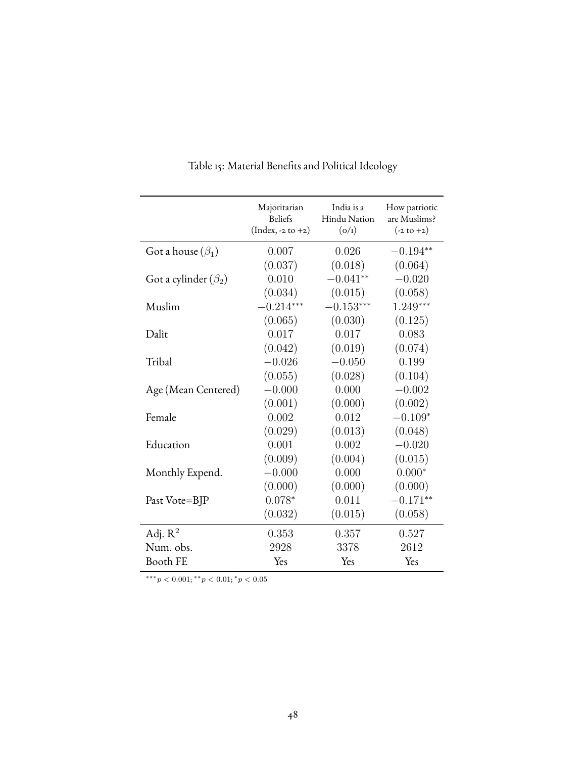| Majoritarian<br><b>Beliefs</b> | India is a<br>Hindu Nation | How patriotic<br>are Muslims?<br>$(-2 \text{ to } +2)$ |
|--------------------------------|----------------------------|--------------------------------------------------------|
|                                |                            |                                                        |
| 0.007                          | 0.026                      | $-0.194**$                                             |
| (0.037)                        | (0.018)                    | (0.064)                                                |
| 0.010                          | $-0.041**$                 | $-0.020$                                               |
| (0.034)                        | (0.015)                    | (0.058)                                                |
| $-0.214***$                    | $-0.153***$                | $1.249***$                                             |
| (0.065)                        | (0.030)                    | (0.125)                                                |
| 0.017                          | 0.017                      | 0.083                                                  |
| (0.042)                        | (0.019)                    | (0.074)                                                |
| $-0.026$                       | $-0.050$                   | 0.199                                                  |
| (0.055)                        | (0.028)                    | (0.104)                                                |
| $-0.000$                       | 0.000                      | $-0.002$                                               |
| (0.001)                        | (0.000)                    | (0.002)                                                |
| 0.002                          | 0.012                      | $-0.109*$                                              |
| (0.029)                        | (0.013)                    | (0.048)                                                |
| 0.001                          | 0.002                      | $-0.020$                                               |
| (0.009)                        | (0.004)                    | (0.015)                                                |
| $-0.000$                       | 0.000                      | $0.000*$                                               |
| (0.000)                        | (0.000)                    | (0.000)                                                |
| $0.078*$                       | 0.011                      | $-0.171**$                                             |
| (0.032)                        | (0.015)                    | (0.058)                                                |
| 0.353                          | 0.357                      | 0.527                                                  |
| 2928                           |                            | 2612                                                   |
| Yes                            | Yes                        | Yes                                                    |
|                                | $(Index, -2 to +2)$        | (o/r)<br>3378                                          |

Table 15: Material Benefits and Political Ideology

 $***p<0.001; **p<0.01; *p<0.05$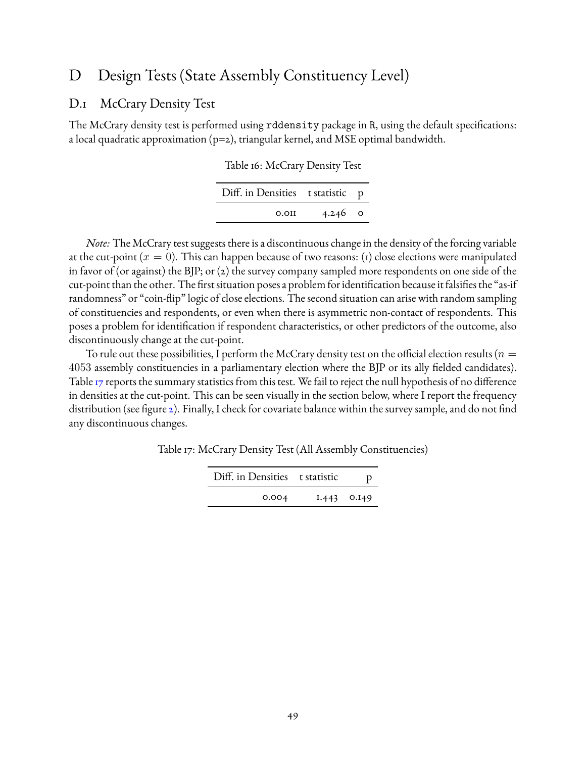# <span id="page-48-0"></span>D Design Tests (State Assembly Constituency Level)

### <span id="page-48-1"></span>D.1 McCrary Density Test

The McCrary density test is performed using rddensity package in R, using the default specifications: a local quadratic approximation (p=2), triangular kernel, and MSE optimal bandwidth.

| Table 16: McCrary Density Test |  |  |
|--------------------------------|--|--|
|--------------------------------|--|--|

| Diff. in Densities t statistic p |               |  |
|----------------------------------|---------------|--|
| 0.011                            | 4.246 $\circ$ |  |

*Note:* The McCrary test suggests there is a discontinuous change in the density of the forcing variable at the cut-point ( $x = 0$ ). This can happen because of two reasons: (1) close elections were manipulated in favor of (or against) the BJP; or (2) the survey company sampled more respondents on one side of the cut-point than the other. The first situation poses a problem for identification because it falsifies the "as-if randomness" or "coin-flip" logic of close elections. The second situation can arise with random sampling of constituencies and respondents, or even when there is asymmetric non-contact of respondents. This poses a problem for identification if respondent characteristics, or other predictors of the outcome, also discontinuously change at the cut-point.

<span id="page-48-2"></span>To rule out these possibilities, I perform the McCrary density test on the official election results ( $n=$ 4053 assembly constituencies in a parliamentary election where the BJP or its ally fielded candidates). Table [17](#page-48-2) reports the summary statistics from this test. We fail to reject the null hypothesis of no difference in densities at the cut-point. This can be seen visually in the section below, where I report the frequency distribution (see figure [2\)](#page-50-1). Finally, I check for covariate balance within the survey sample, and do not find any discontinuous changes.

Table 17: McCrary Density Test (All Assembly Constituencies)

| Diff. in Densities t statistic |               |  |
|--------------------------------|---------------|--|
| 0.004                          | $1.443$ 0.149 |  |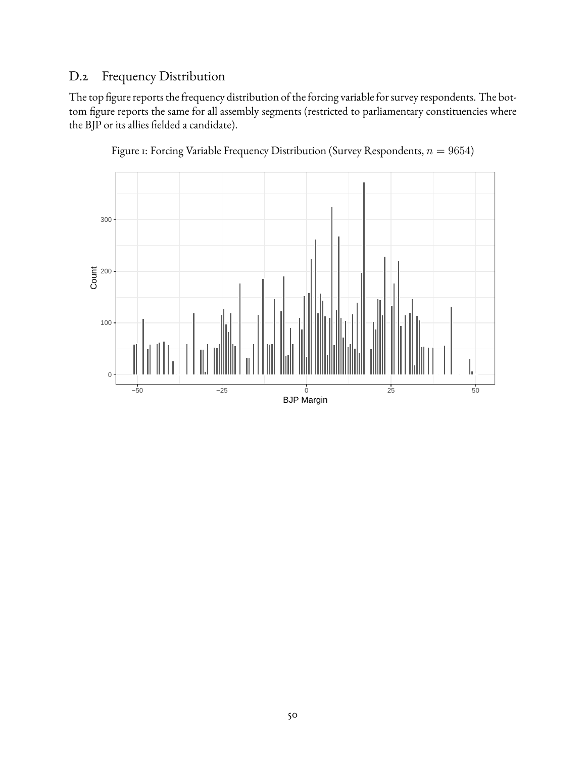# <span id="page-49-0"></span>D.2 Frequency Distribution

The top figure reports the frequency distribution of the forcing variable for survey respondents. The bottom figure reports the same for all assembly segments (restricted to parliamentary constituencies where the BJP or its allies fielded a candidate).



Figure 1: Forcing Variable Frequency Distribution (Survey Respondents,  $n = 9654$ )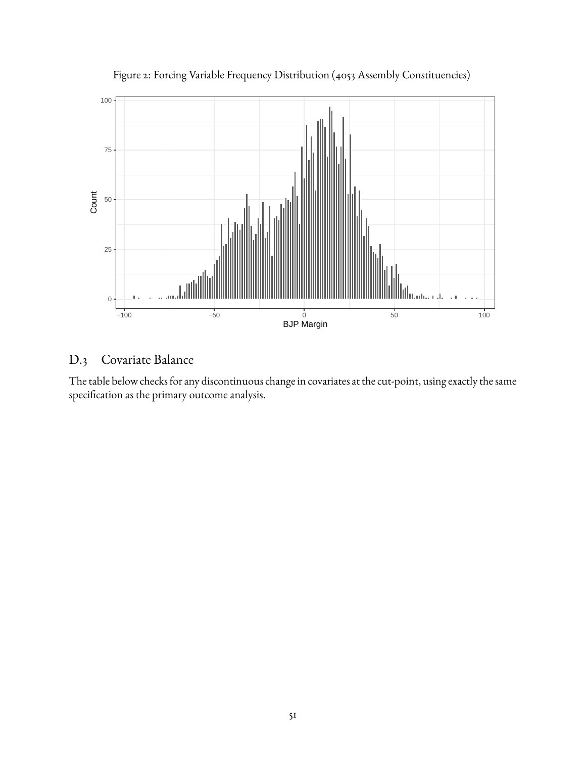<span id="page-50-1"></span>

Figure 2: Forcing Variable Frequency Distribution (4053 Assembly Constituencies)

# <span id="page-50-0"></span>D.3 Covariate Balance

The table below checks for any discontinuous change in covariates at the cut-point, using exactly the same specification as the primary outcome analysis.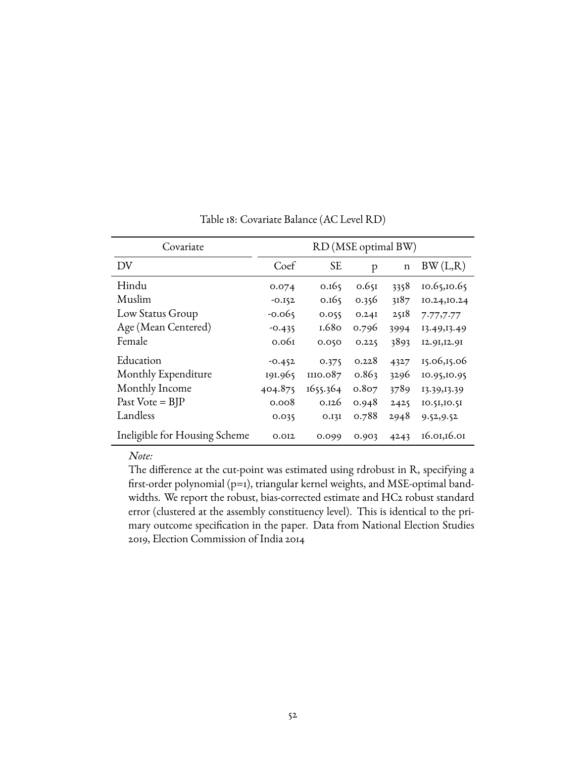| Covariate                     | RD (MSE optimal BW) |           |       |             |              |  |
|-------------------------------|---------------------|-----------|-------|-------------|--------------|--|
| DV                            | Coef                | <b>SE</b> | p     | $\mathbf n$ | BW(L,R)      |  |
| Hindu                         | 0.074               | 0.165     | 0.651 | 3358        | 10.65,10.65  |  |
| Muslim                        | $-0.152$            | 0.165     | 0.356 | 3187        | 10.24, 10.24 |  |
| Low Status Group              | $-0.065$            | 0.055     | 0.24I | 2518        | 7.77,7.77    |  |
| Age (Mean Centered)           | $-0.435$            | 1.680     | 0.796 | 3994        | 13.49, 13.49 |  |
| Female                        | 0.061               | 0.050     | 0.225 | 3893        | 12.91, 12.91 |  |
| Education                     | $-0.452$            | 0.375     | 0.228 | 4327        | 15.06,15.06  |  |
| Monthly Expenditure           | 191.965             | III0.087  | 0.863 | 3296        | 10.95,10.95  |  |
| Monthly Income                | 404.875             | 1655.364  | 0.807 | 3789        | 13.39, 13.39 |  |
| Past Vote = $BIP$             | 0.008               | 0.126     | 0.948 | 2425        | 10.51,10.51  |  |
| Landless                      | 0.035               | 0.13I     | 0.788 | 2948        | 9.52, 9.52   |  |
| Ineligible for Housing Scheme | 0.012               | 0.099     | 0.903 | 4243        | 16.01,16.01  |  |

### Table 18: Covariate Balance (AC Level RD)

*Note:*

The difference at the cut-point was estimated using rdrobust in R, specifying a first-order polynomial (p=1), triangular kernel weights, and MSE-optimal bandwidths. We report the robust, bias-corrected estimate and HC2 robust standard error (clustered at the assembly constituency level). This is identical to the primary outcome specification in the paper. Data from National Election Studies 2019, Election Commission of India 2014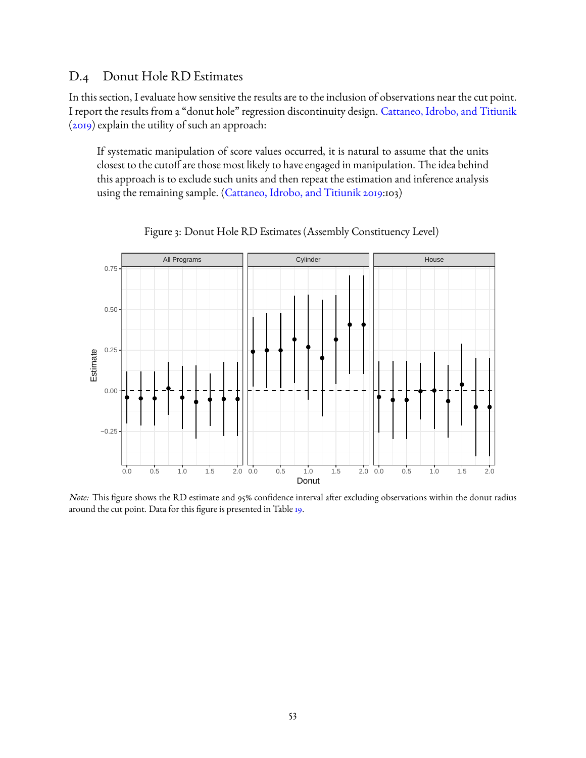### <span id="page-52-0"></span>D.4 Donut Hole RD Estimates

In this section, I evaluate how sensitive the results are to the inclusion of observations near the cut point. I report the results from a "donut hole" regression discontinuity design. [Cattaneo, Idrobo, and Titiunik](#page-29-14) [\(2019\)](#page-29-14) explain the utility of such an approach:

If systematic manipulation of score values occurred, it is natural to assume that the units closest to the cutoff are those most likely to have engaged in manipulation. The idea behind this approach is to exclude such units and then repeat the estimation and inference analysis using the remaining sample. [\(Cattaneo, Idrobo, and Titiunik](#page-29-14) [2019:](#page-29-14)103)



Figure 3: Donut Hole RD Estimates (Assembly Constituency Level)

*Note:* This figure shows the RD estimate and 95% confidence interval after excluding observations within the donut radius around the cut point. Data for this figure is presented in Table [19.](#page-53-0)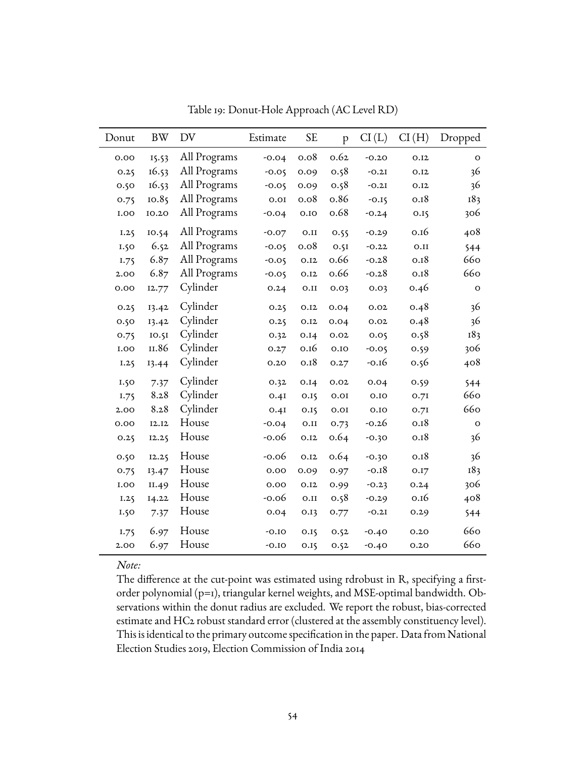<span id="page-53-0"></span>

| Donut | <b>BW</b> | DV           | Estimate | <b>SE</b> | p    | CI(L)   | CI(H) | Dropped |
|-------|-----------|--------------|----------|-----------|------|---------|-------|---------|
| 0.00  | 15.53     | All Programs | $-0.04$  | 0.08      | 0.62 | $-0.20$ | 0.12  | $\circ$ |
| 0.25  | 16.53     | All Programs | $-0.05$  | 0.09      | 0.58 | $-0.2I$ | 0.12  | 36      |
| 0.50  | 16.53     | All Programs | $-0.05$  | 0.09      | 0.58 | $-0.2I$ | 0.12  | 36      |
| 0.75  | 10.85     | All Programs | 0.01     | 0.08      | 0.86 | $-0.15$ | 0.18  | 183     |
| 1.00  | 10.20     | All Programs | $-0.04$  | 0.10      | o.68 | $-0.24$ | 0.15  | 306     |
| 1.25  | 10.54     | All Programs | $-0.07$  | 0.II      | 0.55 | $-0.29$ | 0.16  | 408     |
| 1.50  | 6.52      | All Programs | $-0.05$  | 0.08      | 0.5I | $-0.22$ | 0.II  | 544     |
| I.75  | 6.87      | All Programs | $-0.05$  | 0.12      | 0.66 | $-0.28$ | 0.18  | 660     |
| 2.00  | 6.87      | All Programs | $-0.05$  | 0.12      | 0.66 | $-0.28$ | 0.18  | 660     |
| 0.00  | 12.77     | Cylinder     | 0.24     | 0.II      | 0.03 | 0.03    | 0.46  | O       |
| 0.25  | 13.42     | Cylinder     | 0.25     | 0.12      | 0.04 | 0.02    | 0.48  | 36      |
| 0.50  | 13.42     | Cylinder     | 0.25     | O.I2      | 0.04 | 0.02    | 0.48  | 36      |
| 0.75  | 10.51     | Cylinder     | 0.32     | 0.14      | 0.02 | 0.05    | 0.58  | 183     |
| 1.00  | II.86     | Cylinder     | 0.27     | 0.16      | 0.10 | $-0.05$ | 0.59  | 306     |
| 1.25  | 13.44     | Cylinder     | 0.20     | 0.18      | 0.27 | $-0.16$ | 0.56  | 408     |
| 1.50  | 7.37      | Cylinder     | 0.32     | 0.14      | 0.02 | 0.04    | 0.59  | 544     |
| 1.75  | 8.28      | Cylinder     | 0.4I     | 0.15      | 0.01 | 0.10    | 0.71  | 660     |
| 2.00  | 8.28      | Cylinder     | 0.4I     | 0.15      | 0.01 | 0.10    | 0.71  | 660     |
| 0.00  | I2.I2     | House        | $-0.04$  | 0.II      | 0.73 | $-0.26$ | 0.18  | O       |
| 0.25  | 12.25     | House        | $-0.06$  | 0.12      | 0.64 | $-0.30$ | 0.18  | 36      |
| 0.50  | 12.25     | House        | $-0.06$  | 0.12      | 0.64 | $-0.30$ | 0.18  | 36      |
| 0.75  | 13.47     | House        | 0.00     | 0.09      | 0.97 | $-0.18$ | 0.17  | 183     |
| 1.00  | II.49     | House        | 0.00     | 0.12      | 0.99 | $-0.23$ | 0.24  | 306     |
| 1.25  | 14.22     | House        | $-0.06$  | 0.II      | 0.58 | $-0.29$ | 0.16  | 408     |
| 1.50  | 7.37      | House        | 0.04     | 0.13      | 0.77 | $-0.2I$ | 0.29  | 544     |
| I.75  | 6.97      | House        | $-0.10$  | 0.15      | 0.52 | $-0.40$ | 0.20  | 660     |
| 2.00  | 6.97      | House        | $-0.10$  | 0.15      | 0.52 | $-0.40$ | 0.20  | 660     |

Table 19: Donut-Hole Approach (AC Level RD)

The difference at the cut-point was estimated using rdrobust in R, specifying a firstorder polynomial (p=1), triangular kernel weights, and MSE-optimal bandwidth. Observations within the donut radius are excluded. We report the robust, bias-corrected estimate and HC2 robust standard error (clustered at the assembly constituency level). This is identical to the primary outcome specification in the paper. Data from National Election Studies 2019, Election Commission of India 2014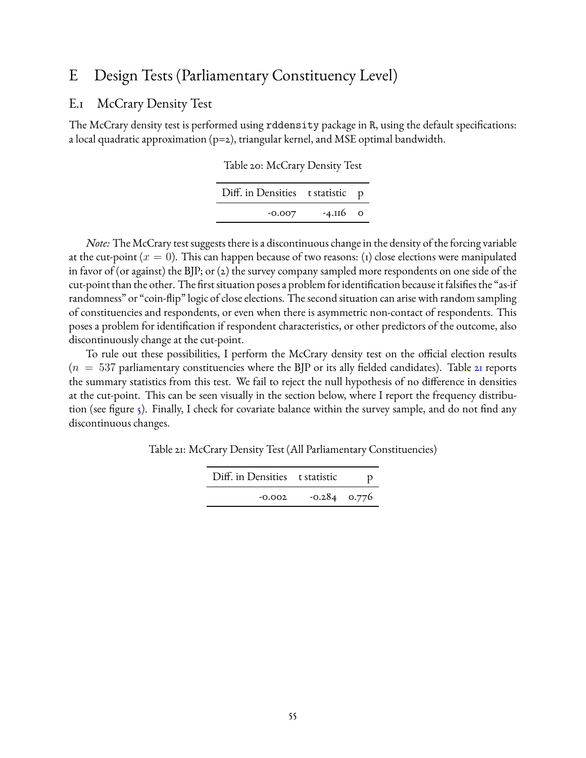# <span id="page-54-0"></span>E Design Tests (Parliamentary Constituency Level)

### <span id="page-54-1"></span>E.1 McCrary Density Test

The McCrary density test is performed using rddensity package in R, using the default specifications: a local quadratic approximation (p=2), triangular kernel, and MSE optimal bandwidth.

| Table 20: McCrary Density Test |  |  |
|--------------------------------|--|--|
|--------------------------------|--|--|

| Diff. in Densities t statistic p |            |  |
|----------------------------------|------------|--|
| $-0.007$                         | $-4.116$ 0 |  |

*Note:* The McCrary test suggests there is a discontinuous change in the density of the forcing variable at the cut-point ( $x = 0$ ). This can happen because of two reasons: (1) close elections were manipulated in favor of (or against) the BJP; or (2) the survey company sampled more respondents on one side of the cut-point than the other. The first situation poses a problem for identification because it falsifies the "as-if randomness" or "coin-flip" logic of close elections. The second situation can arise with random sampling of constituencies and respondents, or even when there is asymmetric non-contact of respondents. This poses a problem for identification if respondent characteristics, or other predictors of the outcome, also discontinuously change at the cut-point.

To rule out these possibilities, I perform the McCrary density test on the official election results  $(n = 537$  parliamentary constituencies where the BJP or its ally fielded candidates). Table [21](#page-54-2) reports the summary statistics from this test. We fail to reject the null hypothesis of no difference in densities at the cut-point. This can be seen visually in the section below, where I report the frequency distribu-tion (see figure [5\)](#page-56-1). Finally, I check for covariate balance within the survey sample, and do not find any discontinuous changes.

<span id="page-54-2"></span>Table 21: McCrary Density Test (All Parliamentary Constituencies)

| Diff. in Densities t statistic |                |  |
|--------------------------------|----------------|--|
| $-0.002$                       | $-0.284$ 0.776 |  |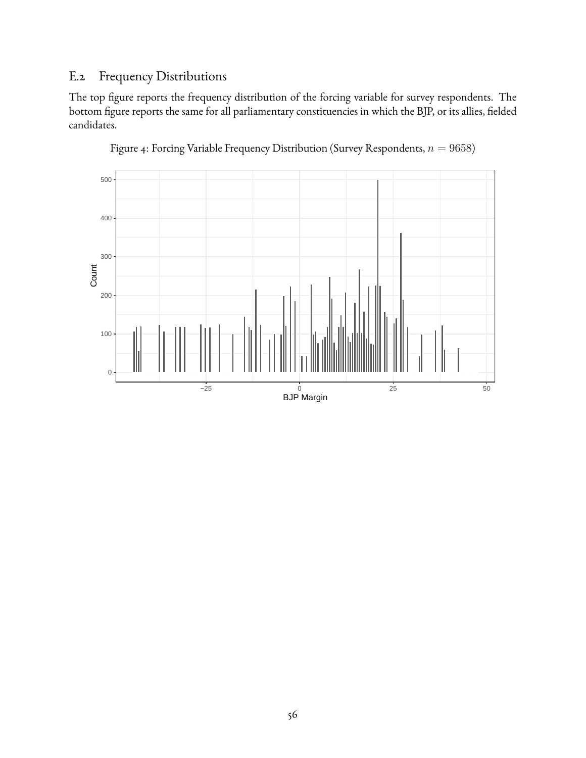# <span id="page-55-0"></span>E.2 Frequency Distributions

The top figure reports the frequency distribution of the forcing variable for survey respondents. The bottom figure reports the same for all parliamentary constituencies in which the BJP, or its allies, fielded candidates.



Figure 4: Forcing Variable Frequency Distribution (Survey Respondents,  $n = 9658$ )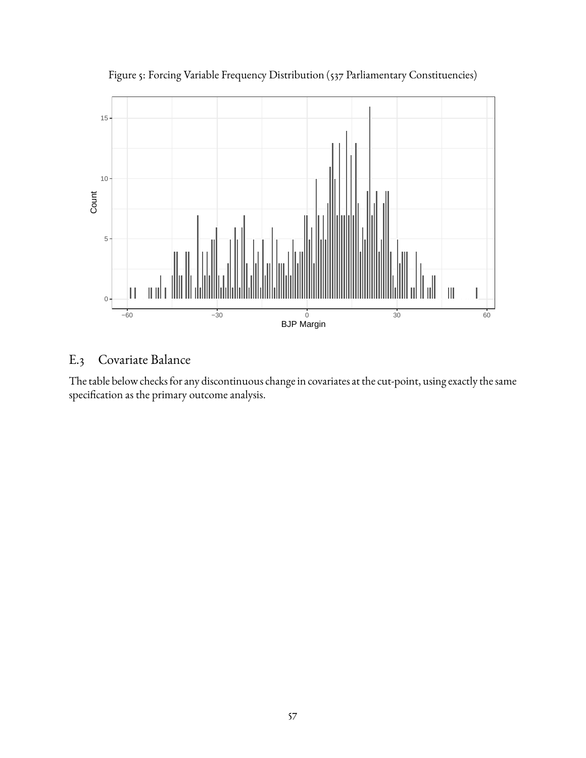<span id="page-56-1"></span>

Figure 5: Forcing Variable Frequency Distribution (537 Parliamentary Constituencies)

# <span id="page-56-0"></span>E.3 Covariate Balance

The table below checks for any discontinuous change in covariates at the cut-point, using exactly the same specification as the primary outcome analysis.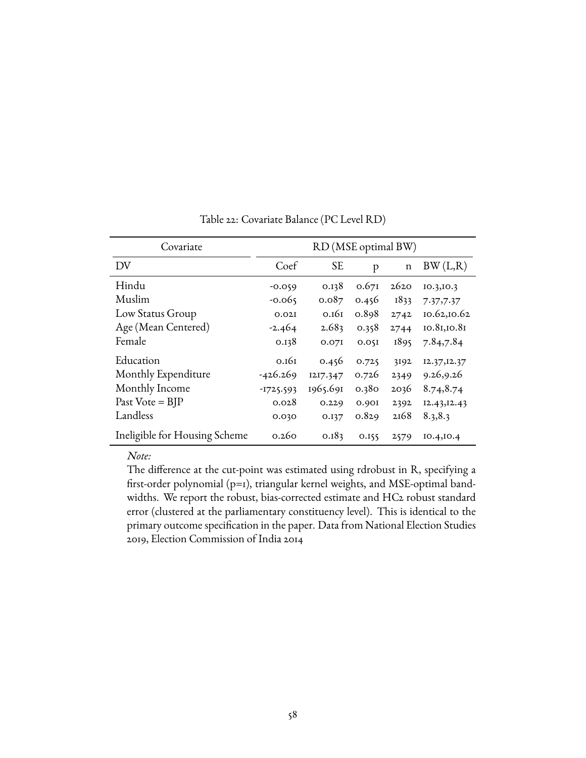| Covariate                     | RD (MSE optimal BW) |           |       |             |              |
|-------------------------------|---------------------|-----------|-------|-------------|--------------|
| DV                            | Coef                | <b>SE</b> | p     | $\mathbf n$ | BW(L,R)      |
| Hindu                         | $-0.059$            | 0.138     | 0.671 | 2620        | IO.3, IO.3   |
| Muslim                        | $-0.065$            | 0.087     | 0.456 | 1833        | 7.37,7.37    |
| Low Status Group              | 0.02I               | 0.161     | 0.898 | 2742        | 10.62,10.62  |
| Age (Mean Centered)           | $-2.464$            | 2.683     | 0.358 | 2744        | 10.81,10.81  |
| Female                        | 0.138               | 0.071     | 0.051 | 1895        | 7.84,7.84    |
| Education                     | 0.161               | 0.456     | 0.725 | 3192        | 12.37, 12.37 |
| Monthly Expenditure           | $-426.269$          | 1217.347  | 0.726 | 2349        | 9.26,9.26    |
| Monthly Income                | $-1725.593$         | 1965.691  | 0.380 | 2036        | 8.74,8.74    |
| Past Vote = $BIP$             | 0.028               | 0.229     | 0.901 | 2392        | I2.43, I2.43 |
| Landless                      | 0.030               | 0.137     | 0.829 | 2168        | 8.3, 8.3     |
| Ineligible for Housing Scheme | 0.260               | 0.183     | 0.155 | 2579        | IO.4, IO.4   |

Table 22: Covariate Balance (PC Level RD)

*Note:*

The difference at the cut-point was estimated using rdrobust in R, specifying a first-order polynomial (p=1), triangular kernel weights, and MSE-optimal bandwidths. We report the robust, bias-corrected estimate and HC2 robust standard error (clustered at the parliamentary constituency level). This is identical to the primary outcome specification in the paper. Data from National Election Studies 2019, Election Commission of India 2014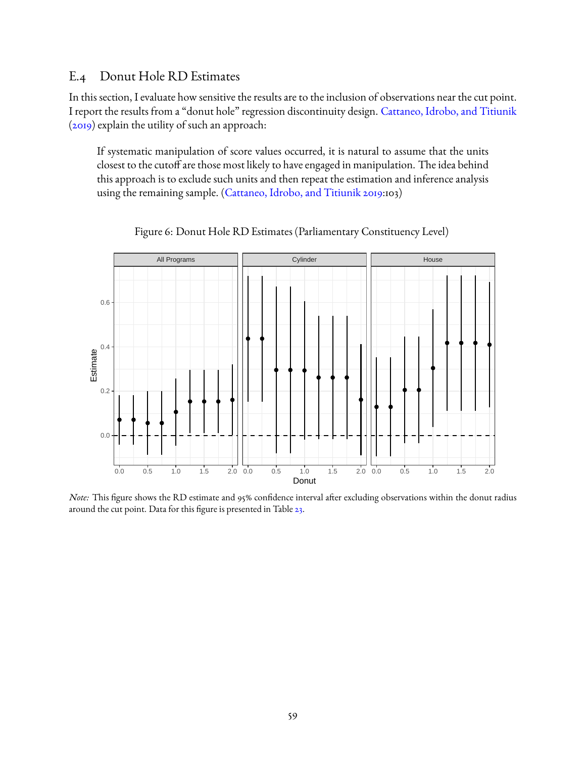### <span id="page-58-0"></span>E.4 Donut Hole RD Estimates

In this section, I evaluate how sensitive the results are to the inclusion of observations near the cut point. I report the results from a "donut hole" regression discontinuity design. [Cattaneo, Idrobo, and Titiunik](#page-29-14) [\(2019\)](#page-29-14) explain the utility of such an approach:

If systematic manipulation of score values occurred, it is natural to assume that the units closest to the cutoff are those most likely to have engaged in manipulation. The idea behind this approach is to exclude such units and then repeat the estimation and inference analysis using the remaining sample. [\(Cattaneo, Idrobo, and Titiunik](#page-29-14) [2019:](#page-29-14)103)

<span id="page-58-1"></span>

Figure 6: Donut Hole RD Estimates (Parliamentary Constituency Level)

*Note:* This figure shows the RD estimate and 95% confidence interval after excluding observations within the donut radius around the cut point. Data for this figure is presented in Table [23.](#page-59-0)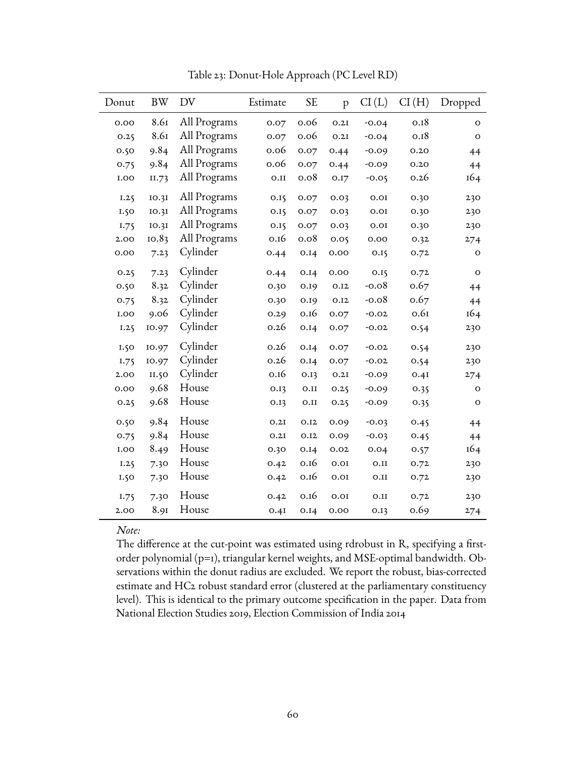<span id="page-59-0"></span>

| Donut  | <b>BW</b> | DV           | Estimate | <b>SE</b> | p                | CI(L)   | CI(H) | Dropped      |
|--------|-----------|--------------|----------|-----------|------------------|---------|-------|--------------|
| 0.00   | 8.61      | All Programs | 0.07     | 0.06      | 0.2I             | $-0.04$ | 0.18  | $\mathbf{O}$ |
| 0.25   | 8.61      | All Programs | 0.07     | 0.06      | 0.2I             | $-0.04$ | 0.18  | $\mathbf O$  |
| 0.50   | 9.84      | All Programs | 0.06     | 0.07      | 0.44             | $-0.09$ | 0.20  | 44           |
| 0.75   | 9.84      | All Programs | 0.06     | 0.07      | 0.44             | $-0.09$ | 0.20  | 44           |
| $1.00$ | II.73     | All Programs | 0.II     | 0.08      | 0.I7             | $-0.05$ | 0.26  | 164          |
| 1.25   | IO.3I     | All Programs | 0.15     | 0.07      | 0.03             | 0.01    | 0.30  | 230          |
| 1.50   | IO.3I     | All Programs | 0.15     | 0.07      | 0.03             | 0.01    | 0.30  | 230          |
| 1.75   | IO.3I     | All Programs | 0.15     | 0.07      | 0.03             | 0.01    | 0.30  | 230          |
| 2.00   | 10.83     | All Programs | 0.16     | 0.08      | 0.05             | 0.00    | 0.32  | 274          |
| 0.00   | 7.23      | Cylinder     | 0.44     | 0.14      | 0.00             | 0.15    | 0.72  | $\mathbf O$  |
| 0.25   | 7.23      | Cylinder     | 0.44     | 0.14      | 0.00             | 0.15    | 0.72  | $\mathbf O$  |
| 0.50   | 8.32      | Cylinder     | 0.30     | 0.19      | 0.12             | $-0.08$ | 0.67  | 44           |
| 0.75   | 8.32      | Cylinder     | 0.30     | 0.19      | O.I <sub>2</sub> | $-0.08$ | 0.67  | 44           |
| 1.00   | 9.06      | Cylinder     | 0.29     | 0.16      | 0.07             | $-0.02$ | 0.61  | 164          |
| 1.25   | 10.97     | Cylinder     | 0.26     | 0.14      | 0.07             | $-0.02$ | 0.54  | 230          |
| 1.50   | 10.97     | Cylinder     | 0.26     | 0.14      | 0.07             | $-0.02$ | 0.54  | 230          |
| 1.75   | 10.97     | Cylinder     | 0.26     | 0.14      | 0.07             | $-0.02$ | 0.54  | 230          |
| 2.00   | II.50     | Cylinder     | 0.16     | 0.13      | O.2I             | $-0.09$ | 0.41  | 274          |
| 0.00   | 9.68      | House        | 0.13     | 0.II      | 0.25             | $-0.09$ | 0.35  | $\mathbf O$  |
| 0.25   | 9.68      | House        | 0.13     | 0.II      | 0.25             | $-0.09$ | 0.35  | $\mathbf O$  |
| 0.50   | 9.84      | House        | 0.2I     | 0.12      | 0.09             | $-0.03$ | 0.45  | 44           |
| 0.75   | 9.84      | House        | 0.2I     | 0.12      | 0.09             | $-0.03$ | 0.45  | 44           |
| 1.00   | 8.49      | House        | 0.30     | 0.14      | 0.02             | 0.04    | 0.57  | 164          |
| 1.25   | 7.30      | House        | 0.42     | 0.16      | 0.01             | 0.II    | 0.72  | 230          |
| 1.50   | 7.30      | House        | 0.42     | 0.16      | $0.01$           | 0.II    | 0.72  | 230          |
| 1.75   | 7.30      | House        | 0.42     | 0.16      | $0.01$           | 0.II    | 0.72  | 230          |
| 2.00   | 8.91      | House        | 0.4I     | 0.14      | 0.00             | 0.13    | 0.69  | 274          |

Table 23: Donut-Hole Approach (PC Level RD)

The difference at the cut-point was estimated using rdrobust in R, specifying a firstorder polynomial (p=1), triangular kernel weights, and MSE-optimal bandwidth. Observations within the donut radius are excluded. We report the robust, bias-corrected estimate and HC2 robust standard error (clustered at the parliamentary constituency level). This is identical to the primary outcome specification in the paper. Data from National Election Studies 2019, Election Commission of India 2014